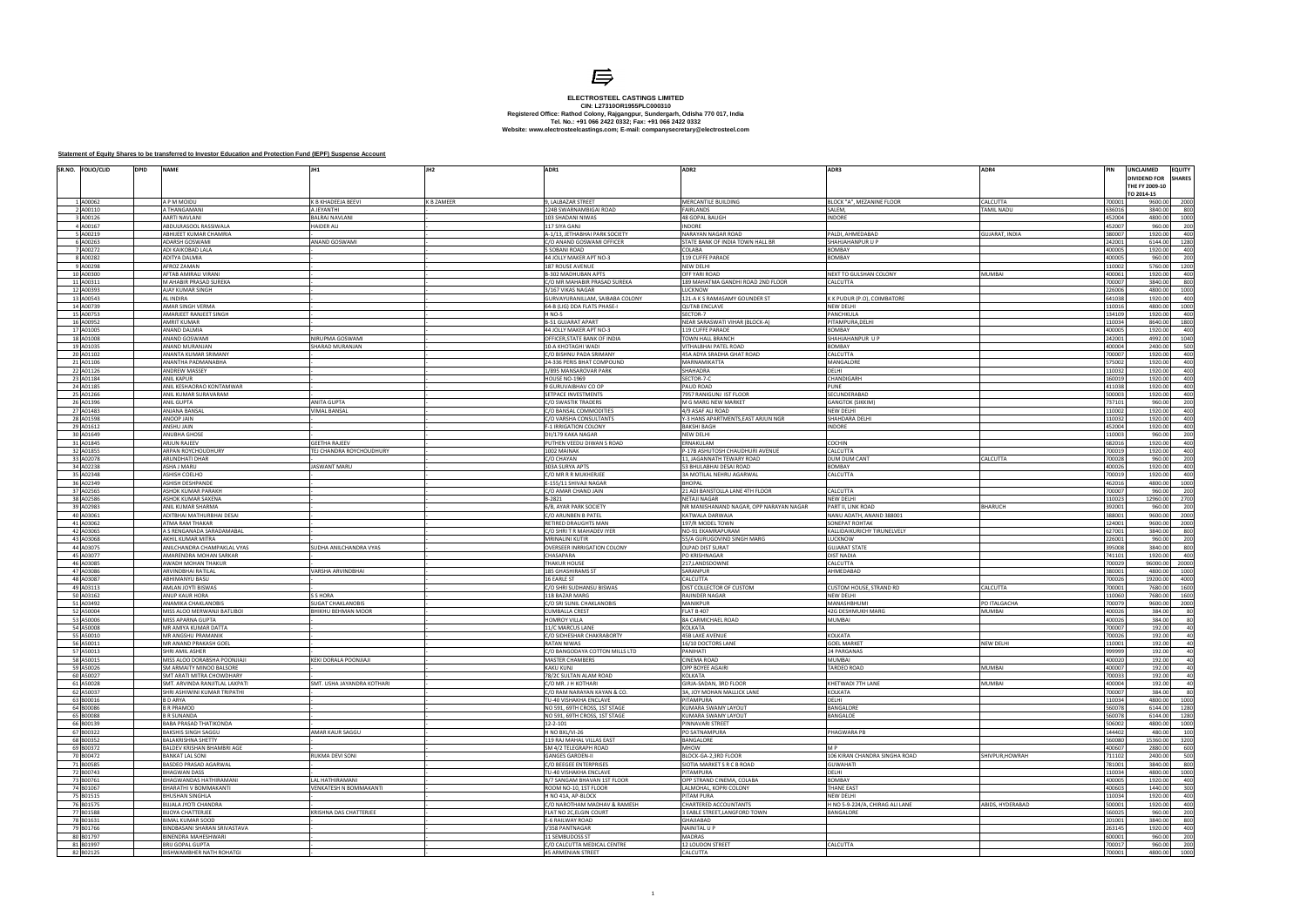| SR.NO. FOLIO/CLID      | <b>DPID</b><br><b>NAME</b>                         |                                                | ADR1                                                     | ADR <sub>2</sub>                                             | ADR3                                            | ADR4                          | PIN<br>JNCLAIMED<br><b>EQUITY</b><br>DIVIDEND FOR<br><b>SHARES</b><br>THE FY 2009-10<br>TO 2014-15 |
|------------------------|----------------------------------------------------|------------------------------------------------|----------------------------------------------------------|--------------------------------------------------------------|-------------------------------------------------|-------------------------------|----------------------------------------------------------------------------------------------------|
| L A00062               | A P M MOIDU                                        | K B KHADEEJA BEEVI                             | <b>K B ZAMEER</b><br>9, LALBAZAR STREET                  | MERCANTILE BUILDING                                          | BLOCK "A", MEZANINE FLOOR                       | CALCUTTA                      | 700001<br>2000<br>9600.00                                                                          |
| 2 A00110               | A THANGAMANI                                       | A JEYANTHI                                     | 124B SWARNAMBIGAI ROAD                                   | <b>FAIRLANDS</b>                                             | SALEM.                                          | <b>TAMIL NADU</b>             | 636016<br>3840.00<br>800                                                                           |
| 3 A00126               | AARTI NAVLANI                                      | BALRAJ NAVLANI                                 | 103 SHADANI NIWAS                                        | 48 GOPAL BAUGH                                               | <b>INDORE</b>                                   |                               | 452004<br>4800.00<br>1000                                                                          |
| 4 A00167               | ABDULRASOOL RASSIWALA                              | HAIDER ALI                                     | 117 SIYA GAN.                                            | <b>NDORE</b>                                                 |                                                 |                               | 452007<br>960.00<br>200                                                                            |
| 5 A00219<br>6 A00263   | ABHIJEET KUMAR CHAMRIA                             |                                                | A-1/13, JETHABHAI PARK SOCIETY                           | NARAYAN NAGAR ROAD                                           | PALDI, AHMEDABAD<br>SHAHJAHANPUR U F            | <b>GUJARAT, INDIA</b>         | 380007<br>1920.00<br>400<br>6144.00<br>242001<br>1280                                              |
| 7 A00272               | <b>ADARSH GOSWAMI</b><br>ADI KAIKOBAD LALA         | ANAND GOSWAMI                                  | C/O ANAND GOSWAMI OFFICER<br>5 SOBANI ROAD               | STATE BANK OF INDIA TOWN HALL BR<br>COLABA                   | <b>BOMBAY</b>                                   |                               | 400005<br>400<br>1920.00                                                                           |
| 8 A00282               | ADITYA DALMIA                                      |                                                | 44 JOLLY MAKER APT NO-3                                  | <b>19 CUFFE PARADE</b>                                       | <b>BOMBAY</b>                                   |                               | 400005<br>960.00<br>200                                                                            |
| 9 A00298               | AFROZ ZAMAN                                        |                                                | 187 ROUSE AVENUE                                         | <b>NEW DELHI</b>                                             |                                                 |                               | 110002<br>5760.00<br>1200                                                                          |
| 10 A00300              | AFTAB AMIRALI VIRANI                               |                                                | <b>B-302 MADHUBAN APTS</b>                               | <b>JFF YARI ROAD</b>                                         | NEXT TO GULSHAN COLONY                          | <b>MUMBAI</b>                 | 400061<br>1920.00<br>400                                                                           |
| 11 A00311              | M AHABIR PRASAD SUREKA                             |                                                | C/O MR MAHABIR PRASAD SUREKA                             | 189 MAHATMA GANDHI ROAD 2ND FLOOR                            | CALCUTTA                                        |                               | 700007<br>3840.00<br>800                                                                           |
| 12 A00393<br>13 A00543 | AJAY KUMAR SINGH<br>AL INDIRA                      |                                                | 3/167 VIKAS NAGAR<br>GURVAYURANILLAM, SAIBABA COLONY     | <b>UCKNOW</b>                                                |                                                 |                               | 226006<br>4800.00<br>1000<br>641038<br>1920.00<br>400                                              |
| 14 A00739              | AMAR SINGH VERMA                                   |                                                | 64-B (LIG) DDA FLATS PHASE-I                             | 121-A K S RAMASAMY GOUNDER ST<br><b>QUTAB ENCLAVE</b>        | K K PUDUR (P.O), COIMBATORE<br>NEW DELHI        |                               | 110016<br>1000<br>4800.00                                                                          |
| 15 A00753              | AMARJEET RANJEET SINGH                             |                                                | H NO-5                                                   | ECTOR-7                                                      | PANCHKULA                                       |                               | 1920.00<br>134109<br>400                                                                           |
| 16 A00952              | <b>AMRIT KUMAR</b>                                 |                                                | <b>B-51 GUJARAT APART</b>                                | NEAR SARASWATI VIHAR (BLOCK-A)                               | PITAMPURA, DELHI                                |                               | 1800<br>110034<br>8640.00                                                                          |
| 17 A01005              | ANAND DALMIA                                       |                                                | 44 JOLLY MAKER APT NO-3                                  | 119 CUFFE PARADE                                             | <b>BOMBAY</b>                                   |                               | 400005<br>1920.00<br>400                                                                           |
| 18 A01008              | ANAND GOSWAM                                       | NIRUPMA GOSWAMI                                | OFFICER, STATE BANK OF INDIA                             | TOWN HALL BRANCH                                             | SHAHJAHANPUR U P                                |                               | 242001<br>4992.00<br>1040                                                                          |
| 19 A01035<br>20 A01102 | ANAND MURANJAN<br>ANANTA KUMAR SRIMANY             | SHARAD MURANJAN                                | 10-A KHOTAGHI WADI<br>C/O BISHNU PADA SRIMANY            | <b>ITHALBHAI PATEL ROAD</b><br>45A ADYA SRADHA GHAT ROAD     | <b>BOMBAY</b><br>CALCUTTA                       |                               | 400004<br>2400.00<br>500<br>700007<br>1920.00<br>400                                               |
| 21 A01106              | ANANTHA PADMANABHA                                 |                                                | 24-336 PERIS BHAT COMPOUND                               | <b>MARNAMIKATTA</b>                                          | MANGALORE                                       |                               | 575002<br>1920.00<br>400                                                                           |
| 22 A01126              | <b>ANDREW MASSEY</b>                               |                                                | 1/895 MANSAROVAR PARK                                    | SHAHADRA                                                     | DELHI                                           |                               | 1920.00<br>110032<br>400                                                                           |
| 23 A01184              | ANIL KAPUR                                         |                                                | HOUSE NO-1969                                            | ECTOR-7-C                                                    | CHANDIGARH                                      |                               | 160019<br>400<br>1920.00                                                                           |
| 24 A01185              | ANIL KESHAORAO KONTAMWAR                           |                                                | 9 GURUVAIBHAV CO OP                                      | PAUD ROAD                                                    | PUNE                                            |                               | 1920.00<br>411038<br>400                                                                           |
| 25 A01266<br>26 A01396 | ANIL KUMAR SURAVARAM                               |                                                | SETPACE INVESTMENTS<br>C/O SWASTIK TRADERS               | 7957 RANIGUNJ IST FLOOR                                      | SECUNDERABAD                                    |                               | 400<br>500003<br>1920.00<br>737101<br>960.00<br>200                                                |
| 27 A01483              | ANIL GUPTA<br>ANJANA BANSAL                        | ANITA GUPTA<br><b>VIMAL BANSAL</b>             | C/O BANSAL COMMODITIES                                   | M G MARG NEW MARKET<br>4/9 ASAF ALI ROAD                     | <b>GANGTOK (SIKKIM)</b><br><b>NEW DELHI</b>     |                               | 110002<br>1920.00<br>400                                                                           |
| 28 A01598              | ANOOP JAIN                                         |                                                | C/O VARSHA CONSULTANTS                                   | Y-3 HANS APARTMENTS, EAST ARJUN NGR                          | SHAHDARA DELHI                                  |                               | 110032<br>1920.00<br>400                                                                           |
| 29 A01612              | ANSHU JAIN                                         |                                                | F-1 IRRIGATION COLONY                                    | <b>BAKSHI BAGH</b>                                           | <b>INDORE</b>                                   |                               | 452004<br>1920.00<br>400                                                                           |
| 30 A01649              | <b>ANUBHA GHOSE</b>                                |                                                | DII/179 KAKA NAGAR                                       | NEW DELHI                                                    |                                                 |                               | 110003<br>960.00<br>200                                                                            |
| 31 A01845              | <b>ARJUN RAJEEV</b>                                | <b>GEETHA RAJEEV</b>                           | PUTHEN VEEDU DIWAN S ROAD                                | ERNAKULAM                                                    | <b>COCHIN</b>                                   |                               | 1920.00<br>400<br>682016                                                                           |
| 32 A01855<br>33 A02078 | <b>ARPAN ROYCHOUDHURY</b><br><b>ARUNDHATI DHAR</b> | <b>EJ CHANDRA ROYCHOUDHURY</b>                 | 1002 MAINAK<br>C/O CHAYAN                                | 2-17B ASHUTOSH CHAUDHURI AVENUE<br>11, JAGANNATH TEWARY ROAD | CALCUTTA<br>DUM DUM CANT                        | CALCUTTA                      | 700019<br>400<br>1920.00<br>700028<br>960.00<br>200                                                |
| 34 A02238              | ASHA J MARL                                        | <b>ASWANT MARU</b>                             | 303A SURYA APTS                                          | 53 BHULABHAI DESAI ROAD                                      | <b>BOMBAY</b>                                   |                               | 400026<br>1920.00<br>400                                                                           |
| 35 A02348              | <b>ASHISH COELHO</b>                               |                                                | C/O MR R R MUKHERJEE                                     | <b>BA MOTILAL NEHRU AGARWAL</b>                              | CALCUTTA                                        |                               | 700019<br>1920.00<br>400                                                                           |
| 36 A02349              | ASHISH DESHPANDI                                   |                                                | E-155/11 SHIVAJI NAGAR                                   | <b>BHOPAL</b>                                                |                                                 |                               | 462016<br>4800.00<br>1000                                                                          |
| 37 A02565              | ASHOK KUMAR PARAKH                                 |                                                | C/O AMAR CHAND JAIN                                      | 21 ADI BANSTOLLA LANE 4TH FLOOR                              | CALCUTTA                                        |                               | 700007<br>960.00<br>200                                                                            |
| 38 A02586<br>39 A02983 | ASHOK KUMAR SAXENA<br>ANIL KUMAR SHARMA            |                                                | B-2821<br>6/B, AYAR PARK SOCIETY                         | NETAJI NAGAR<br>NR MANISHANAND NAGAR, OPP NARAYAN NAGAR      | <b>NEW DELHI</b><br>PART II, LINK ROAD          | <b>BHARUCH</b>                | 110023<br>12960.00<br>2700<br>200<br>392001<br>960.00                                              |
| 40 A03061              | ADITBHAI MATHURBHAI DESAI                          |                                                | C/O ARUNBEN B PATEL                                      | <b>KATWALA DARWAJA</b>                                       | VANU ADATH, ANAND 388001                        |                               | 9600.00<br>2000<br>388001                                                                          |
| 41 A03062              | ATMA RAM THAKAR                                    |                                                | RETIRED DRAUGHTS MAN                                     | 197/R MODEL TOWN                                             | <b>SONEPAT ROHTAK</b>                           |                               | 124001<br>9600.00<br>2000                                                                          |
| 42 A03065              | A S RENGANADA SARADAMABAL                          |                                                | C/O SHRI T R MAHADEV IYER                                | NO-91 EKAMRAPURAM                                            | KALLIDAIKURICHY TIRUNELVELY                     |                               | 627001<br>3840.00<br>800                                                                           |
| 43 A03068              | AKHIL KUMAR MITRA                                  |                                                | <b>MRINALINI KUTIR</b>                                   | 55/A GURUGOVIND SINGH MARG                                   | <b>LUCKNOW</b>                                  |                               | 200<br>226001<br>960.00                                                                            |
| 44 A03075<br>45 A03077 | ANILCHANDRA CHAMPAKLAL VYAS                        | <b>JUDHA ANILCHANDRA VYAS</b>                  | OVERSEER INRRIGATION COLONY<br>CHASAPARA                 | OLPAD DIST SURAT                                             | <b>GUJARAT STATE</b><br><b>DIST NADIA</b>       |                               | 395008<br>3840.00<br>800<br>400                                                                    |
| 46 A03085              | AMARENDRA MOHAN SARKAR<br>AWADH MOHAN THAKUR       |                                                | <b>THAKUR HOUSE</b>                                      | PO KRISHNAGAR<br>217,LANDSDOWNE                              | CALCUTTA                                        |                               | 741101<br>1920.00<br>700029<br>96000.00<br>20000                                                   |
| 47 A03086              | ARVINDBHAI RATILAL                                 | VARSHA ARVINDBHAI                              | 185 GHASHIRAMS ST                                        | SARANPUR                                                     | AHMEDABAD                                       |                               | 380001<br>4800.00<br>1000                                                                          |
| 48 A03087              | ABHIMANYU BASU                                     |                                                | 16 EARLE ST                                              | CALCUTTA                                                     |                                                 |                               | 700026<br>19200.00<br>4000                                                                         |
| 49 A03113              | AMLAN JOYTI BISWAS                                 |                                                | C/O SHRI SUDHANSU BISWAS                                 | DIST COLLECTOR OF CUSTOM                                     | CUSTOM HOUSE, STRAND RD                         | CALCUTTA                      | 7680.00<br>1600<br>700001                                                                          |
| 50 A03162<br>51 A03492 | ANUP KAUR HORA                                     | S S HORA                                       | 11B BAZAR MARG<br>C/O SRI SUNIL CHAKLANOBIS              | RAJINDER NAGAR                                               | NEW DELHI                                       |                               | 110060<br>7680.00<br>1600<br>700079<br>9600.00<br>2000                                             |
| 52 A50004              | ANAMIKA CHAKLANOBIS<br>MISS ALOO MERWANJI BATLIBOI | <b>JUGAT CHAKLANOBIS</b><br>BHIKHU BEHMAN MOOR | <b>CUMBALLA CREST</b>                                    | MANIKPUR<br>LAT B 407                                        | MANASHBHUMI<br><b>12G DESHMUKH MARG</b>         | PO ITALGACHA<br><b>MUMBAI</b> | 400026<br>384.00<br>80                                                                             |
| 53 A50006              | MISS APARNA GUPTA                                  |                                                | <b>HOMROY VILLA</b>                                      | <b>3A CARMICHAEL ROAD</b>                                    | <b>MUMBAI</b>                                   |                               | 400026<br>384.00<br>80                                                                             |
| 54 A50008              | MR AMIYA KUMAR DATTA                               |                                                | 11/C MARCUS LANE                                         | <b>COLKATA</b>                                               |                                                 |                               | 700007<br>40<br>192.00                                                                             |
| 55 A50010              | MR ANGSHU PRAMANIK                                 |                                                | C/O SIDHESHAR CHAKRABORTY                                | <b>15B LAKE AVENUE</b>                                       | <b>KOLKATA</b>                                  |                               | 700026<br>192.00<br>40                                                                             |
| 56 A50011<br>57 A50013 | MR ANAND PRAKASH GOEI                              |                                                | <b>RATAN NIWAS</b>                                       | 16/10 DOCTORS LANE                                           | <b>GOEL MARKE</b>                               | <b>NEW DELHI</b>              | 110001<br>192.00<br>40                                                                             |
| 58 A50015              | HRI AMIL ASHER<br>MISS ALOO DORABSHA POONJIAJI     | KEKI DORALA POONJIAJI                          | C/O BANGODAYA COTTON MILLS LTD<br><b>MASTER CHAMBERS</b> | ANIHA II<br>CINEMA ROAD                                      | 24 PARGANA:<br>MUMBAI                           |                               | 999999<br>192.00<br>400020<br>192.00<br>40                                                         |
| 59 A50026              | SM ARMAITY MINOO BALSORE                           |                                                | <b>KAKU KUNJ</b>                                         | OPP BOYEE AGAIRI                                             | TARDEO ROAD                                     | <b>MUMBAI</b>                 | 400007<br>40<br>192.00                                                                             |
| 60 A50027              | SMT ARATI MITRA CHOWDHARY                          |                                                | 78/2C SULTAN ALAM ROAD                                   | KOLKATA                                                      |                                                 |                               | 700033<br>192.00<br>40                                                                             |
| 61 A50028              | SMT. ARVINDA RANJITLAL LAXPATI                     | SMT. USHA JAYANDRA KOTHARI                     | C/O MR. J H KOTHARI                                      | GIRJA-SADAN, 3RD FLOOR                                       | KHETWADI 7TH LANE                               | <b>MUMBAI</b>                 | 400004<br>192.00<br>40                                                                             |
| 62 A50037              | SHRI ASHIWINI KUMAR TRIPATHI                       |                                                | C/O RAM NARAYAN KAYAN & CO.                              | <b>3A, JOY MOHAN MALLICK LANE</b>                            | KOLKATA                                         |                               | 700007<br>384.00<br>80                                                                             |
| 63 B00016<br>64 B00086 | <b>B D ARYA</b><br><b>B R PRAMOD</b>               |                                                | TU-40 VISHAKHA ENCLAVE<br>NO 591, 69TH CROSS, 1ST STAGE  | PITAMPURA<br><b>UMARA SWAMY LAYOUT</b>                       | DELHI<br><b>BANGALORE</b>                       |                               | 110034<br>4800.00<br>1000<br>560078<br>6144.00<br>1280                                             |
| 65 B00088              | <b>B R SUNANDA</b>                                 |                                                | NO 591, 69TH CROSS, 1ST STAGE                            | <b>(UMARA SWAMY LAYOUT</b>                                   | BANGALOE                                        |                               | 6144.00<br>560078<br>1280                                                                          |
| 66 B00139              | BABA PRASAD THATIKONDA                             |                                                | 12-2-101                                                 | <b>PINNAVARI STREET</b>                                      |                                                 |                               | 506002<br>4800.00<br>1000                                                                          |
| 67 B00322              | <b>BAKSHIS SINGH SAGGU</b>                         | AMAR KAUR SAGGU                                | H NO BXL/VI-26                                           | PO SATNAMPURA                                                | PHAGWARA PB                                     |                               | 144402<br>480.00<br>100                                                                            |
| 68 B00352              | <b>BALAKRISHNA SHETTY</b>                          |                                                | 119 RAJ MAHAL VILLAS EAST                                | BANGALORE                                                    |                                                 |                               | 560080<br>3200<br>15360.00                                                                         |
| 69 B00372              | BALDEV KRISHAN BHAMBRI AGE                         |                                                | SM 4/2 TELEGRAPH ROAD                                    | WOHN<br>BLOCK-GA-2.3RD FLOOR                                 | M <sub>P</sub><br>106 KIRAN CHANDRA SINGHA ROAD |                               | 400607<br>2880.00<br>600                                                                           |
| 70 B00472<br>71 B00585 | <b>BANKAT LAL SONI</b><br>BASDEO PRASAD AGARWAL    | RUKMA DEVI SONI                                | <b>GANGES GARDEN-II</b><br>C/O BEEGEE ENTERPRISES        | <b>SIOTIA MARKET S R C B ROAD</b>                            | <b>GUWAHATI</b>                                 | SHIVPUR, HOWRAH               | 2400.00<br>711102<br>500<br>781001<br>3840.00<br>800                                               |
| 72 B00743              | <b>BHAGWAN DASS</b>                                |                                                | <b>TU-40 VISHAKHA ENCLAVE</b>                            | PITAMPURA                                                    | DELHI                                           |                               | 110034<br>4800.00<br>1000                                                                          |
| 73 B00761              | BHAGWANDAS HATHIRAMANI                             | LAL HATHIRAMANI                                | B/7 SANGAM BHAVAN 1ST FLOOR                              | OPP STRAND CINEMA, COLABA                                    | <b>BOMBAY</b>                                   |                               | 400005<br>1920.00<br>400                                                                           |
| 74 B01067              | BHARATHI V BOMMAKANTI                              | VENKATESH N BOMMAKANTI                         | ROOM NO-10, 1ST FLOOR                                    | ALMOHAL, KOPRI COLONY                                        | <b>THANE EAST</b>                               |                               | 1440.00<br>400603<br>300                                                                           |
| 75 B01515              | BHUSHAN SINGHLA                                    |                                                | H NO 41A, AP-BLOCK                                       | <b>PITAM PURA</b>                                            | <b>NEW DELHI</b>                                |                               | 110034<br>1920.00<br>400                                                                           |
| 76 B01575              | BIJJALA JYOTI CHANDRA                              |                                                | C/O NAROTHAM MADHAV & RAMESH                             | CHARTERED ACCOUNTANTS                                        | H NO 5-9-224/A, CHIRAG ALI LANE                 | ABIDS, HYDERABAD              | 1920.00<br>500001<br>400                                                                           |
| 77 B01588<br>78 B01631 | <b>BIJOYA CHATTERJEE</b><br>BIMAL KUMAR SOOD       | KRISHNA DAS CHATTERJEE                         | FLAT NO 2C, ELGIN COURT<br>E-6 RAILWAY ROAD              | EABLE STREET, LANGFORD TOWN<br><b>GARAILAHE</b>              | BANGALORE                                       |                               | 560025<br>960.00<br>200<br>201001<br>3840.00<br>800                                                |
| 79 B01766              | BINDBASANI SHARAN SRIVASTAVA                       |                                                | I/358 PANTNAGAR                                          | <b>NAINITAL U P</b>                                          |                                                 |                               | 263145<br>1920.00<br>400                                                                           |
| 80 B01797              | <b>BINENDRA MAHESHWARI</b>                         |                                                | 11 SEMBUDOSS ST                                          | <b>MADRAS</b>                                                |                                                 |                               | 600001<br>960.00<br>200                                                                            |
| 81 B01997              | <b>BRIJ GOPAL GUPTA</b>                            |                                                | C/O CALCUTTA MEDICAL CENTRE                              | 12 LOUDON STREET                                             | CALCUTTA                                        |                               | 700017<br>960.00<br>200                                                                            |
| 82 B02125              | BISHWAMBHER NATH ROHATGI                           |                                                | <b>45 ARMENIAN STREET</b>                                | CALCUTTA                                                     |                                                 |                               | 1000<br>4800.00<br>700001                                                                          |



## **ELECTROSTEEL CASTINGS LIMITED CIN: L27310OR1955PLC000310 Website: www.electrosteelcastings.com; E-mail: companysecretary@electrosteel.com Registered Office: Rathod Colony, Rajgangpur, Sundergarh, Odisha 770 017, India Tel. No.: +91 066 2422 0332; Fax: +91 066 2422 0332**

## **Statement of Equity Shares to be transferred to Investor Education and Protection Fund (IEPF) Suspense Account**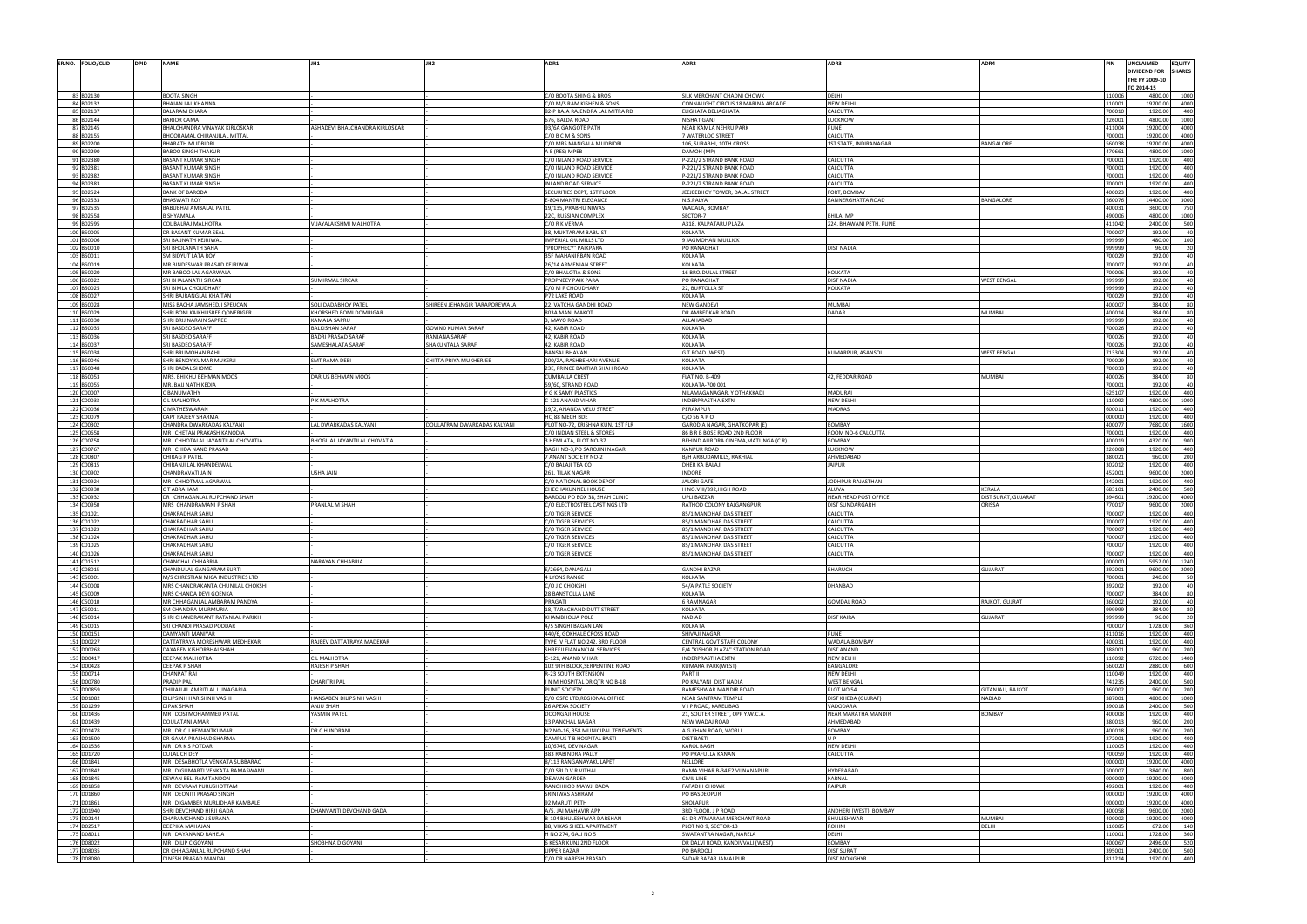|                                                                                                                                                                                                                                                                                                                                                                                                                                                                                                                                                                                                                                                                  | SR.NO. FOLIO/CLID | <b>DPID</b> | <b>NAME</b>                       |                                |                              | ADR1                              | ADR <sub>2</sub>                   | ADR3                       | ADR4                | PIN    | UNCLAIMED      |
|------------------------------------------------------------------------------------------------------------------------------------------------------------------------------------------------------------------------------------------------------------------------------------------------------------------------------------------------------------------------------------------------------------------------------------------------------------------------------------------------------------------------------------------------------------------------------------------------------------------------------------------------------------------|-------------------|-------------|-----------------------------------|--------------------------------|------------------------------|-----------------------------------|------------------------------------|----------------------------|---------------------|--------|----------------|
|                                                                                                                                                                                                                                                                                                                                                                                                                                                                                                                                                                                                                                                                  |                   |             |                                   |                                |                              |                                   |                                    |                            |                     |        | DIVIDEND FOR   |
|                                                                                                                                                                                                                                                                                                                                                                                                                                                                                                                                                                                                                                                                  |                   |             |                                   |                                |                              |                                   |                                    |                            |                     |        | THE FY 2009-10 |
|                                                                                                                                                                                                                                                                                                                                                                                                                                                                                                                                                                                                                                                                  |                   |             |                                   |                                |                              |                                   |                                    |                            |                     |        | TO 2014-15     |
| 83 B02130                                                                                                                                                                                                                                                                                                                                                                                                                                                                                                                                                                                                                                                        |                   |             | <b>BOOTA SINGH</b>                |                                |                              | C/O BOOTA SHING & BROS            | SILK MERCHANT CHADNI CHOWK         | DELHI                      |                     | 110006 | 4800.00        |
| 84 B02132                                                                                                                                                                                                                                                                                                                                                                                                                                                                                                                                                                                                                                                        |                   |             | BHAJAN LAL KHANNA                 |                                |                              | C/O M/S RAM KISHEN & SONS         | CONNAUGHT CIRCUS 18 MARINA ARCADE  | <b>NEW DELHI</b>           |                     | 110001 | 19200.00       |
| 85 B02137                                                                                                                                                                                                                                                                                                                                                                                                                                                                                                                                                                                                                                                        |                   |             | <b>BALARAM DHARA</b>              |                                |                              | 82-P RAJA RAJENDRA LAL MITRA RD   | ELIGHATA BELIAGHATA                | CALCUTTA                   |                     | 700010 | 1920.00        |
|                                                                                                                                                                                                                                                                                                                                                                                                                                                                                                                                                                                                                                                                  |                   |             |                                   |                                |                              |                                   |                                    |                            |                     |        |                |
| 86 B02144                                                                                                                                                                                                                                                                                                                                                                                                                                                                                                                                                                                                                                                        |                   |             | <b>BARJOR CAMA</b>                |                                |                              | 676, BALDA ROAD                   | NISHAT GANJ                        | LUCKNOW                    |                     | 226001 | 4800.00        |
| 87 B02145                                                                                                                                                                                                                                                                                                                                                                                                                                                                                                                                                                                                                                                        |                   |             | BHALCHANDRA VINAYAK KIRLOSKAR     | ASHADEVI BHALCHANDRA KIRLOSKAR |                              | 93/6A GANGOTE PATH                | NEAR KAMLA NEHRU PARK              | <b>PUNE</b>                |                     | 411004 | 19200.00       |
| 88 B02155                                                                                                                                                                                                                                                                                                                                                                                                                                                                                                                                                                                                                                                        |                   |             | BHOORAMAL CHIRANJILAL MITTAL      |                                |                              | C/OBCM&SONS                       | 7 WATERLOO STREET                  | CALCUTTA                   |                     | 700001 | 19200.00       |
|                                                                                                                                                                                                                                                                                                                                                                                                                                                                                                                                                                                                                                                                  | 89 B02200         |             | <b>BHARATH MUDBIDR</b>            |                                |                              | :/O MRS MANGALA MUDBIDRI          | 106, SURABHI, 10TH CROSS           | 1ST STATE, INDIRANAGAR     | BANGALORE           | 560038 | 19200.00       |
| 90 B02290                                                                                                                                                                                                                                                                                                                                                                                                                                                                                                                                                                                                                                                        |                   |             | <b>BABOO SINGH THAKUR</b>         |                                |                              | A E (RES) MPEB                    | DAMOH (MP)                         |                            |                     | 470661 | 4800.00        |
| 91 B02380                                                                                                                                                                                                                                                                                                                                                                                                                                                                                                                                                                                                                                                        |                   |             | <b>BASANT KUMAR SINGH</b>         |                                |                              | C/O INLAND ROAD SERVICE           | P-221/2 STRAND BANK ROAD           | CALCUTTA                   |                     | 700001 | 1920.00        |
| 92 B02381                                                                                                                                                                                                                                                                                                                                                                                                                                                                                                                                                                                                                                                        |                   |             | <b>BASANT KUMAR SINGH</b>         |                                |                              | :/O INLAND ROAD SERVICE           | P-221/2 STRAND BANK ROAD           | CALCUTTA                   |                     | 700001 | 1920.00        |
| 93 B02382                                                                                                                                                                                                                                                                                                                                                                                                                                                                                                                                                                                                                                                        |                   |             | <b>BASANT KUMAR SINGH</b>         |                                |                              |                                   |                                    | CALCUTTA                   |                     | 700001 | 1920.00        |
|                                                                                                                                                                                                                                                                                                                                                                                                                                                                                                                                                                                                                                                                  |                   |             |                                   |                                |                              | C/O INLAND ROAD SERVICE           | P-221/2 STRAND BANK ROAD           |                            |                     |        |                |
| 94 B02383                                                                                                                                                                                                                                                                                                                                                                                                                                                                                                                                                                                                                                                        |                   |             | <b>BASANT KUMAR SINGH</b>         |                                |                              | <b>INLAND ROAD SERVICE</b>        | P-221/2 STRAND BANK ROAD           | CALCUTTA                   |                     | 700001 | 1920.00        |
|                                                                                                                                                                                                                                                                                                                                                                                                                                                                                                                                                                                                                                                                  | 95 B02524         |             | <b>BANK OF BARODA</b>             |                                |                              | SECURITIES DEPT, 1ST FLOOR        | JEEJEEBHOY TOWER, DALAL STREET     | FORT, BOMBAY               |                     | 400023 | 1920.00        |
|                                                                                                                                                                                                                                                                                                                                                                                                                                                                                                                                                                                                                                                                  | 96 B02533         |             | <b>BHASWATI ROY</b>               |                                |                              | E-804 MANTRI ELEGANCE             | N.S.PALYA                          | <b>BANNERGHATTA ROAD</b>   | BANGALORE           | 560076 | 14400.00       |
|                                                                                                                                                                                                                                                                                                                                                                                                                                                                                                                                                                                                                                                                  | 97 B02535         |             | BABUBHAI AMBALAL PATEL            |                                |                              | 19/135, PRABHU NIWAS              | WADALA, BOMBAY                     |                            |                     | 400031 | 3600.00        |
|                                                                                                                                                                                                                                                                                                                                                                                                                                                                                                                                                                                                                                                                  | 98 B02558         |             | <b>B SHYAMALA</b>                 |                                |                              | 22C, RUSSIAN COMPLEX              | SECTOR-7                           | <b>BHILAI ME</b>           |                     | 490006 | 4800.00        |
|                                                                                                                                                                                                                                                                                                                                                                                                                                                                                                                                                                                                                                                                  | 99 B02595         |             | COL BALRAJ MALHOTRA               | VIJAYALAKSHMI MALHOTRA         |                              | C/O R K VERMA                     | A318, KALPATARU PLAZA              | 224, BHAWANI PETH, PUNE    |                     | 411042 | 2400.00        |
|                                                                                                                                                                                                                                                                                                                                                                                                                                                                                                                                                                                                                                                                  | 100 B50005        |             | DR BASANT KUMAR SEAL              |                                |                              |                                   | <b>KOLKATA</b>                     |                            |                     | 700007 | 192.00         |
|                                                                                                                                                                                                                                                                                                                                                                                                                                                                                                                                                                                                                                                                  |                   |             |                                   |                                |                              | 38, MUKTARAM BABU ST              |                                    |                            |                     |        |                |
|                                                                                                                                                                                                                                                                                                                                                                                                                                                                                                                                                                                                                                                                  | 101 B50006        |             | SRI BAIJNATH KEJRIWAL             |                                |                              | IMPERIAL OIL MILLS LTD            | 9 JAGMOHAN MULLICK                 |                            |                     | 999999 | 480.00         |
|                                                                                                                                                                                                                                                                                                                                                                                                                                                                                                                                                                                                                                                                  | 102 B50010        |             | SRI BHOLANATH SAHA                |                                |                              | PROPHECY" PAIKPARA                | PO RANAGHAT                        | <b>DIST NADIA</b>          |                     | 999999 | 96.00          |
|                                                                                                                                                                                                                                                                                                                                                                                                                                                                                                                                                                                                                                                                  | 103 B50011        |             | SM BIDYUT LATA ROY                |                                |                              | 35F MAHANIRBAN ROAD               | <b>KOLKATA</b>                     |                            |                     | 700029 | 192.00         |
|                                                                                                                                                                                                                                                                                                                                                                                                                                                                                                                                                                                                                                                                  | 104 B50019        |             | MR BINDESWAR PRASAD KEJRIWAL      |                                |                              | 26/14 ARMENIAN STREET             | <b>KOLKATA</b>                     |                            |                     | 700007 | 192.00         |
|                                                                                                                                                                                                                                                                                                                                                                                                                                                                                                                                                                                                                                                                  | 105 B50020        |             | MR BABOO LAL AGARWALA             |                                |                              | C/O BHALOTIA & SONS               | 16 BROJDULAL STREET                | <b>KOLKATA</b>             |                     | 700006 | 192.00         |
|                                                                                                                                                                                                                                                                                                                                                                                                                                                                                                                                                                                                                                                                  |                   |             |                                   |                                |                              |                                   |                                    |                            |                     |        |                |
|                                                                                                                                                                                                                                                                                                                                                                                                                                                                                                                                                                                                                                                                  | 106 B50022        |             | SRI BHALANATH SIRCAR              | <b>JUMIRMAL SIRCAR</b>         |                              | ROPNEEY PAIK PARA                 | PO RANAGHAT                        | <b>DIST NADIA</b>          | WEST BENGAL         | 999999 | 192.00         |
|                                                                                                                                                                                                                                                                                                                                                                                                                                                                                                                                                                                                                                                                  | 107 B50025        |             | SRI BIMLA CHOUDHARY               |                                |                              | C/O M P CHOUDHARY                 | 22, BURTOLLA ST                    | <b>KOLKATA</b>             |                     | 999999 | 192.00         |
|                                                                                                                                                                                                                                                                                                                                                                                                                                                                                                                                                                                                                                                                  | 108 B50027        |             | SHRI BAJRANGLAL KHAITAN           |                                |                              | P72 LAKE ROAD                     | <b>KOLKATA</b>                     |                            |                     | 700029 | 192.00         |
|                                                                                                                                                                                                                                                                                                                                                                                                                                                                                                                                                                                                                                                                  | 109 B50028        |             | MISS BACHA JAMSHEDJI SPEUCAN      | <b>SOLI DADABHOY PATE</b>      | HIREEN JEHANGIR TARAPOREWALA | 22, VATCHA GANDHI ROAD            | <b>NEW GANDEV</b>                  | <b>MUMBAI</b>              |                     | 400007 | 384.00         |
|                                                                                                                                                                                                                                                                                                                                                                                                                                                                                                                                                                                                                                                                  | 110 B50029        |             | SHRI BONI KAIKHUSREE QONERIGER    | KHORSHED BOMI DOMRIGAR         |                              | 803A MANI MAKO                    | DR AMBEDKAR ROAD                   | <b>DADAR</b>               | <b>MUMBAI</b>       | 400014 | 384.00         |
|                                                                                                                                                                                                                                                                                                                                                                                                                                                                                                                                                                                                                                                                  | 111 B50030        |             | SHRI BRIJ NARAIN SAPREE           | KAMALA SAPRU                   |                              | 3, MAYO ROAD                      | ALLAHABAD                          |                            |                     | 999999 | 192.00         |
|                                                                                                                                                                                                                                                                                                                                                                                                                                                                                                                                                                                                                                                                  | 112 B50035        |             | SRI BASDEO SARAFF                 | <b>BALKISHAN SARAF</b>         | <b>GOVIND KUMAR SARAF</b>    | 42, KABIR ROAD                    | <b>KOLKATA</b>                     |                            |                     | 700026 | 192.00         |
|                                                                                                                                                                                                                                                                                                                                                                                                                                                                                                                                                                                                                                                                  |                   |             |                                   |                                |                              |                                   |                                    |                            |                     |        |                |
|                                                                                                                                                                                                                                                                                                                                                                                                                                                                                                                                                                                                                                                                  | 113 B50036        |             | SRI BASDEO SARAFF                 | <b>BADRI PRASAD SARAF</b>      | RANJANA SARAF                | 42, KABIR ROAD                    | <b>KOLKATA</b>                     |                            |                     | 700026 | 192.00         |
|                                                                                                                                                                                                                                                                                                                                                                                                                                                                                                                                                                                                                                                                  | 114 B50037        |             | SRI BASDEO SARAFI                 | SAMESHALATA SARAF              | SHAKUNTALA SARAF             | 42, KABIR ROAD                    | <b>KOLKATA</b>                     |                            |                     | 700026 | 192.00         |
|                                                                                                                                                                                                                                                                                                                                                                                                                                                                                                                                                                                                                                                                  | 115 B50038        |             | SHRI BRIJMOHAN BAHL               |                                |                              | <b>BANSAL BHAVAN</b>              | <b>G T ROAD (WEST</b>              | KUMARPUR, ASANSOL          | WEST BENGAL         | 713304 | 192.00         |
|                                                                                                                                                                                                                                                                                                                                                                                                                                                                                                                                                                                                                                                                  | 116 B50046        |             | SHRI BENOY KUMAR MUKERJI          | <b>SMT RAMA DEBI</b>           | CHITTA PRIYA MUKHERJEE       | 200/2A, RASHBEHARI AVENUE         | <b>KOLKATA</b>                     |                            |                     | 700029 | 192.00         |
|                                                                                                                                                                                                                                                                                                                                                                                                                                                                                                                                                                                                                                                                  | 117 B50048        |             | SHRI BADAL SHOME                  |                                |                              | 23E, PRINCE BAKTIAR SHAH ROAD     | <b>KOLKATA</b>                     |                            |                     | 700033 | 192.00         |
|                                                                                                                                                                                                                                                                                                                                                                                                                                                                                                                                                                                                                                                                  | 118 B50053        |             | MRS. BHIKHU BEHMAN MOOS           | DARIUS BEHMAN MOOS             |                              | CUMBALLA CREST                    | <b>FLAT NO. B-409</b>              | 42, FEDDAR ROAD            | MUMBAI              | 400026 | 384.00         |
|                                                                                                                                                                                                                                                                                                                                                                                                                                                                                                                                                                                                                                                                  |                   |             |                                   |                                |                              |                                   |                                    |                            |                     |        |                |
|                                                                                                                                                                                                                                                                                                                                                                                                                                                                                                                                                                                                                                                                  | 119 B50055        |             | MR. BAIJ NATH KEDIA               |                                |                              | 59/60, STRAND ROAD                | KOLKATA-700 001                    |                            |                     | 700001 | 192.00         |
|                                                                                                                                                                                                                                                                                                                                                                                                                                                                                                                                                                                                                                                                  | 120 C00007        |             | C BANUMATHY                       |                                |                              | Y G K SAMY PLASTICS               | NILAMAGANAGAR, Y OTHAKKADI         | <b>MADURAI</b>             |                     | 625107 | 1920.00        |
|                                                                                                                                                                                                                                                                                                                                                                                                                                                                                                                                                                                                                                                                  | 121 C00033        |             | C L MALHOTRA                      | P K MALHOTRA                   |                              | C-121 ANAND VIHAR                 | <b>INDERPRASTHA EXTN</b>           | <b>NEW DELHI</b>           |                     | 110092 | 4800.00        |
|                                                                                                                                                                                                                                                                                                                                                                                                                                                                                                                                                                                                                                                                  | 122 C00036        |             | C MATHESWARAN                     |                                |                              | 19/2, ANANDA VELU STREET          | PERAMPUR                           | <b>MADRAS</b>              |                     | 600011 | 1920.00        |
|                                                                                                                                                                                                                                                                                                                                                                                                                                                                                                                                                                                                                                                                  | 123 C00079        |             | CAPT RAJEEV SHARMA                |                                |                              | HQ 88 MECH BDE                    | $C/O$ 56 A P O                     |                            |                     | 000000 | 1920.00        |
|                                                                                                                                                                                                                                                                                                                                                                                                                                                                                                                                                                                                                                                                  | 124 C00302        |             | CHANDRA DWARKADAS KALYANI         | LAL DWARKADAS KALYANI          | DOULATRAM DWARKADAS KALYANI  | PLOT NO-72, KRISHNA KUNJ 1ST FLR  | GARODIA NAGAR, GHATKOPAR (E)       | <b>BOMBAY</b>              |                     | 400077 | 7680.00        |
|                                                                                                                                                                                                                                                                                                                                                                                                                                                                                                                                                                                                                                                                  | 125 C00658        |             | MR CHETAN PRAKASH KANODIA         |                                |                              |                                   | 86 B R B BOSE ROAD 2ND FLOOR       |                            |                     | 700001 | 1920.00        |
|                                                                                                                                                                                                                                                                                                                                                                                                                                                                                                                                                                                                                                                                  |                   |             |                                   |                                |                              | C/O INDIAN STEEL & STORES         |                                    | ROOM NO-6 CALCUTTA         |                     |        |                |
|                                                                                                                                                                                                                                                                                                                                                                                                                                                                                                                                                                                                                                                                  | 126 C00758        |             | MR CHHOTALAL JAYANTILAL CHOVATIA  | BHOGILAL JAYANTILAL CHOVATIA   |                              | HEMLATA, PLOT NO-37               | BEHIND AURORA CINEMA, MATUNGA (CR) | <b>BOMBAY</b>              |                     | 400019 | 4320.00        |
| 127 C00767                                                                                                                                                                                                                                                                                                                                                                                                                                                                                                                                                                                                                                                       |                   |             | MR CHIDA NAND PRASAD              |                                |                              | BAGH NO-3,PO SAROJINI NAGAR       | <b>KANPUR ROAD</b>                 | LUCKNOW                    |                     | 226008 | 1920.00        |
| 128 C00807                                                                                                                                                                                                                                                                                                                                                                                                                                                                                                                                                                                                                                                       |                   |             | <b>CHIRAG P PATEL</b>             |                                |                              | 7 ANANT SOCIETY NO-2              | B/H ARBUDAMILLS, RAKHIAL           | AHMEDABAD                  |                     | 380021 | 960.00         |
| 129 C00815                                                                                                                                                                                                                                                                                                                                                                                                                                                                                                                                                                                                                                                       |                   |             | CHIRANJI LAL KHANDELWAL           |                                |                              | /O BALAJI TEA CO                  | <b>DHER KA BALAJI</b>              | <b>JAIPUR</b>              |                     | 302012 | 1920.00        |
| 130 C00902                                                                                                                                                                                                                                                                                                                                                                                                                                                                                                                                                                                                                                                       |                   |             | CHANDRAVATI JAIN                  | USHA JAIN                      |                              | 261, TILAK NAGAR                  | <b>INDORE</b>                      |                            |                     | 452001 | 9600.00        |
| 131 C00924                                                                                                                                                                                                                                                                                                                                                                                                                                                                                                                                                                                                                                                       |                   |             | MR CHHOTMAL AGARWAL               |                                |                              | /O NATIONAL BOOK DEPOT            | <b>JALORI GATE</b>                 | JODHPUR RAJASTHAN          |                     | 342001 | 1920.00        |
|                                                                                                                                                                                                                                                                                                                                                                                                                                                                                                                                                                                                                                                                  |                   |             | C T ABRAHAM                       |                                |                              |                                   | H NO.VIII/392, HIGH ROAD           |                            |                     | 683101 | 2400.00        |
|                                                                                                                                                                                                                                                                                                                                                                                                                                                                                                                                                                                                                                                                  |                   |             |                                   |                                |                              | CHECHAKUNNEL HOUSE                |                                    | <b>ALUVA</b>               | KERALA              |        |                |
|                                                                                                                                                                                                                                                                                                                                                                                                                                                                                                                                                                                                                                                                  |                   |             |                                   |                                |                              |                                   |                                    |                            |                     |        |                |
|                                                                                                                                                                                                                                                                                                                                                                                                                                                                                                                                                                                                                                                                  |                   |             | DR CHHAGANLAL RUPCHAND SHAH       |                                |                              | BARDOLI PO BOX 38, SHAH CLINIC    | UPLI BAZZAR                        | NEAR HEAD POST OFFICE      | DIST SURAT, GUJARAT | 394601 | 19200.00       |
|                                                                                                                                                                                                                                                                                                                                                                                                                                                                                                                                                                                                                                                                  |                   |             | MRS CHANDRAMANI P SHAH            | PRANLAL M SHAH                 |                              | C/O ELECTROSTEEL CASTINGS LTD     | RATHOD COLONY RAJGANGPUR           | <b>DIST SUNDARGARH</b>     | ORISSA              | 770017 | 9600.00        |
|                                                                                                                                                                                                                                                                                                                                                                                                                                                                                                                                                                                                                                                                  |                   |             | <b>CHAKRADHAR SAHU</b>            |                                |                              | C/O TIGER SERVICE                 | 85/1 MANOHAR DAS STREET            | CALCUTTA                   |                     | 700007 | 1920.00        |
|                                                                                                                                                                                                                                                                                                                                                                                                                                                                                                                                                                                                                                                                  |                   |             | <b>CHAKRADHAR SAHU</b>            |                                |                              | C/O TIGER SERVICE                 | 85/1 MANOHAR DAS STREET            | CALCUTTA                   |                     | 700007 | 1920.00        |
|                                                                                                                                                                                                                                                                                                                                                                                                                                                                                                                                                                                                                                                                  |                   |             | <b>CHAKRADHAR SAHU</b>            |                                |                              |                                   |                                    |                            |                     | 700007 |                |
|                                                                                                                                                                                                                                                                                                                                                                                                                                                                                                                                                                                                                                                                  |                   |             |                                   |                                |                              | C/O TIGER SERVICE                 | 85/1 MANOHAR DAS STREET            | CALCUTTA                   |                     |        | 1920.00        |
|                                                                                                                                                                                                                                                                                                                                                                                                                                                                                                                                                                                                                                                                  |                   |             | <b>CHAKRADHAR SAHU</b>            |                                |                              | C/O TIGER SERVICES                | 85/1 MANOHAR DAS STREET            | CALCUTTA                   |                     | 700007 | 1920.00        |
|                                                                                                                                                                                                                                                                                                                                                                                                                                                                                                                                                                                                                                                                  |                   |             | <b>CHAKRADHAR SAF</b>             |                                |                              | /O TIGER SERVIC                   | 85/1 MANOHAR DAS STREE             | <b>ALCUTTA</b>             |                     |        | 1920.0         |
|                                                                                                                                                                                                                                                                                                                                                                                                                                                                                                                                                                                                                                                                  |                   |             | CHAKRADHAR SAHU                   |                                |                              | /O TIGER SERVICE                  | 85/1 MANOHAR DAS STREET            | CALCUTTA                   |                     | 700007 | 1920.00        |
|                                                                                                                                                                                                                                                                                                                                                                                                                                                                                                                                                                                                                                                                  |                   |             | <b>CHANCHAL CHHABRIA</b>          | <b>NARAYAN CHHABRIA</b>        |                              |                                   |                                    |                            |                     | 000000 | 5952.00        |
|                                                                                                                                                                                                                                                                                                                                                                                                                                                                                                                                                                                                                                                                  |                   |             | CHANDULAL GANGARAM SURTI          |                                |                              | F/2664, DANAGALI                  | <b>GANDHI BAZAR</b>                | <b>BHARUCH</b>             | GUJARAT             | 392001 | 9600.00        |
|                                                                                                                                                                                                                                                                                                                                                                                                                                                                                                                                                                                                                                                                  |                   |             | M/S CHRESTIAN MICA INDUSTRIES LTD |                                |                              | 4 LYONS RANGE                     | <b>KOLKATA</b>                     |                            |                     | 700001 | 240.00         |
|                                                                                                                                                                                                                                                                                                                                                                                                                                                                                                                                                                                                                                                                  |                   |             | MRS CHANDRAKANTA CHUNILAL CHOKSHI |                                |                              | C/O J C СНОКЅНІ                   | 54/A PATLE SOCIETY                 | DHANBAD                    |                     | 392002 | 192.00         |
|                                                                                                                                                                                                                                                                                                                                                                                                                                                                                                                                                                                                                                                                  |                   |             |                                   |                                |                              |                                   |                                    |                            |                     |        |                |
|                                                                                                                                                                                                                                                                                                                                                                                                                                                                                                                                                                                                                                                                  |                   |             | MRS CHANDA DEVI GOENKA            |                                |                              | 28 BANSTOLLA LANE                 | <b>KOLKATA</b>                     |                            |                     | 700007 | 384.00         |
|                                                                                                                                                                                                                                                                                                                                                                                                                                                                                                                                                                                                                                                                  |                   |             | MR CHHAGANLAL AMBARAM PANDYA      |                                |                              | PRAGATI                           | <b>6 RAMNAGAR</b>                  | <b>GOMDAL ROAD</b>         | RAJKOT, GUJRAT      | 360002 | 192.00         |
|                                                                                                                                                                                                                                                                                                                                                                                                                                                                                                                                                                                                                                                                  |                   |             | SM CHANDRA MURMURIA               |                                |                              | 18. TARACHAND DUTT STREET         | <b>KOLKATA</b>                     |                            |                     | 999999 | 384.00         |
|                                                                                                                                                                                                                                                                                                                                                                                                                                                                                                                                                                                                                                                                  |                   |             | SHRI CHANDRAKANT RATANLAL PARIKH  |                                |                              | KHAMBHOLJA POLE                   | <b>NADIAD</b>                      | <b>DIST KAIRA</b>          | <b>JUJARAT</b>      | 999999 | 96.00          |
|                                                                                                                                                                                                                                                                                                                                                                                                                                                                                                                                                                                                                                                                  |                   |             | SRI CHANDI PRASAD PODDAR          |                                |                              | 4/5 SINGHI BAGAN LAN              | KOLKATA                            |                            |                     | 700007 | 1728.00        |
|                                                                                                                                                                                                                                                                                                                                                                                                                                                                                                                                                                                                                                                                  |                   |             | <b>DAMYANTI MANIYAR</b>           |                                |                              | 440/6, GOKHALE CROSS ROAD         | SHIVAJI NAGAR                      | <b>PUNE</b>                |                     | 411016 | 1920.00        |
|                                                                                                                                                                                                                                                                                                                                                                                                                                                                                                                                                                                                                                                                  |                   |             | DATTATRAYA MORESHWAR MEDHEKAR     | RAJEEV DATTATRAYA MADEKAR      |                              | TYPE IV FLAT NO 242, 3RD FLOOR    | CENTRAL GOVT STAFF COLONY          | WADALA.BOMBAY              |                     | 400031 | 1920.00        |
|                                                                                                                                                                                                                                                                                                                                                                                                                                                                                                                                                                                                                                                                  |                   |             | DAXABEN KISHORBHAI SHAH           |                                |                              | SHREEJI FIANANCIAL SERVICES       | F/4 "KISHOR PLAZA" STATION ROAD    | <b>DIST ANAND</b>          |                     | 388001 | 960.00         |
|                                                                                                                                                                                                                                                                                                                                                                                                                                                                                                                                                                                                                                                                  |                   |             |                                   |                                |                              |                                   |                                    |                            |                     |        |                |
|                                                                                                                                                                                                                                                                                                                                                                                                                                                                                                                                                                                                                                                                  |                   |             | <b>DEEPAK MALHOTRA</b>            | C L MALHOTRA                   |                              | C-121. ANAND VIHAR                | <b>INDERPRASTHA EXTN</b>           | <b>NEW DELHI</b>           |                     | 110092 | 6720.00        |
|                                                                                                                                                                                                                                                                                                                                                                                                                                                                                                                                                                                                                                                                  |                   |             | <b>DEEPAK P SHAH</b>              | RAJESH P SHAH                  |                              | 102 9TH BLOCK, SERPENTINE ROAD    | <b>KUMARA PARK(WEST)</b>           | <b>BANGALORE</b>           |                     | 560020 | 2880.00        |
|                                                                                                                                                                                                                                                                                                                                                                                                                                                                                                                                                                                                                                                                  |                   |             | <b>DHANPAT RAI</b>                |                                |                              | <b>R-23 SOUTH EXTENSION</b>       | PART II                            | NEW DELHI                  |                     | 110049 | 1920.00        |
|                                                                                                                                                                                                                                                                                                                                                                                                                                                                                                                                                                                                                                                                  |                   |             | <b>PRADIP PAL</b>                 | DHARITRI PAL                   |                              | J N M HOSPITAL DR QTR NO B-18     | PO KALYANI DIST NADIA              | <b>WEST BENGAL</b>         |                     | 741235 | 2400.00        |
|                                                                                                                                                                                                                                                                                                                                                                                                                                                                                                                                                                                                                                                                  |                   |             | DHIRAJLAL AMRITLAL LUNAGARIA      |                                |                              | PUNIT SOCIETY                     | RAMESHWAR MANDIR ROAD              | PLOT NO 54                 | GITANJALI, RAJKOT   | 360002 | 960.00         |
|                                                                                                                                                                                                                                                                                                                                                                                                                                                                                                                                                                                                                                                                  |                   |             | DILIPSINH HARISHNH VASHI          | HANSABEN DILIPSINH VASHI       |                              | C/O GSFC LTD, REGIONAL OFFICE     | <b>NEAR SANTRAM TEMPLE</b>         | DIST KHEDA (GUJRAT)        | NADIAD              | 387001 | 4800.00        |
|                                                                                                                                                                                                                                                                                                                                                                                                                                                                                                                                                                                                                                                                  |                   |             | <b>DIPAK SHAH</b>                 | ANJU SHAH                      |                              | 26 APEXA SOCIETY                  | V I P ROAD, KARELIBAG              | VADODARA                   |                     | 390018 | 2400.00        |
|                                                                                                                                                                                                                                                                                                                                                                                                                                                                                                                                                                                                                                                                  |                   |             |                                   |                                |                              |                                   |                                    | <b>NEAR MARATHA MANDIR</b> | <b>BOMBAY</b>       |        |                |
|                                                                                                                                                                                                                                                                                                                                                                                                                                                                                                                                                                                                                                                                  |                   |             | MR DOSTMOHAMMED PATAL             | YASMIN PATEL                   |                              | DOONGAJI HOUSE                    | 21, SOUTER STREET, OPP Y.W.C.A.    |                            |                     | 400008 | 1920.00        |
|                                                                                                                                                                                                                                                                                                                                                                                                                                                                                                                                                                                                                                                                  |                   |             | DOULATANI AMAR                    |                                |                              | 13 PANCHAL NAGAR                  | NEW WADAJ ROAD                     | AHMEDABAD                  |                     | 380013 | 960.00         |
|                                                                                                                                                                                                                                                                                                                                                                                                                                                                                                                                                                                                                                                                  |                   |             | MR DR C J HEMANTKUMAR             | DR C H INDRANI                 |                              | N2 NO-16, 358 MUNICIPAL TENEMENTS | A G KHAN ROAD, WORLI               | <b>BOMBAY</b>              |                     | 400018 | 960.00         |
|                                                                                                                                                                                                                                                                                                                                                                                                                                                                                                                                                                                                                                                                  |                   |             | DR GAMA PRASHAD SHARMA            |                                |                              | CAMPUS T B HOSPITAL BASTI         | <b>DIST BASTI</b>                  | UP.                        |                     | 272001 | 1920.00        |
|                                                                                                                                                                                                                                                                                                                                                                                                                                                                                                                                                                                                                                                                  |                   |             | MR DRKSPOTDAR                     |                                |                              | 10/6749, DEV NAGAR                | <b>KAROL BAGH</b>                  | <b>NEW DELHI</b>           |                     | 110005 | 1920.00        |
|                                                                                                                                                                                                                                                                                                                                                                                                                                                                                                                                                                                                                                                                  |                   |             | DULAL CH DEY                      |                                |                              | 383 RABINDRA PALLY                | PO PRAFULLA KANAN                  | CALCUTTA                   |                     | 700059 | 1920.00        |
|                                                                                                                                                                                                                                                                                                                                                                                                                                                                                                                                                                                                                                                                  |                   |             | MR DESABHOTLA VENKATA SUBBARAO    |                                |                              |                                   | <b>NELLORE</b>                     |                            |                     | 000000 |                |
|                                                                                                                                                                                                                                                                                                                                                                                                                                                                                                                                                                                                                                                                  |                   |             |                                   |                                |                              | 8/113 RANGANAYAKULAPET            |                                    |                            |                     |        | 19200.00       |
|                                                                                                                                                                                                                                                                                                                                                                                                                                                                                                                                                                                                                                                                  |                   |             | MR DIGUMARTI VENKATA RAMASWAMI    |                                |                              | C/O SRI D V R VITHAL              | RAMA VIHAR B-34 F2 VIJNANAPURI     | <b>HYDERABAD</b>           |                     | 500007 | 3840.00        |
|                                                                                                                                                                                                                                                                                                                                                                                                                                                                                                                                                                                                                                                                  |                   |             | DEWAN BELI RAM TANDON             |                                |                              | <b>DEWAN GARDEN</b>               | <b>CIVIL LINE</b>                  | <b>KARNAL</b>              |                     | 000000 | 19200.00       |
|                                                                                                                                                                                                                                                                                                                                                                                                                                                                                                                                                                                                                                                                  |                   |             | MR DEVRAM PURUSHOTTAM             |                                |                              | RANOHHOD MAWJI BADA               | <b>FAFADIH CHOWK</b>               | <b>RAIPUR</b>              |                     | 492001 | 1920.00        |
|                                                                                                                                                                                                                                                                                                                                                                                                                                                                                                                                                                                                                                                                  |                   |             | MR DEONITI PRASAD SINGH           |                                |                              | SRINIWAS ASHRAM                   | PO BASDEOPUR                       |                            |                     | 000000 | 19200.00       |
|                                                                                                                                                                                                                                                                                                                                                                                                                                                                                                                                                                                                                                                                  |                   |             | MR DIGAMBER MURLIDHAR KAMBALE     |                                |                              | 92 MARUTI PETH                    | <b>SHOLAPUR</b>                    |                            |                     | 000000 | 19200.00       |
|                                                                                                                                                                                                                                                                                                                                                                                                                                                                                                                                                                                                                                                                  |                   |             |                                   |                                |                              |                                   |                                    |                            |                     |        |                |
|                                                                                                                                                                                                                                                                                                                                                                                                                                                                                                                                                                                                                                                                  |                   |             | SHRI DEVCHAND HIRJI GADA          | DHANVANTI DEVCHAND GADA        |                              | A/5. JAI MAHAVIR APP              | 3RD FLOOR, J P ROAD                | ANDHERI (WEST), BOMBAY     |                     | 400058 | 9600.00        |
|                                                                                                                                                                                                                                                                                                                                                                                                                                                                                                                                                                                                                                                                  |                   |             | DHARAMCHAND J SURANA              |                                |                              | B-104 BHULESHWAR DARSHAN          | 61 DR ATMARAM MERCHANT ROAD        | <b>BHULESHWAR</b>          | <b>MUMBAI</b>       | 400002 | 19200.00       |
|                                                                                                                                                                                                                                                                                                                                                                                                                                                                                                                                                                                                                                                                  |                   |             | DEEPIKA MAHAJAN                   |                                |                              | <b>88, VIKAS SHEEL APARTMENT</b>  | PLOT NO 9, SECTOR-13               | <b>ROHINI</b>              | DELHI               | 110085 | 672.00         |
|                                                                                                                                                                                                                                                                                                                                                                                                                                                                                                                                                                                                                                                                  |                   |             | MR DAYANAND RAHEJA                |                                |                              | H NO 274, GALI NO 5               | SWATANTRA NAGAR, NARELA            | <b>DELHI</b>               |                     | 110001 | 1728.00        |
|                                                                                                                                                                                                                                                                                                                                                                                                                                                                                                                                                                                                                                                                  |                   |             | MR DILIP C GOYANI                 | SHOBHNA D GOYANI               |                              | 6 KESAR KUNJ 2ND FLOOR            | DR DALVI ROAD, KANDIVVALI (WEST)   | <b>BOMBAY</b>              |                     | 400067 | 2496.00        |
|                                                                                                                                                                                                                                                                                                                                                                                                                                                                                                                                                                                                                                                                  |                   |             | DR CHHAGANLAL RUPCHAND SHAH       |                                |                              | UPPER BAZAR                       | PO BARDOLI                         | <b>DIST SURAT</b>          |                     | 395001 | 2400.00        |
| 132 C00930<br>133 C00932<br>134 C00950<br>135 C01021<br>136 C01022<br>137 C01023<br>138 C01024<br>140 C01026<br>141 C01512<br>142 C08015<br>143 C50001<br>144 C50008<br>145 C50009<br>146 C50010<br>147 C50011<br>148 C50014<br>149 C50015<br>150 D00151<br>151 D00227<br>152 D00268<br>153 D00417<br>154 D00428<br>155 D00714<br>156 D00780<br>157 D00859<br>158 D01082<br>159 D01299<br>160 D01436<br>161 D01439<br>162 D01478<br>163 D01500<br>164 D01536<br>165 D01720<br>166 D01841<br>167 D01842<br>168 D01845<br>169 D01858<br>170 D01860<br>171 D01861<br>172 D01940<br>173 D02144<br>174 D02517<br>175 D08011<br>176 D08022<br>177 D08035<br>178 D08080 |                   |             | DINESH PRASAD MANDAL              |                                |                              | C/O DR NARESH PRASAD              | SADAR BAZAR JAMALPUR               | <b>DIST MONGHYR</b>        |                     | 811214 | 1920.00        |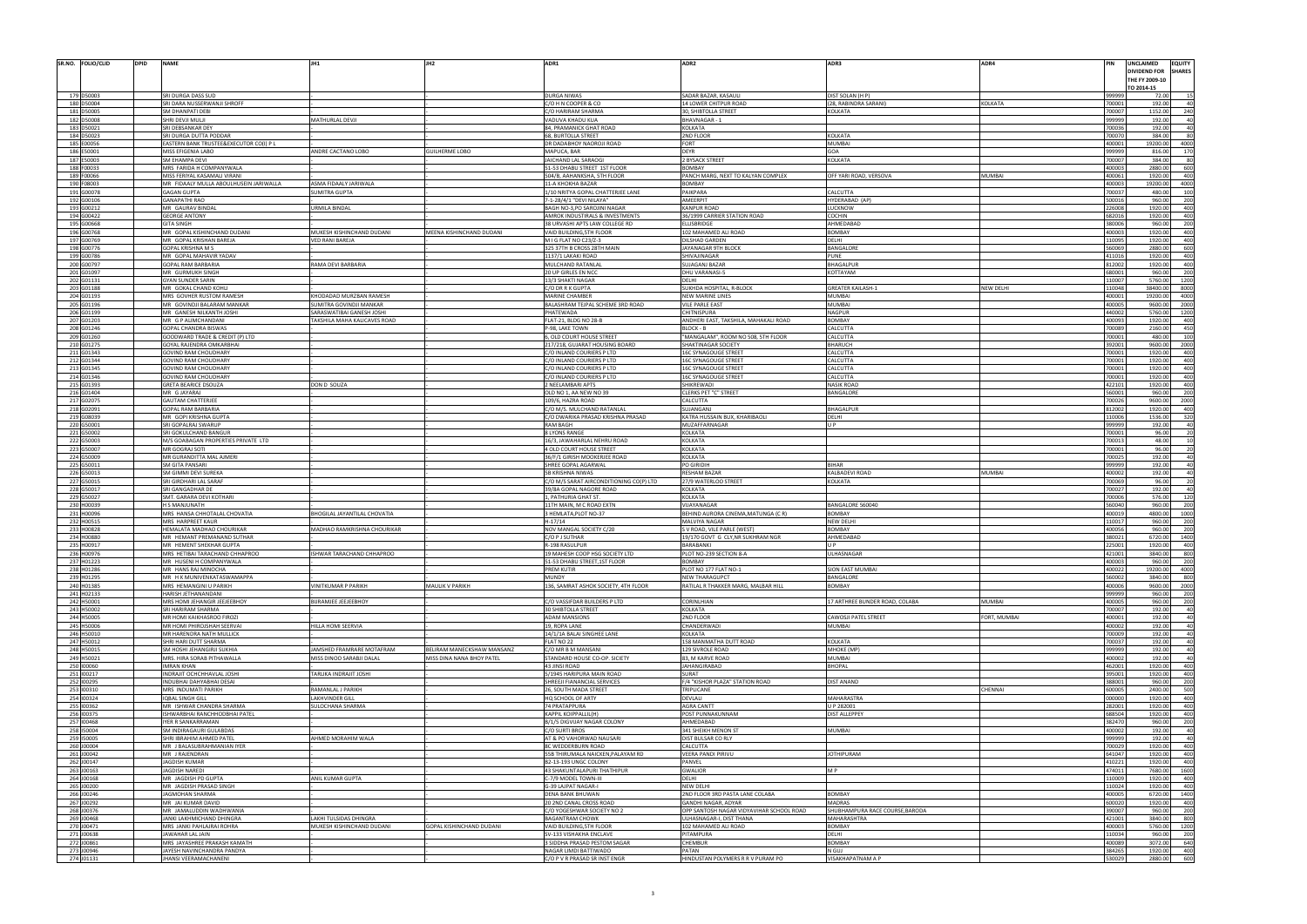| SR.NO. FOLIO/CLID<br><b>DPID</b>                                                                                                                                                                                                                                                                                                             | <b>NAME</b>                                         |                              |                            | ADR1                                                  | ADR <sub>2</sub>                                  | ADR3                            | ADR4          |                  | UNCLAIMED                      | <b>EQUITY</b>                                                                                                                             |
|----------------------------------------------------------------------------------------------------------------------------------------------------------------------------------------------------------------------------------------------------------------------------------------------------------------------------------------------|-----------------------------------------------------|------------------------------|----------------------------|-------------------------------------------------------|---------------------------------------------------|---------------------------------|---------------|------------------|--------------------------------|-------------------------------------------------------------------------------------------------------------------------------------------|
|                                                                                                                                                                                                                                                                                                                                              |                                                     |                              |                            |                                                       |                                                   |                                 |               |                  | DIVIDEND FOR<br>THE FY 2009-10 |                                                                                                                                           |
|                                                                                                                                                                                                                                                                                                                                              |                                                     |                              |                            |                                                       |                                                   |                                 |               |                  | TO 2014-15                     |                                                                                                                                           |
| 179 D50003                                                                                                                                                                                                                                                                                                                                   | SRI DURGA DASS SUD                                  |                              |                            | DURGA NIWAS                                           | SADAR BAZAR, KASAULI                              | DIST SOLAN (H P)                |               | 99999            | 72.00                          |                                                                                                                                           |
| 180 D50004                                                                                                                                                                                                                                                                                                                                   | SRI DARA NUSSERWANJI SHROFF                         |                              |                            | C/O H N COOPER & CO                                   | 14 LOWER CHITPUR ROAD                             | (28, RABINDRA SARANI)           | KOLKATA       | 700001           | 192.00                         |                                                                                                                                           |
| 181 D50005                                                                                                                                                                                                                                                                                                                                   | SM DHANPATI DEBI                                    |                              |                            | /O HARIRAM SHARMA                                     | <b>30. SHIBTOLLA STREET</b>                       | KOLKATA                         |               | 700007           | 1152.00                        |                                                                                                                                           |
| 182 D50008                                                                                                                                                                                                                                                                                                                                   | SHRI DEVJI MULJI                                    | MATHURLAL DEVJI              |                            | VADUVA KHADU KUA                                      | BHAVNAGAR -                                       |                                 |               | 999999           | 192.00                         |                                                                                                                                           |
| 183 D50021                                                                                                                                                                                                                                                                                                                                   | SRI DEBSANKAR DEY                                   |                              |                            | 84, PRAMANICK GHAT ROAD                               | <b>KOLKATA</b>                                    |                                 |               | 700036           | 192.00                         |                                                                                                                                           |
| 184 D50023                                                                                                                                                                                                                                                                                                                                   | SRI DURGA DUTTA PODDAR                              |                              |                            | 68, BURTOLLA STREET                                   | 2ND FLOOR                                         | KOLKATA                         |               | 700070           | 384.00                         |                                                                                                                                           |
| 185 E00056                                                                                                                                                                                                                                                                                                                                   | EASTERN BANK TRUSTEE&EXECUTOR CO(I) P L             |                              |                            | DR DADABHOY NAOROJI ROAD                              | <b>FORT</b>                                       | MUMBAI                          |               | 40000            | 19200.00                       | 4000                                                                                                                                      |
| 186 E50001                                                                                                                                                                                                                                                                                                                                   | MISS EFIGENIA LABO                                  | ANDRE CACTANO LOBO           | <b>GUILHERME LOBO</b>      | MAPUCA, BAR                                           | <b>DEYR</b>                                       | GOA                             |               | 999999           | 816.00                         | 17                                                                                                                                        |
| 187 E50003                                                                                                                                                                                                                                                                                                                                   | <b>SM EHAMPA DEVI</b>                               |                              |                            | JAICHAND LAL SARAOGI                                  | 2 BYSACK STREET                                   | <b>KOLKATA</b>                  |               | 700007           | 384.00                         |                                                                                                                                           |
| 188 F00033                                                                                                                                                                                                                                                                                                                                   | MRS FARIDA H COMPANYWALA                            |                              |                            | 51-53 DHABU STREET 1ST FLOOR                          | <b>BOMBAY</b>                                     |                                 |               | 400003           | 2880.00                        | 600                                                                                                                                       |
| 189 F00066                                                                                                                                                                                                                                                                                                                                   | MISS FERIYAL KASAMALI VIRANI                        |                              |                            | 504/B, AAHANKSHA, 5TH FLOOR                           | PANCH MARG, NEXT TO KALYAN COMPLEX                | OFF YARI ROAD, VERSOVA          | <b>MUMBAI</b> | 400061           | 1920.00                        |                                                                                                                                           |
| 190 F08003                                                                                                                                                                                                                                                                                                                                   | MR FIDAALY MULLA ABOULHUSEIN JARIWALLA              | ASMA FIDAALY JARIWALA        |                            | 1-A KHOKHA BAZAR                                      | <b>BOMBAY</b>                                     |                                 |               | 400003           | 19200.00                       | 4000                                                                                                                                      |
| 191 G00078                                                                                                                                                                                                                                                                                                                                   | <b>GAGAN GUPTA</b>                                  | <b>SUMITRA GUPTA</b>         |                            | 10 NRITYA GOPAL CHATTERJEE LANE                       | <b>PAIKPARA</b>                                   | CALCUTTA                        |               | 700037           | 480.00                         | 10 <sub>l</sub>                                                                                                                           |
| 192 G00106                                                                                                                                                                                                                                                                                                                                   | <b>GANAPATHI RAO</b>                                |                              |                            | 7-1-28/4/1 "DEVI NILAYA"                              | AMEERPIT                                          | HYDERABAD (AP                   |               | 50001            | 960.00                         |                                                                                                                                           |
| 193 G00212                                                                                                                                                                                                                                                                                                                                   | MR GAURAV BINDAI                                    | JRMILA BINDAL                |                            | BAGH NO-3, PO SAROJINI NAGAR                          | KANPUR ROAD                                       | LUCKNOW                         |               | 226008           | 1920.00                        | 400                                                                                                                                       |
| 194 G00422                                                                                                                                                                                                                                                                                                                                   | <b>GEORGE ANTONY</b>                                |                              |                            | AMROK INDUSTIRALS & INVESTMENTS                       | 36/1999 CARRIER STATION ROAD                      | COCHIN                          |               | 682016           | 1920.00                        | 40                                                                                                                                        |
| 195 G00668                                                                                                                                                                                                                                                                                                                                   | <b>GITA SINGH</b>                                   |                              |                            | 38 URVASHI APTS LAW COLLEGE RD                        | ELLISBRIDGE                                       | AHMEDABAD                       |               | 380006           | 960.00                         | 20l                                                                                                                                       |
| 196 G00768                                                                                                                                                                                                                                                                                                                                   | MR GOPAL KISHINCHAND DUDANI                         | MUKESH KISHINCHAND DUDANI    | MEENA KISHINCHAND DUDANI   | VAID BUILDING, 5TH FLOOR                              | 102 MAHAMED ALI ROAD                              | <b>BOMBAY</b>                   |               | 400003           | 1920.00                        | 400                                                                                                                                       |
| 197 G00769                                                                                                                                                                                                                                                                                                                                   | MR GOPAL KRISHAN BAREJA                             | <b>VED RANI BAREJA</b>       |                            | M I G FLAT NO C23/Z-3                                 | <b>DILSHAD GARDEN</b>                             | DELHI                           |               | 110095           | 1920.00                        | 40 <sub>1</sub>                                                                                                                           |
| 198 G00776                                                                                                                                                                                                                                                                                                                                   | <b>GOPAL KRISHNA M S</b>                            |                              |                            | 325 37TH B CROSS 28TH MAIN                            | JAYANAGAR 9TH BLOCK                               | BANGALORE                       |               | 560069           | 2880.00                        |                                                                                                                                           |
| 199 G00786                                                                                                                                                                                                                                                                                                                                   | MR GOPAL MAHAVIR YADAV                              |                              |                            | 1137/1 LAKAKI ROAD                                    | SHIVAJINAGAF                                      | PUNE                            |               | 41101            | 1920.00                        | 40 <sub>1</sub>                                                                                                                           |
| 200 G00797                                                                                                                                                                                                                                                                                                                                   | <b>GOPAL RAM BARBARIA</b>                           | RAMA DEVI BARBARIA           |                            | MULCHAND RATANLAI                                     | SUJAGANJ BAZAF                                    | BHAGALPUR                       |               | 812002           | 1920.00                        | 400                                                                                                                                       |
| 201 G01097                                                                                                                                                                                                                                                                                                                                   | MR GURMUKH SINGH                                    |                              |                            | 20 UP GIRLES EN NCO                                   | DHU VARANASI-!                                    | KOTTAYAM                        |               | 680001           | 960.00                         |                                                                                                                                           |
| 202 G01131                                                                                                                                                                                                                                                                                                                                   | <b>GYAN SUNDER SARIN</b>                            |                              |                            | 3/3 SHAKTI NAGAR                                      | DELHI                                             |                                 |               | 110007           | 5760.00                        | 1200                                                                                                                                      |
| 203 G01188                                                                                                                                                                                                                                                                                                                                   | MR GOKAL CHAND KOHLI                                |                              |                            | C/O DR R K GUPTA                                      | SUKHDA HOSPITAL, R-BLOCK                          | <b>GREATER KAILASH-:</b>        | NEW DELHI     | 110048           | 38400.00                       | 800                                                                                                                                       |
| 204 G01193                                                                                                                                                                                                                                                                                                                                   | MRS GOVHER RUSTOM RAMESH                            | KHODADAD MURZBAN RAMESH      |                            | MARINE CHAMBER                                        | <b>NEW MARINE LINES</b>                           | MUMBAI                          |               | 40000            | 19200.00                       | 4000                                                                                                                                      |
| 205 G01196                                                                                                                                                                                                                                                                                                                                   | MR GOVINDJI BALARAM MANKAR                          | SUMITRA GOVINDJI MANKAR      |                            | BALASHRAM TEJPAL SCHEME 3RD ROAD                      | <b>VILE PARLE EAST</b>                            | <b>MUMBAI</b>                   |               | 400005           | 9600.00                        | 2000                                                                                                                                      |
| 206 G01199                                                                                                                                                                                                                                                                                                                                   | MR GANESH NILKANTH JOSHI                            | SARASWATIBAI GANESH JOSHI    |                            | PHATEWADA                                             | <b>CHITNISPURA</b>                                | <b>NAGPUR</b>                   |               | 440002           | 5760.00                        | 1200                                                                                                                                      |
| 207 G01203                                                                                                                                                                                                                                                                                                                                   | MR G P ALIMCHANDANI                                 | AKSHILA MAHA KALICAVES ROAD  |                            | FLAT-21, BLDG NO 28-B                                 | ANDHERI EAST, TAKSHILA, MAHAKALI ROAD             | <b>BOMBAY</b>                   |               | 400093           | 1920.00                        | 45                                                                                                                                        |
| 208 G01246                                                                                                                                                                                                                                                                                                                                   | GOPAL CHANDRA BISWAS                                |                              |                            | <b>P-98, LAKE TOWN</b>                                | <b>BLOCK - I</b>                                  | CALCUTTA                        |               | 70008            | 2160.00                        |                                                                                                                                           |
| 209 G01260                                                                                                                                                                                                                                                                                                                                   | GOODWARD TRADE & CREDIT (P) LTD                     |                              |                            | <b>6, OLD COURT HOUSE STREET</b>                      | "MANGALAM", ROOM NO 508, 5TH FLOOR                | CALCUTTA                        |               | 700001           | 480.00                         | 10 <sup>1</sup>                                                                                                                           |
| 210 G01275                                                                                                                                                                                                                                                                                                                                   | GOYAL RAJENDRA OMKARBHAI                            |                              |                            | 217/218, GUJARAT HOUSING BOARD                        | <b>SHAKTINAGAR SOCIETY</b>                        | <b>BHARUCH</b>                  |               | 392001           | 9600.00                        | 2000                                                                                                                                      |
| 211 G01343                                                                                                                                                                                                                                                                                                                                   | <b>GOVIND RAM CHOUDHARY</b>                         |                              |                            | /O INLAND COURIERS P LTD                              | <b>16C SYNAGOUGE STREET</b>                       | CALCUTTA                        |               | 70000            | 1920.00                        | 40 <sup>1</sup><br>$\Delta$ 01                                                                                                            |
| 212 G01344<br>213 G01345                                                                                                                                                                                                                                                                                                                     | <b>GOVIND RAM CHOUDHARY</b>                         |                              |                            | C/O INLAND COURIERS P LTD                             | <b>16C SYNAGOUGE STREET</b>                       | CALCUTTA<br>CALCUTTA            |               | 70000<br>700001  | 1920.00<br>1920.00             | 400                                                                                                                                       |
|                                                                                                                                                                                                                                                                                                                                              | <b>GOVIND RAM CHOUDHARY</b>                         |                              |                            | C/O INLAND COURIERS P LTD                             | <b>16C SYNAGOUGE STREET</b>                       |                                 |               |                  |                                | 40 <sub>1</sub>                                                                                                                           |
| 214 G01346                                                                                                                                                                                                                                                                                                                                   | <b>GOVIND RAM CHOUDHARY</b>                         |                              |                            | C/O INLAND COURIERS P LTD                             | <b>16C SYNAGOUGE STREET</b>                       | CALCUTTA                        |               | 700001           | 1920.00                        |                                                                                                                                           |
| 215 G01393                                                                                                                                                                                                                                                                                                                                   | GRETA BEARICE DSOUZA                                | DON D SOUZA                  |                            | NEELAMBARI APTS                                       | SHIKREWAD                                         | <b>NASIK ROAD</b>               |               | 42210            | 1920.00                        | 40 <sub>1</sub>                                                                                                                           |
| 216 G01404                                                                                                                                                                                                                                                                                                                                   | MR GJAYARAJ                                         |                              |                            | OLD NO 1, AA NEW NO 39                                | <b>CLERKS PET "C" STREET</b>                      | BANGALORE                       |               | 560001           | 960.00                         |                                                                                                                                           |
| 217 G02075                                                                                                                                                                                                                                                                                                                                   | <b>GAUTAM CHATTERJEE</b>                            |                              |                            | 109/6, HAZRA ROAD                                     | CALCUTTA                                          |                                 |               | 700026           | 9600.00                        | 2000                                                                                                                                      |
| 218 G02091                                                                                                                                                                                                                                                                                                                                   | <b>GOPAL RAM BARBARIA</b>                           |                              |                            | :/O M/S. MULCHAND RATANLAL                            | <b>SUJANGANJ</b>                                  | BHAGALPUR                       |               | 812002           | 1920.00                        | 400                                                                                                                                       |
| 219 G08039                                                                                                                                                                                                                                                                                                                                   | MR GOPI KRISHNA GUPTA                               |                              |                            | :/O DWARIKA PRASAD KRISHNA PRASAD                     | KATRA HUSSAIN BUX, KHARIBAOLI                     | DELHI                           |               | 110006           | 1536.00                        |                                                                                                                                           |
| 220 G50001                                                                                                                                                                                                                                                                                                                                   | SRI GOPALRAJ SWARUP                                 |                              |                            | <b>RAM BAGH</b>                                       | MUZAFFARNAGAR                                     | II P                            |               | 999999           | 192.00                         |                                                                                                                                           |
| 221 G50002                                                                                                                                                                                                                                                                                                                                   | SRI GOKULCHAND BANGUR                               |                              |                            | <b>BLYONS RANGE</b>                                   | <b>KOLKATA</b>                                    |                                 |               | 700001           | 96.00                          |                                                                                                                                           |
| 222 G50003                                                                                                                                                                                                                                                                                                                                   | M/S GOABAGAN PROPERTIES PRIVATE LTD                 |                              |                            | 6/3, JAWAHARLAL NEHRU ROAD                            | <b>KOLKATA</b>                                    |                                 |               | 700013           | 48.00                          |                                                                                                                                           |
| 223 G50007                                                                                                                                                                                                                                                                                                                                   | MR GOGRAJ SOTI                                      |                              |                            | <b>4 OLD COURT HOUSE STREET</b>                       | <b>KOLKATA</b>                                    |                                 |               | 700001           | 96.00                          |                                                                                                                                           |
| 224 G50009                                                                                                                                                                                                                                                                                                                                   | MR GURANDITTA MAL AJMERI                            |                              |                            | 6/F/1 GIRISH MOOKERJEE ROAD                           | KOLKATA                                           |                                 |               | 700025           | 192.00                         |                                                                                                                                           |
| 225 G50011                                                                                                                                                                                                                                                                                                                                   | <b>SM GITA PANSARI</b>                              |                              |                            | SHREE GOPAL AGARWAL                                   | PO GIRIDIH                                        | BIHAR                           |               | 999999           | 192.00                         |                                                                                                                                           |
| 226 G50013                                                                                                                                                                                                                                                                                                                                   | SM GIMMI DEVI SUREKA                                |                              |                            | <b>B KRISHNA NIWAS</b>                                | <b>RESHAM BAZAR</b>                               | KALBADEVI ROAD                  | <b>MUMBAI</b> | 400002           | 192.00                         |                                                                                                                                           |
| 227 G50015                                                                                                                                                                                                                                                                                                                                   | SRI GIRDHARI LAL SARAF                              |                              |                            | /O M/S SARAT AIRCONDITIONING CO(P) LTD                | 27/9 WATERLOO STREET                              | KOLKATA                         |               | 700069           | 96.00                          |                                                                                                                                           |
| 228 G50017                                                                                                                                                                                                                                                                                                                                   | SRI GANGADHAR DE                                    |                              |                            | 9/8A GOPAL NAGORE ROAD                                | <b>KOLKATA</b>                                    |                                 |               | 700027           | 192.00                         |                                                                                                                                           |
| 229 G50027                                                                                                                                                                                                                                                                                                                                   | SMT. GARARA DEVI KOTHARI                            |                              |                            | PATHURIA GHAT ST.                                     | KOLKATA                                           |                                 |               | 700006           | 576.00                         | 120                                                                                                                                       |
| 230 H00039                                                                                                                                                                                                                                                                                                                                   | <b>H S MANJUNATH</b>                                |                              |                            | 1TH MAIN, M C ROAD EXTN                               | VIJAYANAGAR                                       | BANGALORE 560040                |               | 560040           | 960.00                         |                                                                                                                                           |
| 231 H00096                                                                                                                                                                                                                                                                                                                                   | MRS HANSA CHHOTALAL CHOVATIA                        | BHOGILAL JAYANTILAL CHOVATIA |                            | HEMLATA, PLOT NO-37                                   | BEHIND AURORA CINEMA, MATUNGA (CR)                | <b>BOMBAY</b>                   |               | 400019           | 4800.00                        | 1000                                                                                                                                      |
| 232 H00515                                                                                                                                                                                                                                                                                                                                   | MRS HARPREET KAUR                                   |                              |                            | H-17/14                                               | <b>MALVIYA NAGAR</b>                              | NEW DELHI                       |               | 11001            | 960.0                          |                                                                                                                                           |
| 233 H00828                                                                                                                                                                                                                                                                                                                                   | HEMALATA MADHAO CHOURIKAR                           | MADHAO RAMKRISHNA CHOURIKAR  |                            | NOV MANGAL SOCIETY C/20                               | S V ROAD, VILE PARLE (WEST)                       | <b>BOMBAY</b>                   |               | 400056           | 960.00                         | 20l                                                                                                                                       |
| 234 H00880                                                                                                                                                                                                                                                                                                                                   | MR HEMANT PREMANAND SUTHAR                          |                              |                            | C/O P J SUTHAR                                        | 19/170 GOVT G CLY, NR SUKHRAM NGR                 | AHMEDABAD                       |               | 380021           | 6720.00                        | 1400                                                                                                                                      |
| 235 H00917                                                                                                                                                                                                                                                                                                                                   | MR HEMENT SHEKHAR GUPT/                             |                              |                            | 198 RASULPU                                           | BARABANKI                                         |                                 |               | 22500            | 1920.0                         |                                                                                                                                           |
| 236 H00976                                                                                                                                                                                                                                                                                                                                   | MRS HETIBAI TARACHAND CHHAPROO                      | ISHWAR TARACHAND CHHAPROO    |                            | 9 MAHESH COOP HSG SOCIETY LTD                         | PLOT NO-239 SECTION 8-A                           | <b>JLHASNAGAR</b>               |               | 421001           | 3840.00                        | 800                                                                                                                                       |
| 237 H01223                                                                                                                                                                                                                                                                                                                                   | MR HUSENI H COMPANYWALA                             |                              |                            | 51-53 DHABU STREET, 1ST FLOOR                         | <b>BOMBAY</b>                                     |                                 |               | 400003           | 960.00                         | 200                                                                                                                                       |
| 238 H01286                                                                                                                                                                                                                                                                                                                                   | MR HANS RAJ MINOCHA                                 |                              |                            | PREM KUTIR                                            | PLOT NO 177 FLAT NO-1                             | SION EAST MUMBAI                |               | 400022           | 19200.00                       | 4000                                                                                                                                      |
| 239 H01295                                                                                                                                                                                                                                                                                                                                   | MR H K MUNIVENKATASWAMAPPA                          |                              |                            | <b>MUNDY</b>                                          | <b>NEW THARAGUPCT</b>                             | BANGALORE                       |               | 560002           | 3840.00                        |                                                                                                                                           |
| 240 H01385                                                                                                                                                                                                                                                                                                                                   | MRS HEMANGINI U PARIKH                              | <b>INITKUMAR P PARIKH</b>    | MAULIK V PARIKH            | 36. SAMRAT ASHOK SOCIETY, 4TH FLOOR                   | RATILAL R THAKKER MARG, MALBAR HILL               | <b>BOMBAY</b>                   |               | 400006           | 9600.00                        | 2000                                                                                                                                      |
| 241 H02133                                                                                                                                                                                                                                                                                                                                   | HARISH JETHANANDANI                                 |                              |                            |                                                       |                                                   |                                 |               | 999999           | 960.00                         | 200                                                                                                                                       |
| 242 H50001                                                                                                                                                                                                                                                                                                                                   | MRS HOMI JEHANGIR JEEJEEBHOY                        | <b>BIJRAMJEE JEEJEEBHOY</b>  |                            | C/O VASSIFDAR BUILDERS P LTD                          | CORINLHIAN                                        | 17 ARTHREE BUNDER ROAD, COLABA  | <b>MUMBAI</b> | 400005           | 960.00                         | 200                                                                                                                                       |
| 243 H50002                                                                                                                                                                                                                                                                                                                                   | SRI HARIRAM SHARMA<br>MR HOMI KAIKHASROO FIROZI     |                              |                            | <b>0 SHIBTOLLA STREET</b>                             | KOLKATA                                           |                                 |               | 700007           | 192.00                         |                                                                                                                                           |
| 244 H50005<br>245 H50006                                                                                                                                                                                                                                                                                                                     |                                                     |                              |                            |                                                       |                                                   |                                 |               |                  | 192.00                         |                                                                                                                                           |
|                                                                                                                                                                                                                                                                                                                                              |                                                     |                              |                            | <b>ADAM MANSIONS</b>                                  | 2ND FLOOR                                         | CAWOSJI PATEL STREET            | FORT, MUMBAI  | 400001           |                                |                                                                                                                                           |
|                                                                                                                                                                                                                                                                                                                                              | MR HOMI PHIROJSHAH SEERVAI                          | HILLA HOMI SEERVIA           |                            | 9, ROPA LANE                                          | CHANDERWADI                                       | <b>MUMBAI</b>                   |               | 400002           | 192.00                         |                                                                                                                                           |
|                                                                                                                                                                                                                                                                                                                                              | MR HARENDRA NATH MULLICK                            |                              |                            | 14/1/1A BALAI SINGHEE LANE                            | KOLKATA                                           |                                 |               | 700009           | 192.00                         |                                                                                                                                           |
|                                                                                                                                                                                                                                                                                                                                              | SHRI HARI DUTT SHARMA                               |                              |                            | FLAT NO 22                                            | 158 MANMATHA DUTT ROAD                            | KOLKATA                         |               | 700037           | 192.00                         |                                                                                                                                           |
|                                                                                                                                                                                                                                                                                                                                              | SM HOSHI JEHANGIRJI SUKHIA                          | JAMSHED FRAMRARE MOTAFRAM    | BELIRAM MANECKSHAW MANSANZ | C/O MR B M MANSANI                                    | <b>129 SIVROLE ROAD</b>                           | MHOKE (MP)                      |               | 999999           | 192.00                         |                                                                                                                                           |
|                                                                                                                                                                                                                                                                                                                                              | MRS. HIRA SORAB PITHAWALLA                          | MISS DINOO SARABJI DALAL     | MISS DINA NANA BHOY PATEL  | <b>STANDARD HOUSE CO-OP, SICIETY</b>                  | 83, M KARVE ROAD                                  | <b>MUMBAI</b>                   |               | 400002           | 192.00                         |                                                                                                                                           |
|                                                                                                                                                                                                                                                                                                                                              | <b>IMRAN KHAN</b>                                   |                              |                            | 43 JINSI ROAD                                         | JAHANGIRABAD                                      | <b>BHOPAL</b>                   |               | 462001           | 1920.00                        |                                                                                                                                           |
|                                                                                                                                                                                                                                                                                                                                              | INDRAJIT OCHCHHAVLAL JOSHI                          | TARLIKA INDRAJIT JOSHI       |                            | /1945 HARIPURA MAIN ROAD                              | SURAT                                             |                                 |               | 395001           | 1920.00                        |                                                                                                                                           |
|                                                                                                                                                                                                                                                                                                                                              | INDUBHAI DAHYABHAI DESAI                            |                              |                            | SHREEJI FIANANCIAL SERVICES                           | F/4 "KISHOR PLAZA" STATION ROAD                   | DIST ANAND                      |               | 388001           | 960.00                         |                                                                                                                                           |
|                                                                                                                                                                                                                                                                                                                                              | MRS INDUMATI PARIKH                                 | RAMANLAL J PARIKH            |                            | 26, SOUTH MADA STREET                                 | TRIPLICANE                                        |                                 | CHENNAI       | 600005           | 2400.00                        |                                                                                                                                           |
|                                                                                                                                                                                                                                                                                                                                              | <b>IQBAL SINGH GILL</b>                             | <b>AKHVINDER GILL</b>        |                            | HQ SCHOOL OF ARTY                                     | <b>DEVLALI</b>                                    | MAHARASTRA                      |               | 000000           | 1920.00                        |                                                                                                                                           |
|                                                                                                                                                                                                                                                                                                                                              | MR ISHWAR CHANDRA SHARMA                            | SULOCHANA SHARMA             |                            | 74 PRATAPPURA                                         | <b>AGRA CANTT</b>                                 | U P 282001                      |               | 282001           | 1920.00                        |                                                                                                                                           |
|                                                                                                                                                                                                                                                                                                                                              | ISHWARBHAI RANCHHODBHAI PATEL                       |                              |                            | KAPPIL KOIPPALLIL(H)                                  | POST PUNNAKUNNAM                                  | DIST ALLEPPEY                   |               | 688504           | 1920.00                        |                                                                                                                                           |
|                                                                                                                                                                                                                                                                                                                                              | <b>IYER R SANKARRAMAN</b>                           |                              |                            | B/1/5 DIGVIJAY NAGAR COLONY                           | AHMEDABAD                                         |                                 |               | 382470           | 960.00                         |                                                                                                                                           |
|                                                                                                                                                                                                                                                                                                                                              | SM INDIRAGAURI GULABDAS                             |                              |                            | C/O SURTI BROS                                        | 341 SHEIKH MENON ST                               | <b>MUMBAI</b>                   |               | 400002           | 192.00                         |                                                                                                                                           |
|                                                                                                                                                                                                                                                                                                                                              | SHRI IBRAHIM AHMED PATEI                            | AHMED MORAHIM WALA           |                            | AT & PO VAHORWAD NAUSARI                              | DIST BULSAR CO RLY                                |                                 |               | 999999           | 192.00                         |                                                                                                                                           |
|                                                                                                                                                                                                                                                                                                                                              | MR J BALASUBRAHMANIAN IYER                          |                              |                            | 8C WEDDERBURN ROAD                                    | CALCUTTA                                          |                                 |               | 700029           | 1920.00                        |                                                                                                                                           |
|                                                                                                                                                                                                                                                                                                                                              | MR J RAJENDRAN                                      |                              |                            | 55B THIRUMALA NAICKEN, PALAYAM RD                     | VEERA PANDI PIRIVU                                | <b>JOTHIPURAM</b>               |               | 641047           | 1920.00                        |                                                                                                                                           |
|                                                                                                                                                                                                                                                                                                                                              | <b>JAGDISH KUMAR</b>                                |                              |                            | B2-13-193 UNGC COLONY                                 | PANVEL                                            |                                 |               | 410221           | 1920.00                        |                                                                                                                                           |
|                                                                                                                                                                                                                                                                                                                                              | JAGDISH NAREDI                                      |                              |                            | 3 SHAKUNTALAPURI THATHIPUR                            | <b>GWALIOR</b>                                    | M <sub>P</sub>                  |               | 474011           | 7680.00                        |                                                                                                                                           |
|                                                                                                                                                                                                                                                                                                                                              | MR JAGDISH PD GUPTA                                 | ANIL KUMAR GUPTA             |                            | C-7/9 MODEL TOWN-III                                  | DELHI                                             |                                 |               | 110009           | 1920.00                        |                                                                                                                                           |
|                                                                                                                                                                                                                                                                                                                                              | MR JAGDISH PRASAD SINGH                             |                              |                            | G-39 LAJPAT NAGAR-I                                   | <b>NEW DELHI</b>                                  |                                 |               | 110024           | 1920.00                        |                                                                                                                                           |
|                                                                                                                                                                                                                                                                                                                                              | JAGMOHAN SHARMA                                     |                              |                            | <b>DENA BANK BHUWAN</b>                               | 2ND FLOOR 3RD PASTA LANE COLABA                   | <b>BOMBAY</b>                   |               | 400005           | 6720.00                        |                                                                                                                                           |
|                                                                                                                                                                                                                                                                                                                                              | MR JAI KUMAR DAVID                                  |                              |                            | 20 2ND CANAL CROSS ROAD                               | GANDHI NAGAR, ADYAR                               | <b>MADRAS</b>                   |               | 600020           | 1920.00                        |                                                                                                                                           |
|                                                                                                                                                                                                                                                                                                                                              | MR JAMALUDDIN WADHWANIA                             |                              |                            | C/O YOGESHWAR SOCIETY NO 2                            | OPP SANTOSH NAGAR VIDYAVIHAR SCHOOL ROAD          | SHUBHAMPURA RACE COURSE, BARODA |               | 390007           | 960.00                         |                                                                                                                                           |
|                                                                                                                                                                                                                                                                                                                                              | JANKI LAKHMICHAND DHINGRA                           | LAKHI TULSIDAS DHINGRA       |                            | <b>BAGANTRAM CHOWK</b>                                | ULHASNAGAR-I, DIST THANA                          | MAHARASHTRA                     |               | 421001           | 3840.00                        |                                                                                                                                           |
|                                                                                                                                                                                                                                                                                                                                              | MRS JANKI PAHLAJRAI ROHRA                           | MUKESH KISHINCHAND DUDANI    | GOPAL KISHINCHAND DUDANI   | VAID BUILDING, 5TH FLOOR                              | 102 MAHAMED ALI ROAD                              | <b>BOMBAY</b>                   |               | 400003           | 5760.00                        |                                                                                                                                           |
|                                                                                                                                                                                                                                                                                                                                              | JAWAHAR LAL JAIN                                    |                              |                            | SV-133 VISHAKHA ENCLAVE                               | PITAMPURA                                         | DELHI                           |               | 110034           | 960.00                         | 400<br>400<br>200<br>500<br>400<br>400<br>400<br>40 <sub>1</sub><br>400<br>400<br>1600<br>400<br>400<br>1400<br>400<br>200<br>800<br>1200 |
| 254 100324<br>258 150004<br>260 J00004<br>267 J00292<br>269 J00468                                                                                                                                                                                                                                                                           | MRS JAYASHREE PRAKASH KAMATH                        |                              |                            | SIDDHA PRASAD PESTOM SAGAR                            | <b>CHEMBUR</b>                                    | <b>BOMBAY</b>                   |               | 400089           | 3072.00                        | 640<br>400                                                                                                                                |
| 246 H50010<br>247 H50012<br>248 H50015<br>249 H50021<br>250 100060<br>251 100217<br>252 100295<br>253 100310<br>255 100362<br>256 100375<br>257 100468<br>259 150005<br>261 J00042<br>262 J00147<br>263 J00163<br>264 J00168<br>265 J00200<br>266 J00246<br>268 J00376<br>270 J00471<br>271 J00638<br>272 J00861<br>273 J00946<br>274 J01131 | JAYESH NAVINCHANDRA PANDYA<br>JHANSI VEERAMACHANENI |                              |                            | NAGAR LIMDI BATTIWADO<br>CO P V R PRASAD SR INST ENGR | <b>PATAN</b><br>HINDUSTAN POLYMERS R R V PURAM PO | N GUJ<br>VISAKHAPATNAM A P      |               | 384265<br>530029 | 1920.00<br>2880.00             | 600                                                                                                                                       |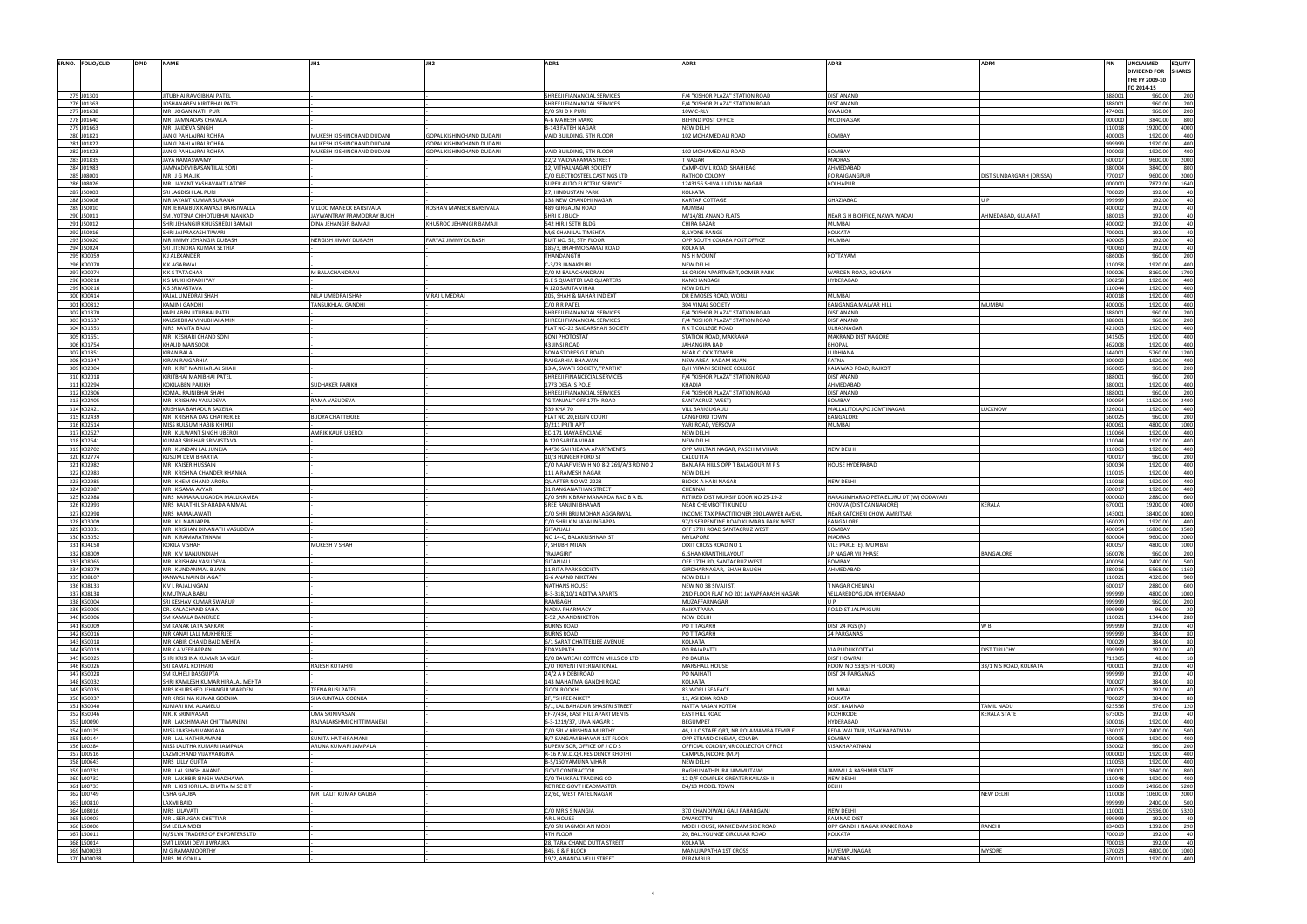|     | SR.NO. FOLIO/CLID        | <b>DPID</b> | <b>NAME</b>                               |                           |                          | ADR1                                                 | ADR <sub>2</sub>                         | ADR3                                    | ADR4                     |                  | UNCLAIMED<br><b>EQUITY</b>           |             |
|-----|--------------------------|-------------|-------------------------------------------|---------------------------|--------------------------|------------------------------------------------------|------------------------------------------|-----------------------------------------|--------------------------|------------------|--------------------------------------|-------------|
|     |                          |             |                                           |                           |                          |                                                      |                                          |                                         |                          |                  | <b>DIVIDEND FOR</b><br><b>SHARES</b> |             |
|     |                          |             |                                           |                           |                          |                                                      |                                          |                                         |                          |                  | THE FY 2009-10                       |             |
|     |                          |             |                                           |                           |                          |                                                      |                                          |                                         |                          |                  | TO 2014-15                           |             |
|     | 275 J01301               |             | JITUBHAI RAVGIBHAI PATE                   |                           |                          | SHREEJI FIANANCIAL SERVICES                          | F/4 "KISHOR PLAZA" STATION ROAD          | DIST ANAND                              |                          | 388001<br>388001 | 960.00                               |             |
|     | 276 J01363               |             | JOSHANABEN KIRITBHAI PATEL                |                           |                          | HREEJI FIANANCIAL SERVICES                           | /4 "KISHOR PLAZA" STATION ROAD           | DIST ANAND                              |                          |                  | 960.00                               | 200         |
|     | 277 J01638               |             | MR JOGAN NATH PURI                        |                           |                          | C/O SRI D K PURI                                     | 10W C-RLY                                | <b>GWALIOR</b><br>MODINAGAR             |                          | 474001<br>000000 | 960.00<br>3840.00                    | 200         |
|     | 278 J01640<br>279 J01663 |             | MR JAMNADAS CHAWLA                        |                           |                          | A-6 MAHESH MARG                                      | BEHIND POST OFFICE<br>NEW DELHI          |                                         |                          | 10018            | 19200.00<br>4000                     |             |
|     | 280 J01821               |             | MR JAIDEVA SINGH<br>JANKI PAHLAJRAI ROHRA | MUKESH KISHINCHAND DUDANI | GOPAL KISHINCHAND DUDANI | <b>B-143 FATEH NAGAR</b><br>VAID BUILDING, 5TH FLOOR | 102 MOHAMED ALI ROAD                     | <b>BOMBAY</b>                           |                          | 400003           | 1920.00                              | 400         |
|     | 281 J01822               |             |                                           |                           |                          |                                                      |                                          |                                         |                          |                  |                                      |             |
|     |                          |             | JANKI PAHLAJRAI ROHRA                     | MUKESH KISHINCHAND DUDANI | GOPAL KISHINCHAND DUDANI |                                                      |                                          |                                         |                          | 999999           | 1920.00                              |             |
|     | 282 J01823               |             | JANKI PAHLAJRAI ROHRA                     | MUKESH KISHINCHAND DUDANI | GOPAL KISHINCHAND DUDANI | AID BUILDING, 5TH FLOOR                              | 02 MOHAMED ALI ROAD                      | BOMBAY                                  |                          | 100003           | 1920.00                              |             |
|     | 283 J01835               |             | JAYA RAMASWAMY                            |                           |                          | 22/2 VAIDYARAMA STREET                               | NAGAR                                    | MADRAS                                  |                          | 600017           | 9600.00                              | 2000        |
|     | 284 J01983               |             | JAMNADEVI BASANTILAL SONI                 |                           |                          | <b>12, VITHALNAGAR SOCIETY</b>                       | CAMP-CIVIL ROAD, SHAHIBAG                | AHMEDABAD                               |                          | 380004           | 3840.00                              | 800         |
|     | 285 J08001               |             | MR J G MALIK                              |                           |                          | C/O ELECTROSTEEL CASTINGS LTD                        | RATHOD COLONY                            | PO RAJGANGPUF                           | DIST SUNDARGARH (ORISSA) | 70017            | 9600.00<br>2000                      |             |
|     | 286 J08026               |             | MR JAYANT YASHAVANT LATORE                |                           |                          | <b>SUPER AUTO ELECTRIC SERVICE</b>                   | 1243156 SHIVAJI UDJAM NAGAR              | <b>KOLHAPUR</b>                         |                          | 000000           | 7872.00                              |             |
|     | 287 J50003               |             | SRI JAGDISH LAL PURI                      |                           |                          | 27, HINDUSTAN PARK                                   | KOLKATA                                  |                                         |                          | 700029           | 192.00                               |             |
|     | 288 J50008               |             | MR JAYANT KUMAR SURANA                    |                           |                          | <b>138 NEW CHANDHI NAGAR</b>                         | KARTAR COTTAGE                           | <b>GHAZIABAD</b>                        | II P                     | 999999           | 192.00                               |             |
|     | 289 J50010               |             | MR JEHANBUX KAWASJI BARSIWALLA            | VILLOO MANECK BARSIVALA   | ROSHAN MANECK BARSIVALA  | 489 GIRGAUM ROAD                                     | MUMBAI                                   |                                         |                          | 400002           | 192.00                               |             |
|     | 290 J50011               |             | SM JYOTSNA CHHOTUBHAI MANKAD              | JAYWANTRAY PRAMODRAY BUCH |                          | SHRI K J BUCH                                        | M/14/81 ANAND FLATS                      | NEAR G H B OFFICE, NAWA WADAJ           | AHMEDABAD, GUJARAT       | 380013           | 192.00                               |             |
|     | 291 J50012               |             | SHRI JEHANGIR KHUSSHEDJI BAMAJI           | DINA JEHANGIR BAMAJI      | KHUSROO JEHANGIR BAMAJI  | 542 HIRJI SETH BLDG                                  | CHIRA BAZAR                              | <b>MUMBAI</b>                           |                          | 400002           | 192.00                               |             |
|     | 292 J50016               |             | SHRI JAIPRAKASH TIWARI                    |                           |                          | M/S CHANILAL T MEHTA                                 | , LYONS RANGE                            | KOLKATA                                 |                          | 700001           | 192.00                               |             |
|     | 293 J50020               |             | MR JIMMY JEHANGIR DUBASH                  | NERGISH JIMMY DUBASH      | FARYAZ JIMMY DUBASH      | SUIT NO. 52, 5TH FLOOR                               | OPP SOUTH COLABA POST OFFICE             | MUMBAI                                  |                          | 400005           | 192.00                               |             |
|     | 294 J50024               |             | SRI JITENDRA KUMAR SETHIA                 |                           |                          | 185/3, BRAHMO SAMAJ ROAD                             | KOLKATA                                  |                                         |                          | 700060           | 192.00                               |             |
|     | 295 K00059               |             | K J ALEXANDER                             |                           |                          | THANDANGTH                                           | N S H MOUNT                              | KOTTAYAM                                |                          | 686006           | 960.00                               |             |
|     | 296 K00070               |             | <b>K K AGARWAL</b>                        |                           |                          | 2-3/23 JANAKPURI                                     | NEW DELHI                                |                                         |                          | 10058            | 1920.00                              | 400         |
|     | 297 K00074               |             | <b>K K S TATACHAR</b>                     | M BALACHANDRAN            |                          | C/O M BALACHANDRAN                                   | <b>16 ORION APARTMENT, OOMER PARK</b>    | WARDEN ROAD, BOMBAY                     |                          | 400026           | 8160.00<br>1700                      |             |
|     | 298 K00210               |             | K S MUKHOPADHYAY                          |                           |                          | <b>G.E S QUARTER LAB QUARTERS</b>                    | KANCHANBAGH                              | HYDERABAD                               |                          | 500258           | 1920.00                              | 400         |
|     | 299 K00216               |             | <b>K S SRIVASTAVA</b>                     |                           |                          | A 120 SARITA VIHAR                                   | NEW DELHI                                |                                         |                          | 10044            | 1920.00                              |             |
|     | 300 K00414               |             | KAJAL UMEDRAI SHAH                        | NILA UMEDRAI SHAH         | VIRAJ UMEDRAI            | 205, SHAH & NAHAR IND EXT                            | DR E MOSES ROAD, WORLI                   | <b>MUMBAI</b>                           |                          | 400018           | 1920.00                              | 400         |
|     | 301 K00812               |             | <b>KAMINI GANDHI</b>                      | TANSUKHLAL GANDHI         |                          | C/O R R PATEL                                        | 304 VIMAL SOCIETY                        | BANGANGA, MALVAR HILL                   | MUMBAI                   | 400006           | 1920.00                              | 400         |
|     | 302 K01370               |             | KAPILABEN JITUBHAI PATEI                  |                           |                          | SHREEJI FIANANCIAL SERVICES                          | /4 "KISHOR PLAZA" STATION ROAD           | <b>DIST ANAND</b>                       |                          | 388001           | 960.00                               | 200         |
|     | 303 K01537               |             | KAUSIKBHAI VINUBHAI AMIN                  |                           |                          | <b>SHREEJI FIANANCIAL SERVICES</b>                   | F/4 "KISHOR PLAZA" STATION ROAD          | <b>DIST ANAND</b>                       |                          | 388001           | 960.00                               | 200         |
|     | 304 K01553               |             | MRS KAVITA BAJAJ                          |                           |                          | FLAT NO-22 SAIDARSHAN SOCIETY                        | R K T COLLEGE ROAD                       | ULHASNAGAR                              |                          | 421003           | 1920.00                              | 400         |
|     | 305 K01651               |             | MR KESHARI CHAND SONI                     |                           |                          | <b>SONI PHOTOSTAT</b>                                | <b>STATION ROAD, MAKRANA</b>             | MAKRAND DIST NAGORE                     |                          | 341505           | 1920.00                              | 400         |
|     | 306 K01754               |             | <b>KHALID MANSOOR</b>                     |                           |                          | 43 JINSI ROAD                                        | JAHANGIRA BAD                            | <b>BHOPAL</b>                           |                          | 462008           | 1920.00                              | 400         |
|     | 307 K01851               |             | KIRAN BALA                                |                           |                          | <b>SONA STORES G T ROAD</b>                          | NEAR CLOCK TOWER                         | <b>AVAIHOU.</b>                         |                          | 144001           | 5760.00<br>1200                      |             |
|     | 308 K01947               |             | KIRAN RAJGARHIA                           |                           |                          | RAJGARHIA BHAWAN                                     | NEW AREA KADAM KUAN                      | PATNA                                   |                          | 800002           | 1920.00                              | 400         |
|     | 309 K02004               |             | MR KIRIT MANHARLAL SHAH                   |                           |                          | 13-A, SWATI SOCIETY, "PARTIK"                        | B/H VIRANI SCIENCE COLLEGE               | KALAWAD ROAD, RAJKOT                    |                          | 360005           | 960.00                               |             |
|     | 310 K02018               |             | KIRITBHAI MANIBHAI PATEL                  |                           |                          | <b>SHREEJI FINANCECIAL SERVICES</b>                  | /4 "KISHOR PLAZA" STATION ROAD           | DIST ANAND                              |                          | 388001           | 960.00                               | 200         |
|     | 311 K02294               |             | <b>KOKILABEN PARIKH</b>                   | UDHAKER PARIKH            |                          | 1773 DESAI S POLE                                    | KHADIA                                   | AHMEDABAD                               |                          | 380001           | 1920.00                              | 400         |
|     | 312 K02306               |             | KOMAL RAJNIBHAI SHAH                      |                           |                          | SHREEJI FIANANCIAL SERVICES                          | F/4 "KISHOR PLAZA" STATION ROAD          | DIST ANAND                              |                          | 388001           | 960.00                               | - 200       |
|     | 313 K02405               |             | MR KRISHAN VASUDEVA                       | RAMA VASUDEVA             |                          | 'GITANJALI" OFF 17TH ROAD                            | SANTACRUZ (WEST)                         | <b>BOMBAY</b>                           |                          | 400054           | 11520.00<br>2400                     |             |
|     | 314 K02421               |             | KRISHNA BAHADUR SAXENA                    |                           |                          | 339 KHA 70                                           | <b>/ILL BARIGUGAULI</b>                  | MALLALITOLA, PO JOMTINAGAR              | <b>UCKNOW</b>            | 226001           | 1920.00                              | 400         |
|     | 315 K02439               |             | MR KRISHNA DAS CHATRERJEE                 | <b>BIJOYA CHATTERJEE</b>  |                          | FLAT NO 20, ELGIN COURT                              | LANGFORD TOWN                            | BANGALORE                               |                          | 560025           | 960.00                               |             |
|     | 316 K02614               |             | MISS KULSUM HABIB KHIMJI                  |                           |                          | 0/211 PRITI APT                                      | YARI ROAD, VERSOVA                       | MUMBAI                                  |                          | 400061           | 4800.00<br>1000                      |             |
|     | 317 K02627               |             | MR KULWANT SINGH UBEROI                   | AMRIK KAUR UBEROI         |                          | EC-171 MAYA ENCLAVE                                  | NEW DELHI                                |                                         |                          | 10064            | 1920.00                              | 400         |
|     | 318 K02641               |             | KUMAR SRIBHAR SRIVASTAVA                  |                           |                          | 120 SARITA VIHAR                                     | NEW DELHI                                |                                         |                          | 10044            | 1920.00                              | 400         |
|     | 319 K02702               |             | MR KUNDAN LAL JUNEJA                      |                           |                          | A4/36 SAHRIDAYA APARTMENTS                           | OPP MULTAN NAGAR, PASCHIM VIHAR          | NEW DELHI                               |                          | 10063            | 1920.00                              | 400         |
|     | 320 K02774               |             | KUSUM DEVI BHARTIA                        |                           |                          | 10/3 HUNGER FORD ST                                  | CALCUTTA                                 |                                         |                          | 700017           | 960.00                               | 200         |
|     | 321 K02982               |             | MR KAISER HUSSAIN                         |                           |                          | C/O NAJAF VIEW H NO 8-2 269/A/3 RD NO 2              | BANJARA HILLS OPP T BALAGOUR M P S       | HOUSE HYDERABAD                         |                          | 500034           | 1920.00                              | 400         |
|     |                          |             |                                           |                           |                          |                                                      |                                          |                                         |                          |                  |                                      | 400         |
|     | 322 K02983               |             | MR KRISHNA CHANDER KHANNA                 |                           |                          | <b>L11 A RAMESH NAGAR</b>                            | NEW DELHI                                |                                         |                          | 110015           | 1920.00                              |             |
|     | 323 K02985               |             | MR KHEM CHAND ARORA                       |                           |                          | <b>QUARTER NO WZ-2228</b>                            | <b>BLOCK-A HARI NAGAR</b>                | NEW DELHI                               |                          | 10018            | 1920.00                              |             |
|     | 324 K02987               |             | MR K SAMA AYYAR                           |                           |                          | 1 RANGANATHAN STREET                                 | CHENNAL                                  |                                         |                          | 600017           | 1920.00                              |             |
|     | 325 K02988               |             | MRS KAMARAJUGADDA MALLIKAMBA              |                           |                          | C/O SHRI K BRAHMANANDA RAO B A BL                    | RETIRED DIST MUNSIF DOOR NO 25-19-2      | NARASIMHARAO PETA ELURU DT (W) GODAVARI |                          | 000000           | 2880.00                              | 600         |
|     | 326 K02993               |             | MRS KALATHIL SHARADA AMMAL                |                           |                          | SREE RANJINI BHAVAN                                  | NEAR CHEMBOTTI KUNDU                     | CHOVVA (DIST CANNANORE)                 | KERALA                   | 670001           | 19200.00<br>4000                     |             |
|     | 327 K02998               |             | MRS KAMALAWAT                             |                           |                          | C/O SHRI BRIJ MOHAN AGGARWAL                         | INCOME TAX PRACTITIONER 390 LAWYER AVENU | NEAR KATCHERI CHOW AMRITSAR             |                          | 143001           | 38400.00<br>8000                     |             |
|     | 328 K03009               |             | MR KLNANJAPPA                             |                           |                          | C/O SHRI K N JAYALINGAPPA                            | 7/1 SERPENTINE ROAD KUMARA PARK WEST     | BANGALORE                               |                          | 60020            | 1920.0                               |             |
|     | 329 K03031               |             | MR KRISHAN DINANATH VASUDEVA              |                           |                          | <b>UALIATIE</b>                                      | OFF 17TH ROAD SANTACRUZ WEST             | <b>BOMBAY</b>                           |                          | 400054           | 16800.00<br>3500                     |             |
|     | 330 K03052               |             | MR KRAMARATHNAM                           |                           |                          | NO 14-C, BALAKRISHNAN ST                             | MYLAPORE                                 | <b>MADRAS</b>                           |                          | 600004           | 9600.00<br>2000                      |             |
|     | 331 K04150               |             | KOKILA V SHAH                             | MUKESH V SHAH             |                          | <b>Z SHIIRH MILAN</b>                                | <b>NIXIT CROSS ROAD NO 1</b>             | VILE PARLE (F). MUMBAI                  |                          | 20067            | 4800.00                              |             |
|     | 332 K08009               |             | MR KV NANJUNDIAH                          |                           |                          | 'RAJAGIRI'                                           | , SHANKRANTHILAYOUT                      | J P NAGAR VII PHASE                     | BANGALORE                | 560078           | 960.00                               | 200         |
|     | 333 K08065               |             | MR KRISHAN VASUDEVA                       |                           |                          | <b>GITANJALI</b>                                     | OFF 17TH RD, SANTACRUZ WEST              | BOMBAY                                  |                          | 400054           | 2400.00                              |             |
|     | 334 K08079               |             | MR KUNDANMAL B JAIN                       |                           |                          | <b>11 RITA PARK SOCIETY</b>                          | GIRDHARNAGAR, SHAHIBAUGH                 | AHMEDABAD                               |                          | 380016           | 5568.00<br>1160                      |             |
|     | 335 K08107               |             | KANWAL NAIN BHAGAT                        |                           |                          | G-6 ANAND NIKETAN                                    | NEW DELHI                                |                                         |                          | 110021           | 4320.00                              |             |
|     | 336 K08133               |             | K V L RAJALINGAM                          |                           |                          | <b>NATHANS HOUSE</b>                                 | NEW NO 38 SIVAJI ST.                     | T NAGAR CHENNAI                         |                          | 600017           | 2880.00                              |             |
|     | 337 K08138               |             | K MUTYALA BABU                            |                           |                          | 8-3-318/10/1 ADITYA APARTS                           | 2ND FLOOR FLAT NO 201 JAYAPRAKASH NAGAR  | YELLAREDDYGUDA HYDERABAD                |                          | 999999           | 4800.00                              | 1000        |
|     | 338 K50004               |             | SRI KESHAV KUMAR SWARUP                   |                           |                          | RAMBAGH                                              | MUZAFFARNAGAR                            | UP.                                     |                          | 999999           | 960.00                               | 200         |
|     | 339 K50005               |             | DR. KALACHAND SAHA                        |                           |                          | <b>NADIA PHARMACY</b>                                | RAIKATPARA                               | PO&DIST-JALPAIGURI                      |                          | 999999           | 96.00                                |             |
|     | 340 K50006               |             | SM KAMALA BANERJEE                        |                           |                          | E-52, ANANDNIKETON                                   | NEW DELHI                                |                                         |                          | 110021           | 1344.00                              |             |
| 341 | K50009                   |             | SM KANAK LATA SARKAR                      |                           |                          | URNS ROAD                                            | PO TITAGARH                              | DIST 24 PGS (N)                         | W B                      | 999999           | 192.00                               |             |
|     | 342 K50016               |             | MR KANAI LALL MUKHERJEE                   |                           |                          | <b>BURNS ROAD</b>                                    | PO TITAGARH                              | 24 PARGANAS                             |                          | 999999           | 384.00                               |             |
|     | 343 K50018               |             | MR KABIR CHAND BAID MEHTA                 |                           |                          | 6/1 SARAT CHATTERJEE AVENUE                          | KOLKATA                                  |                                         |                          | 700029           | 384.00                               |             |
|     | 344 K50019               |             | MR K A VEERAPPAN                          |                           |                          | <b>DAYAPATH</b>                                      | PO RAJAPATTI                             | VIA PUDUKKOTTAI                         | DIST TIRUCHY             | 999999           | 192.00                               |             |
|     | 345 K50025               |             | SHRI KRISHNA KUMAR BANGUR                 |                           |                          | /O BAWREAH COTTON MILLS CO LTD                       | O BAURIA                                 | <b>DIST HOWRAH</b>                      |                          | 711305           | 48.00                                |             |
|     | 346 K50026               |             | SRI KAMAL KOTHARI                         | RAJESH KOTAHRI            |                          | C/O TRIVENI INTERNATIONAL                            | MARSHALL HOUSE                           | ROOM NO 533(5TH FLOOR)                  | 33/1 N S ROAD, KOLKATA   | 700001           | 192.00                               |             |
|     | 347 K50028               |             | SM KUHELI DASGUPTA                        |                           |                          | 24/2 A K DEBI ROAD                                   | <b>PO NAIHATI</b>                        | <b>DIST 24 PARGANAS</b>                 |                          | 999999           | 192.00                               |             |
|     | 348 K50032               |             | SHRI KAMLESH KUMAR HIRALAL MEHTA          |                           |                          | 143 MAHATMA GANDHI ROAD                              | KOLKATA                                  |                                         |                          | 700007           | 384.00                               |             |
|     | 349 K50035               |             | MRS KHURSHED JEHANGIR WARDEN              | TEENA RUSI PATEL          |                          | <b>GOOL ROOKH</b>                                    | 83 WORLI SEAFACE                         | <b>MUMBAI</b>                           |                          | 400025           | 192.00                               |             |
|     | 350 K50037               |             | MR KRISHNA KUMAR GOENKA                   | SHAKUNTALA GOENKA         |                          | F, "SHREE-NIKET"                                     | <b>11, ASHOKA ROAD</b>                   | KOLKATA                                 |                          | 700027           | 384.00                               |             |
|     | 351 K50040               |             | KUMARI RM. ALAMELU                        |                           |                          | 5/1, LAL BAHADUR SHASTRI STREET                      | NATTA RASAN KOTTAI                       | DIST. RAMNAD                            | TAMIL NADU               | 623556           | 576.00                               | 120         |
|     | 352 K50046               |             | MR. K SRINIVASAN                          | <b>UMA SRINIVASAN</b>     |                          | EF-7/434, EAST HILL APARTMENTS                       | <b>EAST HILL ROAD</b>                    | KOZHIKODE                               | KERALA STATE             | 673005           | 192.00                               |             |
|     | 353 L00090               |             | MR LAKSHMAIAH CHITTIMANENI                | RAJYALAKSHMI CHITTIMANENI |                          | 6-3-1219/37, UMA NAGAR 1                             | <b>BEGUMPET</b>                          | HYDERABAD                               |                          | 500016           | 1920.00                              | 400         |
|     | 354 L00125               |             | MISS LAKSHMI VANGALA                      |                           |                          | C/O SRI V KRISHNA MURTHY                             | 46, L I C STAFF QRT, NR POLAMAMBA TEMPLE | PEDA WALTAIR, VISAKHAPATNAM             |                          | 530017           | 2400.00                              |             |
|     | 355 L00144               |             | MR LAL HATHIRAMANI                        | SUNITA HATHIRAMANI        |                          | B/7 SANGAM BHAVAN 1ST FLOOR                          | OPP STRAND CINEMA, COLABA                | BOMBAY                                  |                          | 400005           | 1920.00                              | 400         |
|     | 356 L00284               |             | MISS LALITHA KUMARI JAMPALA               | ARUNA KUMARI JAMPALA      |                          | SUPERVISOR, OFFICE OF J C D S                        | OFFICIAL COLONY, NR COLLECTOR OFFICE     | VISAKHAPATNAM                           |                          | 530002           | 960.00                               | 200         |
|     | 357 L00516               |             | LAZMICHAND VIJAYVARGIYA                   |                           |                          | R-16 P.W.D.QR.RESIDENCY KHOTH                        | CAMPUS, INDORE (M.P)                     |                                         |                          | 000000           | 1920.00                              | 400         |
|     | 358 L00643               |             | MRS LILLY GUPTA                           |                           |                          | B-5/160 YAMUNA VIHAR                                 | NEW DELHI                                |                                         |                          | 110053           | 1920.00                              |             |
|     | 359 L00731               |             | MR LAL SINGH ANAND                        |                           |                          | <b>GOVT CONTRACTOR</b>                               | RAGHUNATHPURA JAMMUTAWI                  | JAMMU & KASHMIR STATE                   |                          | 190001           | 3840.00                              | 800         |
|     | 360 L00732               |             | MR LAKHBIR SINGH WADHAWA                  |                           |                          | C/O THUKRAL TRADING CO                               | 12 D/F COMPLEX GREATER KAILASH II        | <b>NEW DELHI</b>                        |                          | 10048            | 1920.00                              | 400         |
|     | 361 L00733               |             | MR L KISHORI LAL BHATIA M SC B T          |                           |                          | RETIRED GOVT HEADMASTER                              | D4/13 MODEL TOWN                         | DELHI                                   |                          | 110009           | 24960.00<br>5200                     |             |
|     | 362 L00749               |             | USHA GAUBA                                | MR LALIT KUMAR GAUBA      |                          | 22/60, WEST PATEL NAGAR                              |                                          |                                         | NEW DELHI                | 10008            | 10600.00                             | 2000        |
|     | 363 L00810               |             | LAXMI BAID                                |                           |                          |                                                      |                                          |                                         |                          | 999999           | 2400.00                              |             |
|     | 364 L08016               |             | MRS LILAVATI                              |                           |                          | C/O MR S S NANGIA                                    | 370 CHANDIWALI GALI PAHARGANJ            | NEW DELHI                               |                          | 10001            | 25536.00<br>5320                     |             |
|     | 365 L50003               |             | MR L SERUGAN CHETTIAR                     |                           |                          | AR L HOUSE                                           | <b>DWAKOTTAI</b>                         | <b>RAMNAD DIST</b>                      |                          | 999999           | 192.00                               |             |
|     | 366 L50006               |             | SM LEELA MODI                             |                           |                          | C/O SRI JAGMOHAN MODI                                | MODI HOUSE, KANKE DAM SIDE ROAD          | OPP GANDHI NAGAR KANKE ROAD             | RANCHI                   | 834003           | 1392.00                              | 290         |
|     | 367 L50011               |             | M/S LYN TRADERS OF ENPORTERS LTD          |                           |                          | 4TH FLOOR                                            | 20, BALLYGUNGE CIRCULAR ROAD             | KOLKATA                                 |                          | 700019           | 192.00                               |             |
| 365 | L50014                   |             | SMT LUXMI DEVI JIWRAJKA                   |                           |                          | 28, TARA CHAND DUTTA STREET                          | KOLKATA                                  |                                         |                          | 700013           | 192.00                               |             |
|     | 369 M00033<br>370 M00038 |             | M G RAMAMOORTHY<br>MRS M GOKILA           |                           |                          | 845, E & F BLOCK<br>19/2, ANANDA VELU STREET         | MANUJAPATHA 1ST CROSS<br>PERAMBUR        | KUVEMPUNAGAR<br><b>MADRAS</b>           | <b>MYSORE</b>            | 570023<br>600011 | 4800.00<br>1920.00                   | 1000<br>400 |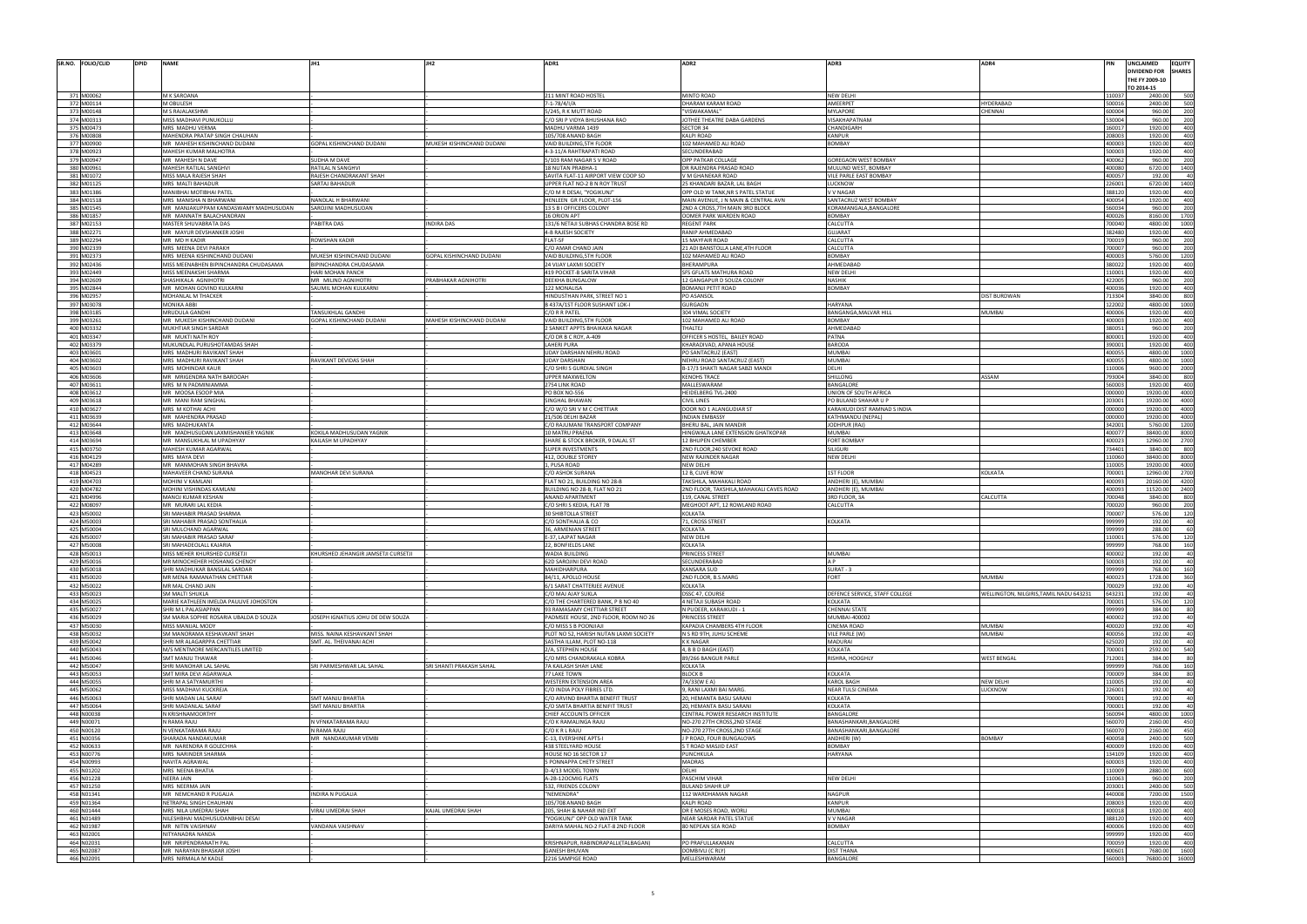| SR.NO. FOLIO/CLID<br><b>DPID</b> | <b>NAME</b>                                                    |                                               |                           | ADR1                                                                | ADR <sub>2</sub>                                                        | ADR3                                       | ADR4                                    |                  | UNCLAIMED<br><b>DIVIDEND FOR</b><br>THE FY 2009-10 | <b>EQUITY</b><br><b>SHARES</b> |
|----------------------------------|----------------------------------------------------------------|-----------------------------------------------|---------------------------|---------------------------------------------------------------------|-------------------------------------------------------------------------|--------------------------------------------|-----------------------------------------|------------------|----------------------------------------------------|--------------------------------|
|                                  |                                                                |                                               |                           |                                                                     |                                                                         |                                            |                                         |                  | TO 2014-15                                         |                                |
| 371 M00062<br>372 M00114         | M K SAROANA<br>M OBULESH                                       |                                               |                           | 211 MINT ROAD HOSTEL<br>7-1-78/4/I/A                                | MINTO ROAD<br>DHARAM KARAM ROAD                                         | <b>NEW DELHI</b><br>AMEERPET               | <b>HYDERABAD</b>                        | 11003<br>500016  | 2400.0<br>2400.00                                  |                                |
| 373 M00148                       | M S RAJALAKSHMI                                                |                                               |                           | 5/245, R K MUTT ROAD                                                | "VISWAKAMAL                                                             | <b>MYLAPORE</b>                            | CHENNAI                                 | 600004           | 960.00                                             | 200                            |
| 374 M00313                       | MISS MADHAVI PUNUKOLLU                                         |                                               |                           | C/O SRI P VIDYA BHUSHANA RAO                                        | JOTHEE THEATRE DABA GARDENS                                             | VISAKHAPATNAM                              |                                         | 530004           | 960.00                                             | 200                            |
| 375 M00473                       | MRS MADHU VERMA                                                |                                               |                           | MADHU VARMA 1439                                                    | <b>SECTOR 34</b>                                                        | CHANDIGARH                                 |                                         | 160017           | 1920.00                                            | 400                            |
| 376 M00808<br>377 M00900         | MAHENDRA PRATAP SINGH CHAUHAN                                  |                                               |                           | 105/708 ANAND BAGH                                                  | KALPI ROAD                                                              | <b>KANPUR</b>                              |                                         | 208003           | 1920.00                                            | 400<br>400                     |
| 378 M00923                       | MR MAHESH KISHINCHAND DUDANI<br>MAHESH KUMAR MALHOTRA          | GOPAL KISHINCHAND DUDANI                      | MUKESH KISHINCHAND DUDANI | VAID BUILDING, 5TH FLOOR<br>4-3-11/A RAHTRAPATI ROAD                | 102 MAHAMED ALI ROAD<br>ECUNDERABAD                                     | <b>BOMBAY</b>                              |                                         | 400003<br>50000  | 1920.0<br>1920.0                                   | 400                            |
| 379 M00947                       | MR MAHESH N DAVE                                               | SUDHA M DAVE                                  |                           | 5/103 RAM NAGAR S V ROAD                                            | OPP PATKAR COLLAGE                                                      | <b>GOREGAON WEST BOMBAY</b>                |                                         | 400062           | 960.0                                              | 200                            |
| 380 M00961                       | MAHESH RATILAL SANGHV                                          | RATILAL N SANGHV                              |                           | 18 NUTAN PRABHA-1                                                   | DR RAJENDRA PRASAD ROAD                                                 | MULUND WEST, BOMBAY                        |                                         | 400080           | 6720.00                                            | 1400                           |
| 381 M01072                       | MISS MALA RAJESH SHAH                                          | RAJESH CHANDRAKANT SHAH                       |                           | SAVITA FLAT-11 AIRPORT VIEW COOP SO                                 | V M GHANEKAR ROAD                                                       | VILE PARLE EAST BOMBAY                     |                                         | 400057           | 192.00                                             |                                |
| 382 M01125<br>383 M01386         | MRS MALTI BAHADUR<br><b>MANIBHAI MOTIBHAI PATEL</b>            | <b>SARTAJ BAHADUR</b>                         |                           | JPPER FLAT NO-2 B N ROY TRUST                                       | 25 KHANDARI BAZAR, LAL BAGH                                             | LUCKNOW<br>V V NAGAR                       |                                         | 226001           | 6720.0<br>1920.0                                   | 1400<br>400                    |
| 384 M01518                       | MRS MANISHA N BHARWANI                                         | NANDLAL H BHARWANI                            |                           | C/O M R DESAI, "YOGIKUNJ"<br>HENLEEN GR FLOOR, PLOT-156             | OPP OLD W TANK,NR S PATEL STATUE<br>MAIN AVENUE, J N MAIN & CENTRAL AVN | SANTACRUZ WEST BOMBAY                      |                                         | 388120<br>400054 | 1920.00                                            | 400                            |
| 385 M01545                       | MR MANJAKUPPAM KANDASWAMY MADHUSUDAN                           | SAROJINI MADHUSUDAN                           |                           | 13 S B I OFFICERS COLONY                                            | 2ND A CROSS, 7TH MAIN 3RD BLOCK                                         | KORAMANGALA, BANGALORE                     |                                         | 560034           | 960.00                                             | 200                            |
| 386 M01857                       | MR MANNATH BALACHANDRAN                                        |                                               |                           | <b>16 ORION APT</b>                                                 | OOMER PARK WARDEN ROAD                                                  | <b>BOMBAY</b>                              |                                         | 400026           | 8160.0                                             | 1700                           |
| 387 M02153                       | MASTER SHUVABRATA DAS                                          | PABITRA DAS                                   | <b>INDIRA DAS</b>         | 131/6 NETAJI SUBHAS CHANDRA BOSE RD                                 | REGENT PARK                                                             | CALCUTTA                                   |                                         | 700040           | 4800.0                                             | 1000                           |
| 388 M02271                       | MR MAYUR DEVSHANKER JOSHI                                      | ROWSHAN KADIR                                 |                           | 4-B RAJESH SOCIETY<br>FLAT-5F                                       | RANIP AHMEDABAD                                                         | <b>GUJARAT</b>                             |                                         | 382480           | 1920.0                                             | 400                            |
| 389 M02294<br>390 M02339         | MR MD H KADIR<br>MRS MEENA DEVI PARAKH                         |                                               |                           | /O AMAR CHAND JAIN                                                  | <b>15 MAYFAIR ROAD</b><br>21 ADI BANSTOLLA LANE,4TH FLOOR               | CALCUTTA<br>CALCUTTA                       |                                         | 700019<br>700007 | 960.00<br>960.00                                   | 200<br>200                     |
| 391 M02373                       | MRS MEENA KISHINCHAND DUDANI                                   | MUKESH KISHINCHAND DUDANI                     | GOPAL KISHINCHAND DUDANI  | VAID BUILDING, 5TH FLOOR                                            | 102 MAHAMED ALI ROAD                                                    | <b>BOMBAY</b>                              |                                         | 400003           | 5760.00                                            | 1200                           |
| 392 M02436                       | MISS MEENABHEN BIPINCHANDRA CHUDASAMA                          | BIPINCHANDRA CHUDASAMA                        |                           | 24 VIJAY LAXMI SOCIETY                                              | BHERAMPURA                                                              | AHMEDABAD                                  |                                         | 380022           | 1920.0                                             | 400                            |
| 393 M02449                       | MISS MEENAKSHI SHARMA                                          | HARI MOHAN PANCH                              |                           | <b>419 POCKET-B SARITA VIHAF</b>                                    | SFS GFLATS MATHURA ROAD                                                 | <b>NEW DELHI</b>                           |                                         | 110001           | 1920.0                                             | 400                            |
| 394 M02609                       | SHASHIKALA AGNIHOTRI                                           | MR MILIND AGNIHOTRI                           | PRABHAKAR AGNIHOTRI       | DEEKHA BUNGALOW                                                     | 12 GANGAPUR D SOUZA COLONY                                              | <b>NASHIK</b>                              |                                         | 422005           | 960.00                                             | 200                            |
| 395 M02844<br>396 M02957         | MR MOHAN GOVIND KULKARNI<br>MOHANLAL M THACKER                 | SAUMIL MOHAN KULKARNI                         |                           | <b>122 MONALISA</b><br>HINDUSTHAN PARK, STREET NO 1                 | BOMANJI PETIT ROAD<br>PO ASANSOI                                        | <b>BOMBAY</b>                              | <b>DIST BURDWAN</b>                     | 400036<br>713304 | 1920.0<br>3840.0                                   | 400<br>800                     |
| 397 M03078                       | <b>MONIKA ABBI</b>                                             |                                               |                           | B 437A/1ST FLOOR SUSHANT LOK-I                                      | GURGAON                                                                 | HARYANA                                    |                                         | 122002           | 4800.0                                             | 1000                           |
| 398 M03185                       | MRUDULA GANDHI                                                 | TANSUKHLAL GANDHI                             |                           | C/ORR PATEL                                                         | 304 VIMAL SOCIETY                                                       | BANGANGA, MALVAR HILL                      | <b>MUMBAI</b>                           | 400006           | 1920.00                                            | 400                            |
| 399 M03261                       | MR MUKESH KISHINCHAND DUDANI                                   | GOPAL KISHINCHAND DUDANI                      | MAHESH KISHINCHAND DUDANI | VAID BUILDING, 5TH FLOOR                                            | 102 MAHAMED ALI ROAD                                                    | <b>BOMBAY</b>                              |                                         | 400003           | 1920.00                                            | 400                            |
| 400 M03332                       | MUKHTIAR SINGH SARDAR                                          |                                               |                           | 2 SANKET APPTS BHAIKAKA NAGAR                                       | THALTEJ                                                                 | AHMEDABAD                                  |                                         | 380051           | 960.00                                             | 200                            |
| 401 M03347<br>402 M03379         | MR MUKTI NATH ROY<br>MUKUNDLAL PURUSHOTAMDAS SHAH              |                                               |                           | C/O DR B C ROY, A-409<br>LAHERI PURA                                | OFFICER S HOSTEL, BAILEY ROAD<br>KHARADIVAD, APANA HOUSE                | PATNA<br><b>BARODA</b>                     |                                         | 800001<br>390001 | 1920.0<br>1920.0                                   | 400<br>400                     |
| 403 M03601                       | MRS MADHURI RAVIKANT SHAH                                      |                                               |                           | JDAY DARSHAN NEHRU ROAD                                             | PO SANTACRUZ (EAST)                                                     | <b>MUMBAI</b>                              |                                         | 40005            | 4800.0                                             | 1000                           |
| 404 M03602                       | MRS MADHURI RAVIKANT SHAH                                      | RAVIKANT DEVIDAS SHAH                         |                           | JDAY DARSHAN                                                        | NEHRU ROAD SANTACRUZ (EAST)                                             | <b>MUMBAI</b>                              |                                         | 400055           | 4800.0                                             | 1000                           |
| 405 M03603                       | MRS MOHINDAR KAUR                                              |                                               |                           | C/O SHRI S GURDIAL SINGH                                            | B-17/3 SHAKTI NAGAR SABZI MANDI                                         | DELHI                                      |                                         | 110006           | 9600.0                                             | 2000                           |
| 406 M03606                       | MR MRIGENDRA NATH BAROOAH                                      |                                               |                           | JPPER MAXWELTON                                                     | <b>KENOHS TRACE</b>                                                     | SHILLONG                                   | ASSAM                                   | 793004           | 3840.0                                             | 800                            |
| 407 M03611<br>408 M03612         | MRS M N PADMINIAMMA<br>MR MOOSA ESOOP MIA                      |                                               |                           | 2754 LINK ROAD                                                      | MALLESWARAM<br>HEIDELBERG TVL-2400                                      | BANGALORE<br>UNION OF SOUTH AFRICA         |                                         | 56000<br>000000  | 1920.0<br>19200.0                                  | 400<br>4000                    |
| 409 M03618                       | MR MANI RAM SINGHAI                                            |                                               |                           | PO BOX NO-556<br>SINGHAL BHAWAN                                     | <b>CIVIL LINES</b>                                                      | PO BULAND SHAHAR U P                       |                                         | 203001           | 19200.0                                            | 4000                           |
| 410 M03627                       | MRS M KOTHAI ACHI                                              |                                               |                           | C/O W/O SRI V M C CHETTIAR                                          | DOOR NO 1 ALANGUDIAR ST                                                 | KARAIKUDI DIST RAMNAD S INDIA              |                                         | 000000           | 19200.0                                            | 4000                           |
| 411 M03639                       | MR MAHENDRA PRASAD                                             |                                               |                           | 21/506 DELHI BAZAR                                                  | <b>INDIAN EMBASSY</b>                                                   | KATHMANDU (NEPAL)                          |                                         | 000000           | 19200.0                                            | 4000                           |
| 412 M03644                       | MRS MADHUKANTA                                                 |                                               |                           | C/O RAJUMANI TRANSPORT COMPANY                                      | BHERU BAL, JAIN MANDIR                                                  | JODHPUR (RAJ                               |                                         | 342001           | 5760.0                                             | 1200                           |
| 413 M03648                       | MR MADHUSUDAN LAXMISHANKER YAGNIK                              | KOKILA MADHUSUDAN YAGNIK                      |                           | LO MATRU PRAENA                                                     | HINGWALA LANE EXTENSION GHATKOPAR                                       | MUMBAI                                     |                                         | 400077           | 38400.0                                            | 8000                           |
| 414 M03694<br>415 M03750         | MR MANSUKHLAL M UPADHYAY<br>MAHESH KUMAR AGARWAL               | KAILASH M UPADHYAY                            |                           | SHARE & STOCK BROKER, 9 DALAL ST<br><b>SUPER INVESTMENTS</b>        | <b>12 BHUPEN CHEMBER</b><br>2ND FLOOR, 240 SEVOKE ROAD                  | <b>FORT BOMBAY</b><br>SILIGURI             |                                         | 40002<br>734401  | 12960.0<br>3840.0                                  | 2700                           |
| 416 M04129                       | MRS MAYA DEVI                                                  |                                               |                           | 412, DOUBLE STOREY                                                  | <b>NEW RAJINDER NAGAR</b>                                               | <b>NEW DELHI</b>                           |                                         | 110060           | 38400.0                                            | 8000                           |
| 417 M04289                       | MR MANMOHAN SINGH BHAVRA                                       |                                               |                           | 1, PUSA ROAD                                                        | <b>NEW DELHI</b>                                                        |                                            |                                         | 110005           | 19200.0                                            | 4000                           |
| 418 M04523                       | MAHAVEER CHAND SURANA                                          | MANOHAR DEVI SURANA                           |                           | C/O ASHOK SURANA                                                    | 12 B, CLIVE ROW                                                         | 1ST FLOOR                                  | <b>KOLKATA</b>                          | 700001           | 12960.0                                            | 2700                           |
| 419 M04703                       | MOHINI V KAMLANI                                               |                                               |                           | FLAT NO 21, BUILDING NO 28-B                                        | TAKSHILA, MAHAKALI ROAD                                                 | ANDHERI (E), MUMBAI<br>ANDHERI (E), MUMBAI |                                         | 40009            | 20160.0                                            | 420                            |
| 420 M04782<br>421 M04996         | MOHINI VISHINDAS KAMLANI<br>MANOJ KUMAR KESHAN                 |                                               |                           | BUILDING NO 28-B, FLAT NO 21<br>ANAND APARTMENT                     | 2ND FLOOR, TAKSHILA, MAHAKALI CAVES ROAD<br>119, CANAL STREET           | 3RD FLOOR, 3A                              | CALCUTTA                                | 400093<br>700048 | 11520.0<br>3840.0                                  | 2400<br>800                    |
| 422 M08097                       | MR MURARI LAL KEDIA                                            |                                               |                           | C/O SHRI S KEDIA, FLAT 7E                                           | MEGHOOT APT, 12 ROWLAND ROAD                                            | CALCUTTA                                   |                                         | 700020           | 960.00                                             | 200                            |
| 423 M50002                       | SRI MAHABIR PRASAD SHARMA                                      |                                               |                           | 30 SHIBTOLLA STREET                                                 | <b>KOLKATA</b>                                                          |                                            |                                         | 70000            | 576.00                                             |                                |
| 424 M50003                       | SRI MAHABIR PRASAD SONTHALIA                                   |                                               |                           | C/O SONTHALIA & CO                                                  | 1, CROSS STREET                                                         | KOLKATA                                    |                                         | 99999            | 192.00                                             |                                |
| 425 M50004                       | SRI MULCHAND AGARWAI                                           |                                               |                           | <b>36, ARMENIAN STREET</b>                                          | KOLKATA                                                                 |                                            |                                         | 999999           | 288.00                                             |                                |
| 426 M50007<br>427 M50008         | SRI MAHABIR PRASAD SARAF<br>SRI MAHADFOLALL KAJARIA            |                                               |                           | -37. LAJPAT NAGAR<br>2 RONFIFLDS LANE                               | NEW DELHI<br>ΟΙ ΚΑΤΑ                                                    |                                            |                                         | 110001           | 576.00<br>768.00                                   | 120                            |
| 428 M50013                       | MISS MEHER KHURSHED CURSETJI                                   | KHURSHED JEHANGIR JAMSETJI CURSETJI           |                           | WADIA BUILDING                                                      | PRINCESS STREET                                                         | <b>MUMBAI</b>                              |                                         | 400002           | 192.00                                             |                                |
| 429 M50016                       | MR MINOCHEHER HOSHANG CHENOY                                   |                                               |                           | 62D SAROJINI DEVI ROAD                                              | SECUNDERABAD                                                            | A P                                        |                                         | 500003           | 192.00                                             |                                |
| 430 M50018                       | SHRI MADHUKAR BANSILAL SARDAR                                  |                                               |                           | MAHIDHARPURA                                                        | <b>KANSARA SUD</b>                                                      | SURAT - 3                                  |                                         | 999999           | 768.00                                             | 160                            |
| 431 M50020                       | MR MENA RAMANATHAN CHETTIAR                                    |                                               |                           | 84/11, APOLLO HOUSE                                                 | 2ND FLOOR, B.S.MARG                                                     | FORT                                       | <b>MUMBAI</b>                           | 400023           | 1728.00                                            |                                |
| 432 M50022<br>433 M50023         | MR MAL CHAND JAIN<br>SM MALTI SHUKLA                           |                                               |                           | 5/1 SARAT CHATTERJEE AVENUE<br>C/O MAJ AJAY SUKLA                   | KOLKATA<br>DSSC 47, COURSE                                              | DEFENCE SERVICE, STAFF COLLEGE             | WELLINGTON, NILGIRIS, TAMIL NADU 643231 | 700029<br>643231 | 192.00<br>192.00                                   |                                |
| 434 M50025                       | MARIE KATHLEEN IMELDA PAULIVE JOHOSTON                         |                                               |                           | C/O THE CHARTERED BANK, P B NO 40                                   | 4 NETAJI SUBASH ROAD                                                    | KOLKATA                                    |                                         | 700001           | 576.00                                             | 120                            |
| 435 M50027                       | SHRI M L PALASIAPPAN                                           |                                               |                           | 93 RAMASAMY CHETTIAR STREET                                         | N PUDEER, KARAIKUDI - 1                                                 | CHENNAI STATE                              |                                         | 999999           | 384.00                                             |                                |
| 436 M50029                       | SM MARIA SOPHIE ROSARIA UBALDA D SOUZA                         | JOSEPH IGNATIUS JOHU DE DEW SOUZA             |                           | PADMSEE HOUSE, 2ND FLOOR, ROOM NO 26                                | PRINCESS STREET                                                         | MUMBAI-400002                              |                                         | 400002           | 192.00                                             |                                |
| 437 M50030                       | <b>MISS MANIJAL MODY</b>                                       |                                               |                           | C/O MISS S B POONJIAJI                                              | KAPADIA CHAMBERS 4TH FLOOR                                              | CINEMA ROAD                                | <b>MUMBAI</b>                           | 400020           | 192.00                                             |                                |
| 438 M50032                       | SM MANORAMA KESHAVKANT SHAH                                    | MISS. NAINA KESHAVKANT SHAH                   |                           | PLOT NO 52. HARISH NUTAN LAXMI SOCIETY                              | N S RD 9TH, JUHU SCHEME                                                 | VILE PARLE (W)                             | <b>MUMBAI</b>                           | 400056           | 192.00                                             |                                |
| 439 M50042<br>440 M50043         | SHRI MR ALAGARPPA CHETTIAR<br>M/S MENTMORE MERCANTILES LIMITED | SMT. AL. THEIVANAI ACHI                       |                           | SASTHA ILLAM, PLOT NO-118<br>2/A, STEPHEN HOUSE                     | <b>K K NAGAR</b><br>4, B B D BAGH (EAST)                                | <b>MADURAI</b><br>KOLKATA                  |                                         | 625020<br>700001 | 192.00<br>2592.00                                  |                                |
| 441 M50046                       | <b>SMT MANJU THAWAR</b>                                        |                                               |                           | C/O MRS CHANDRAKALA KOBRA                                           | 89/266 BANGUR PARLE                                                     | RISHRA, HOOGHLY                            | <b>WEST BENGAL</b>                      | 712001           | 384.00                                             |                                |
| 442 M50047                       | SHRI MANOHAR LAL SAHAL                                         | SRI PARMESHWAR LAL SAHAL                      | SRI SHANTI PRAKASH SAHAL  | 7A KAILASH SHAH LANE                                                | KOLKATA                                                                 |                                            |                                         | 999999           | 768.00                                             |                                |
| 443 M50053                       | SMT MIRA DEVI AGARWALA                                         |                                               |                           | 77 LAKE TOWN                                                        | <b>BLOCK B</b>                                                          | <b>KOLKATA</b>                             |                                         | 700009           | 384.00                                             |                                |
| 444 M50055                       | SHRI M A SATYAMURTHI                                           |                                               |                           | WESTERN EXTENSION AREA                                              | 7A/33(W E A)                                                            | <b>KAROL BAGH</b>                          | <b>NEW DELHI</b>                        | 110005           | 192.00                                             |                                |
| 445 M50062<br>446 M50063         | MISS MADHAVI KUCKREJA                                          |                                               |                           | C/O INDIA POLY FIBRES LTD.                                          | 9, RANI LAXMI BAI MARG.                                                 | NEAR TULSI CINEMA<br>KOLKATA               | LUCKNOW                                 | 226001           | 192.00                                             |                                |
| 447 M50064                       | SHRI MADAN LAL SARAF<br>SHRI MADANLAL SARAF                    | <b>SMT MANJU BHARTIA</b><br>SMT MANJU BHARTIA |                           | C/O ARVIND BHARTIA BENEFIT TRUST<br>C/O SMITA BHARTIA BENIFIT TRUST | 20, HEMANTA BASU SARANI<br>20, HEMANTA BASU SARANI                      | KOLKATA                                    |                                         | 700001<br>700001 | 192.00<br>192.00                                   |                                |
| 448 N00038                       | N KRISHNAMOORTHY                                               |                                               |                           | CHIEF ACCOUNTS OFFICER                                              | CENTRAL POWER RESEARCH INSTITUTE                                        | BANGALORE                                  |                                         | 560094           | 4800.00                                            | 1000                           |
| 449 N00071                       | N RAMA RAJU                                                    | N VFNKATARAMA RAJU                            |                           | C/O K RAMALINGA RAJU                                                | NO-270 27TH CROSS, 2ND STAGE                                            | BANASHANKARI, BANGALORE                    |                                         | 560070           | 2160.00                                            | 450                            |
| 450 N00120                       | N VENKATARAMA RAJU                                             | N RAMA RAJU                                   |                           | C/O K R L RAJU                                                      | NO-270 27TH CROSS, 2ND STAGE                                            | BANASHANKARI, BANGALORE                    |                                         | 560070           | 2160.0                                             | 450                            |
| 451 N00356                       | SHARADA NANDAKUMAR                                             | MR NANDAKUMAR VEMBI                           |                           | C-13, EVERSHINE APTS-I                                              | I P ROAD, FOUR BUNGALOWS                                                | ANDHERI (W)                                | <b>BOMBAY</b>                           | 400058           | 2400.0                                             | 500                            |
| 452 N00633<br>453 N00776         | MR NARENDRA R GOLECHHA<br>MRS NARINDER SHARMA                  |                                               |                           | 438 STEELYARD HOUSE<br>HOUSE NO 16 SECTOR 17                        | S T ROAD MASJID EAST<br>PUNCHKULA                                       | <b>BOMBAY</b><br>HARYANA                   |                                         | 400009<br>134109 | 1920.00<br>1920.0                                  | 400<br>400                     |
| 454 N00993                       | NAVITA AGRAWAL                                                 |                                               |                           | <b>PONNAPPA CHETY STREET</b>                                        | <b>MADRAS</b>                                                           |                                            |                                         | 60000            | 1920.0                                             | 400                            |
| 455 N01202                       | MRS NEENA BHATIA                                               |                                               |                           | D-4/13 MODEL TOWN                                                   | DELHI                                                                   |                                            |                                         | 110009           | 2880.0                                             | 600                            |
| 456 N01228                       | <b>NEERA JAIN</b>                                              |                                               |                           | A-2B-12OCMIG FLATS                                                  | PASCHIM VIHAR                                                           | <b>NEW DELHI</b>                           |                                         | 110063           | 960.00                                             | 200                            |
| 457 N01250                       | MRS NEERMA JAIN                                                |                                               |                           | 532, FRIENDS COLONY                                                 | <b>BULAND SHAHR UP</b>                                                  |                                            |                                         | 203001           | 2400.00                                            | 500                            |
| 458 N01341                       | MR NEMCHAND R PUGALIA                                          | INDIRA N PUGALIA                              |                           | 'NEMENDRA"                                                          | 112 WARDHAMAN NAGAR                                                     | <b>NAGPUR</b>                              |                                         | 440008           | 7200.0                                             | 1500                           |
| 459 N01364<br>460 N01444         | NETRAPAL SINGH CHAUHAN<br>MRS NILA UMEDRAI SHAH                | VIRAJ UMEDRAI SHAH                            | KAJAL UMEDRAI SHAH        | 105/708 ANAND BAGH<br>205. SHAH & NAHAR IND EXT                     | KALPI ROAD<br>DR E MOSES ROAD, WORLI                                    | <b>KANPUR</b><br><b>MUMBAI</b>             |                                         | 208003<br>400018 | 1920.00<br>1920.00                                 | 400<br>400                     |
| 461 N01489                       | NILESHBHAI MADHUSUDANBHAI DESAI                                |                                               |                           | "YOGIKUNJ" OPP OLD WATER TANK                                       | <b>NEAR SARDAR PATEL STATUE</b>                                         | <b>V V NAGAR</b>                           |                                         | 388120           | 1920.0                                             | 400                            |
| 462 N01987                       | MR NITIN VAISHNAV                                              | VANDANA VAISHNAV                              |                           | DARIYA MAHAL NO-2 FLAT-8 2ND FLOOR                                  | 80 NEPEAN SEA ROAD                                                      | <b>BOMBAY</b>                              |                                         | 400006           | 1920.00                                            | 400                            |
| 463 N02001                       | NITYANADRA NANDA                                               |                                               |                           |                                                                     |                                                                         |                                            |                                         | 999999           | 1920.0                                             | 400                            |
| 464 N02031                       | MR NRIPENDRANATH PAI                                           |                                               |                           | KRISHNAPUR, RABINDRAPALLI(TALBAGAN)                                 | PO PRAFULLAKANAN                                                        | CALCUTTA                                   |                                         | 70005            | 1920.0                                             | 400                            |
| 465 N02087<br>466 N02091         | MR NARAYAN BHASKAR JOSHI<br>MRS NIRMALA M KADLE                |                                               |                           | <b>GANESH BHUVAN</b><br>2216 SAMPIGE ROAD                           | DOMBIVLI (C RLY)<br>MELLESHWARAM                                        | <b>DIST THANA</b><br><b>BANGALORE</b>      |                                         | 400601<br>560003 | 7680.0<br>76800.00                                 | 1600<br>16000                  |
|                                  |                                                                |                                               |                           |                                                                     |                                                                         |                                            |                                         |                  |                                                    |                                |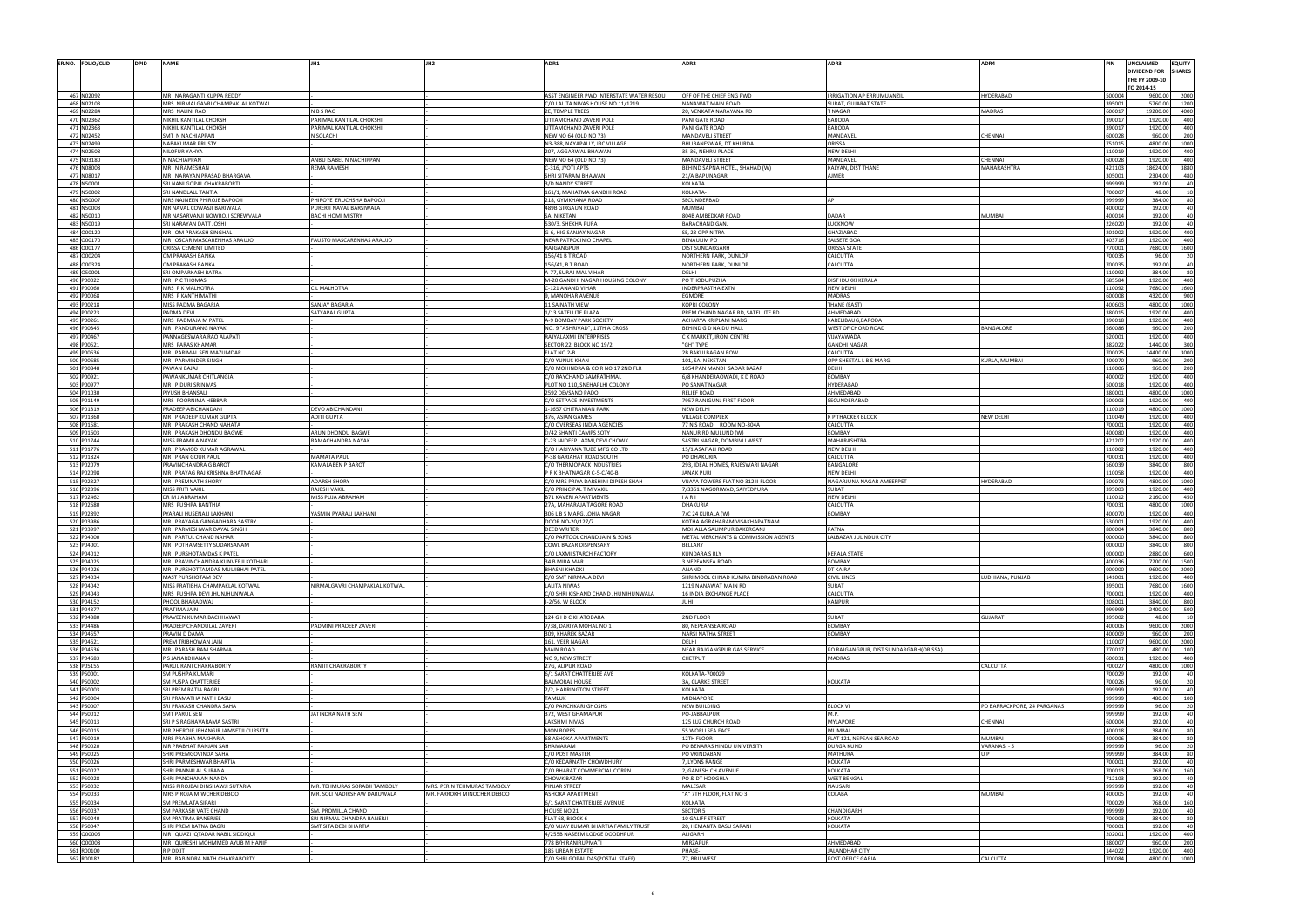| SR.NO. FOLIO/CLID<br><b>DPID</b> | <b>NAME</b>                                                   | JH1                                                 |                             | ADR1                                                                          | ADR2                                                        | ADR3                                                           | ADR4                         |                  | UNCLAIMED<br><b>EQUITY</b><br><b>DIVIDEND FOR</b><br><b>SHARES</b><br>THE FY 2009-10 |
|----------------------------------|---------------------------------------------------------------|-----------------------------------------------------|-----------------------------|-------------------------------------------------------------------------------|-------------------------------------------------------------|----------------------------------------------------------------|------------------------------|------------------|--------------------------------------------------------------------------------------|
|                                  |                                                               |                                                     |                             |                                                                               |                                                             |                                                                |                              |                  | TO 2014-15                                                                           |
| 467 N02092<br>468 N02103         | MR NARAGANTI KUPPA REDDY<br>MRS NIRMALGAVRI CHAMPAKLAL KOTWAL |                                                     |                             | ASST ENGINEER PWD INTERSTATE WATER RESOU<br>C/O LALITA NIVAS HOUSE NO 11/1219 | OFF OF THE CHIEF ENG PWD<br>NANAWAT MAIN ROAD               | <b>RRIGATION AP ERRUMUANZIL</b><br><b>SURAT, GUJARAT STATE</b> | HYDERABAD                    | 500004<br>95001  | 9600.00<br>2000<br>5760.00<br>1200                                                   |
| 469 N02284                       | MRS NALINI RAO                                                | N B S RAO                                           |                             | 2E, TEMPLE TREES                                                              | 20, VENKATA NARAYANA RD                                     | <b>TNAGAR</b>                                                  | <b>MADRAS</b>                | 600017           | 19200.00<br>4000                                                                     |
| 470 N02362                       | NIKHIL KANTILAL CHOKSHI                                       | PARIMAL KANTILAL CHOKSHI                            |                             | <b>JTTAMCHAND ZAVERI POLE</b>                                                 | PANI GATE ROAD                                              | <b>BARODA</b>                                                  |                              | 390017           | 1920.00                                                                              |
| 471 N02363<br>472 N02452         | NIKHIL KANTILAL CHOKSHI<br>SMT N NACHIAPPAN                   | PARIMAL KANTILAL CHOKSHI<br>N SOLACHI               |                             | <b>JTTAMCHAND ZAVERI POLE</b><br>NEW NO 64 (OLD NO 73)                        | PANI GATE ROAD<br>MANDAVELI STREET                          | <b>BARODA</b><br>MANDAVEI                                      | <b>HENNAI</b>                | 390017<br>500028 | 1920.00<br>400<br>960.00<br>200                                                      |
| 473 N02499                       | NABAKUMAR PRUSTY                                              |                                                     |                             | N3-388, NAYAPALLY, IRC VILLAGE                                                | BHUBANESWAR, DT KHURDA                                      | ORISSA                                                         |                              | 751015           | 4800.00<br>1000                                                                      |
| 474 N02508                       | NILOFUR YAHYA                                                 |                                                     |                             | 207, AGGARWAL BHAWAN                                                          | 35-36, NEHRU PLACE                                          | NEW DELH                                                       |                              | 10019            | 1920.00                                                                              |
| 475 N03180<br>476 N08008         | N NACHIAPPAN<br>MR N RAMESHAN                                 | ANBU ISABEL N NACHIPPAN<br><b>REMA RAMESH</b>       |                             | NEW NO 64 (OLD NO 73)<br>C-316, JYOTI APTS                                    | MANDAVELI STREET<br>BEHIND SAPNA HOTEL, SHAHAD (W)          | MANDAVELI<br>KALYAN, DIST THANE                                | <b>HENNAI</b><br>MAHARASHTRA | 500028<br>421103 | 1920.00<br>18624.00<br>3880                                                          |
| 477 N08017                       | MR NARAYAN PRASAD BHARGAVA                                    |                                                     |                             | SHRI SITARAM BHAWAN                                                           | 21/A BAPUNAGAR                                              | AJMER                                                          |                              | 05001            | 2304.00<br>480                                                                       |
| 478 N50001                       | SRI NANI GOPAL CHAKRABORTI                                    |                                                     |                             | 3/D NANDY STREET                                                              | <b>KOLKATA</b>                                              |                                                                |                              | 999999           | 192.00                                                                               |
| 479 N50002                       | SRI NANDLALL TANTIA                                           |                                                     |                             | 161/1, MAHATMA GANDHI ROAD                                                    | KOLKATA-                                                    |                                                                |                              | '00007           | 48.00                                                                                |
| 480 N50007<br>481 N50008         | MRS NAJNEEN PHIROJE BAPOOJI<br>MR NAVAL COWASJI BARIWALA      | PHIROYE ERUCHSHA BAPOOJI<br>PURERJI NAVAL BARSIWALA |                             | 218, GYMKHANA ROAD<br>489B GIRGAUN ROAD                                       | SECUNDERBAD<br>MUMBAI                                       |                                                                |                              | 999999<br>400002 | 384.00<br>192.00                                                                     |
| 482 N50010                       | MR NASARVANJI NOWROJI SCREWVALA                               | <b>BACHI HOMI MISTRY</b>                            |                             | SAI NIKETAN                                                                   | 804B AMBEDKAR ROAD                                          | DADAR                                                          | <b>MUMBAI</b>                | 100014           | 192.00                                                                               |
| 483 N50019                       | SRI NARAYAN DATT JOSHI                                        |                                                     |                             | 530/3, SHEKHA PURA                                                            | BARACHAND GANJ                                              | <b>UCKNOW</b>                                                  |                              | 26020            | 192.00                                                                               |
| 484 000120<br>485 000170         | MR OM PRAKASH SINGHAL<br>MR OSCAR MASCARENHAS ARAUJO          | FAUSTO MASCARENHAS ARAUJO                           |                             | G-6, HIG SANJAY NAGAR<br>NEAR PATROCINIO CHAPEI                               | SE, 23 OPP NITRA<br><b>BENAULIM PO</b>                      | GHAZIABAD<br>SALSETE GOA                                       |                              | 01002<br>403716  | 1920.00<br>400<br>1920.00<br>400                                                     |
| 486 000177                       | ORISSA CEMENT LIMITED                                         |                                                     |                             | RAJGANGPUR                                                                    | <b>DIST SUNDARGARH</b>                                      | <b>ORISSA STATE</b>                                            |                              | 70001            | 7680.00<br>1600                                                                      |
| 487 000204                       | OM PRAKASH BANKA                                              |                                                     |                             | 156/41 B T ROAD                                                               | NORTHERN PARK, DUNLOP                                       | CALCUTTA                                                       |                              | 700035           | 96.00                                                                                |
| 488 000324                       | OM PRAKASH BANKA                                              |                                                     |                             | 56/41, B T ROAD                                                               | NORTHERN PARK, DUNLOP                                       | CALCUTTA                                                       |                              | '00035           | 192.00                                                                               |
| 489 O50001<br>490 P00022         | SRI OMPARKASH BATRA<br>MR PCTHOMAS                            |                                                     |                             | A-77, SURAJ MAL VIHAR<br>M-20 GANDHI NAGAR HOUSING COLONY                     | DELHI-<br>PO THODUPUZHA                                     | DIST IDUKKI KERALA                                             |                              | 10092<br>685584  | 384.00<br>1920.00<br>400                                                             |
| 491 P00060                       | MRS P K MALHOTRA                                              | L MALHOTRA                                          |                             | C-121 ANAND VIHAF                                                             | <b>INDERPRASTHA EXTN</b>                                    | <b>NEW DELHI</b>                                               |                              | 10092            | 7680.00<br>1600                                                                      |
| 492 P00068                       | MRS P KANTHIMATHI                                             |                                                     |                             | 9, MANOHAR AVENUE                                                             | EGMORE                                                      | MADRAS                                                         |                              | 600008           | 4320.00                                                                              |
| 493 P00218<br>494 P00223         | MISS PADMA BAGARIA<br>PADMA DEVI                              | <b>SANJAY BAGARIA</b><br>SATYAPAL GUPTA             |                             | 1 SAINATH VIEW<br>/13 SATELLITE PLAZA                                         | KOPRI COLONY<br>PREM CHAND NAGAR RD, SATELLITE RD           | THANE (EAST)<br>AHMEDABAD                                      |                              | 100603<br>380015 | 4800.00<br>1000<br>1920.00<br>400                                                    |
| 495 P00261                       | MRS PADMAJA M PATEL                                           |                                                     |                             | A-9 BOMBAY PARK SOCIETY                                                       | ACHARYA KRIPLANI MARG                                       | KARELIBAUG, BARODA                                             |                              | 90018            | 1920.00<br>400                                                                       |
| 496 P00345                       | MR PANDURANG NAYAK                                            |                                                     |                             | NO. 9 "ASHRIVAD", 11TH A CROSS                                                | BEHIND G D NAIDU HALL                                       | WEST OF CHORD ROAD                                             | BANGALORE                    | 560086           | 960.00<br>200                                                                        |
| 497 P00467                       | PANNAGESWARA RAO ALAPATI                                      |                                                     |                             | RAJYALAXMI ENTERPRISES<br>SECTOR 22, BLOCK NO 19/2                            | C K MARKET, IRON CENTRE                                     | /IJAYAWADA                                                     |                              | 20001<br>382022  | 1920.00<br>300                                                                       |
| 498 P00521<br>499 P00636         | MRS PARAS KHAMAR<br>MR PARIMAL SEN MAZUMDAR                   |                                                     |                             | FLAT NO 2-B                                                                   | "GH" TYPE<br>2B BAKULBAGAN ROW                              | <b>GANDHI NAGAR</b><br>CALCUTTA                                |                              | '00025           | 1440.00<br>14400.00<br>3000                                                          |
| 500 P00685                       | MR PARMINDER SINGH                                            |                                                     |                             | C/O YUNUS KHAN                                                                | 101, SAI NEKETAN                                            | OPP SHEETAL L B S MARG                                         | URLA, MUMBAI                 | 100070           | 960.00<br>200                                                                        |
| 501 P00848                       | PAWAN BAJAJ                                                   |                                                     |                             | C/O MOHINDRA & CO R NO 17 2ND FLR                                             | 1054 PAN MANDI SADAR BAZAR                                  | DEI HI                                                         |                              | 10006            | 960.00<br>200                                                                        |
| 502 P00921<br>503 P00977         | PAWANKUMAR CHITLANGIA<br>MR PIDURI SRINIVAS                   |                                                     |                             | C/O RAYCHAND SAMRATHMAL<br>PLOT NO 110, SNEHAPLHI COLONY                      | 6/8 KHANDERAOWADI, K D ROAD<br>PO SANAT NAGAR               | <b>BOMBAY</b><br><b>HYDERABAD</b>                              |                              | 100002<br>500018 | 1920.00<br>400<br>1920.00<br>400                                                     |
| 504 P01030                       | IYUSH BHANSALI                                                |                                                     |                             | 592 DEVSANO PADO                                                              | RELIEF ROAD                                                 | AHMEDABAD                                                      |                              | 80001            | 4800.00<br>1000                                                                      |
| 505 P01149                       | MRS POORNIMA HEBBAR                                           |                                                     |                             | C/O SETPACE INVESTMENTS                                                       | 7957 RANIGUNJ FIRST FLOOR                                   | SECUNDERABAD                                                   |                              | 500003           | 1920.00                                                                              |
| 506 P01319                       | PRADEEP ABICHANDANI                                           | DEVO ABICHANDANI                                    |                             | -1657 CHITRANJAN PARK                                                         | NEW DELHI                                                   |                                                                |                              | 10019            | 4800.00<br>1000                                                                      |
| 507 P01360<br>508 P01581         | MR PRADEEP KUMAR GUPTA<br>MR PRAKASH CHAND NAHATA             | <b>ADITI GUPTA</b>                                  |                             | 376, ASIAN GAMES<br>C/O OVERSEAS INDIA AGENCIES                               | VILLAGE COMPLEX<br>77 N S ROAD ROOM NO-304A                 | K P THACKER BLOCK<br>CALCUTTA                                  | NEW DELHI                    | 10049<br>700001  | 1920.00<br>400<br>1920.00<br>400                                                     |
| 509 P01603                       | MR PRAKASH DHONDU BAGWE                                       | ARUN DHONDU BAGWE                                   |                             | D/42 SHANTI CAMPS SOTY                                                        | NANUR RD MULUND (W)                                         | <b>BOMBAY</b>                                                  |                              | 100080           | 1920.00<br>400                                                                       |
| 510 P01744                       | MISS PRAMILA NAYAK                                            | RAMACHANDRA NAYAK                                   |                             | C-23 JAIDEEP LAXMI, DEVI CHOWK                                                | SASTRI NAGAR, DOMBIVLI WEST                                 | MAHARASHTRA                                                    |                              | 421202           | 1920.00<br>400                                                                       |
| 511 P01776<br>512 P01824         | MR PRAMOD KUMAR AGRAWAL<br>MR PRAN GOUR PAUI                  | <b>MAMATA PAUI</b>                                  |                             | C/O HARIYANA TUBE MFG CO LTD<br>P-38 GARIAHAT ROAD SOUTH                      | 15/1 ASAF ALI ROAD<br>PO DHAKURIA                           | NEW DELHI<br>CALCUTTA                                          |                              | 10002<br>700031  | 1920.00<br>1920.00<br>400                                                            |
| 513 P02079                       | PRAVINCHANDRA G BAROT                                         | <b>KAMALABEN P BAROT</b>                            |                             | C/O THERMOPACK INDUSTRIES                                                     | 293, IDEAL HOMES, RAJESWARI NAGAR                           | BANGALORE                                                      |                              | 560039           | 3840.00<br>800                                                                       |
| 514 P02098                       | MR PRAYAG RAJ KRISHNA BHATNAGAR                               |                                                     |                             | PRK BHATNAGAR C-5-C/40-B                                                      | <b>JANAK PURI</b>                                           | <b>NEW DELHI</b>                                               |                              | 10058            | 1920.00<br>400                                                                       |
| 515 P02327                       | MR PREMNATH SHORY                                             | <b>ADARSH SHORY</b>                                 |                             | C/O MRS PRIYA DARSHINI DIPESH SHAH                                            | VIJAYA TOWERS FLAT NO 312 II FLOOR                          | NAGARJUNA NAGAR AMEERPET                                       | HYDERABAD                    | 500073           | 4800.00<br>1000                                                                      |
| 516 P02396<br>517 P02462         | MISS PRITI VAKIL<br>DR M J ABRAHAM                            | <b>RAJESH VAKIL</b><br>MISS PUJA ABRAHAM            |                             | C/O PRINCIPAL T M VAKIL<br><b>B71 KAVERI APARTMENTS</b>                       | 7/3361 NAGORIWAD, SAIYEDPURA<br>IARI                        | SURAT<br>NEW DELH                                              |                              | 95003<br>10012   | 1920.00<br>400<br>2160.00<br>450                                                     |
| 518 P02680                       | MRS PUSHPA BANTHIA                                            |                                                     |                             | 7A, MAHARAJA TAGORE ROAD                                                      | DHAKURIA                                                    | CALCUTTA                                                       |                              | '00031           | 4800.00<br>1000                                                                      |
| 519 P02892                       | PYARALI HUSENALI LAKHANI                                      | YASMIN PYARALI LAKHANI                              |                             | 306 L B S MARG, LOHIA NAGAR                                                   | 7/C 24 KURALA (W)                                           | <b>BOMBAY</b>                                                  |                              | 400070           | 1920.00<br>400                                                                       |
| 520 P03986<br>521 P03997         | MR PRAYAGA GANGADHARA SASTRY<br>MR PARMESHWAR DAYAL SINGH     |                                                     |                             | DOOR NO-20/127/7<br><b>DEED WRITER</b>                                        | KOTHA AGRAHARAM VISAKHAPATNAM<br>MOHALLA SALIMPUR BAKERGANJ | PATNA                                                          |                              | 530001<br>300004 | 1920.00<br>400<br>3840.00<br>800                                                     |
| 522 P04000                       | MR PARTUL CHAND NAHAR                                         |                                                     |                             | C/O PARTOOL CHAND JAIN & SONS                                                 | METAL MERCHANTS & COMMISSION AGENTS                         | LALBAZAR JULINDUR CITY                                         |                              | 000000           | 3840.00<br>800                                                                       |
| 523 P04001                       | MR POTHAMSETTY SUDARSANAM                                     |                                                     |                             | COWL BAZAR DISPENSARY                                                         | <b>BELLARY</b>                                              |                                                                |                              | 000000           | 800<br>3840.00                                                                       |
| 524 P04012<br>525 P04025         | MR PURSHOTAMDAS K PATEI<br>MR PRAVINCHANDRA KUNVERJI KOTHARI  |                                                     |                             | C/O LAXMI STARCH FACTORY                                                      | <b>KUNDARA S RLY</b>                                        | <b>KERALA STATE</b><br><b>BOMBAY</b>                           |                              | 000000<br>400036 | 2880.00<br>-60                                                                       |
| 526 P04026                       | MR PURSHOTTAMDAS MULJIBHAI PATEL                              |                                                     |                             | 34 B MIRA MAR<br><b>BHASNI KHADKI</b>                                         | 3 NEPEANSEA ROAD<br>ANAND                                   | DT KAIRA                                                       |                              | 000000           | 7200.00<br>1500<br>9600.00<br>2000                                                   |
| 527 P04034                       | MAST PURSHOTAM DEV                                            |                                                     |                             | C/O SMT NIRMALA DEVI                                                          | SHRI MOOL CHNAD KUMRA BINDRABAN ROAD                        | <b>CIVIL LINES</b>                                             | UDHIANA, PUNJAB              | 141001           | 1920.00<br>400                                                                       |
| 528 P04042                       | MISS PRATIBHA CHAMPAKLAL KOTWAL                               | NIRMALGAVRI CHAMPAKLAL KOTWAL                       |                             | <b>LALITA NIWAS</b>                                                           | 1219 NANAWAT MAIN RD                                        | SURAT                                                          |                              | 395001           | 7680.00<br>1600                                                                      |
| 529 P04043<br>530 P04152         | MRS PUSHPA DEVI JHUNJHUNWALA<br>PHOOL BHARADWAJ               |                                                     |                             | C/O SHRI KISHAND CHAND JHUNJHUNWALA<br>J-2/56, W BLOCK                        | 16 INDIA EXCHANGE PLACE<br>JUHI                             | CALCUTTA<br>KANPUR                                             |                              | '00001<br>208001 | 1920.00<br>400<br>3840.00<br>800                                                     |
| 531 P04377                       | PRATIMA JAIN                                                  |                                                     |                             |                                                                               |                                                             |                                                                |                              | 999999           | 2400.00<br>500                                                                       |
| 532 P04380                       | PRAVEEN KUMAR BACHHAWAT                                       |                                                     |                             | 124 G I D C KHATODARA                                                         | 2ND FLOOR                                                   | SURAT                                                          | <b>UJARAT</b>                | 95002            | 48.00                                                                                |
| 533 P04486                       | PRADEEP CHANDULAL ZAVERI                                      | PADMINI PRADEEP ZAVERI                              |                             | 7/38, DARIYA MOHAL NO 1                                                       | 80, NEPEANSEA ROAD<br><b>NARSI NATHA STREET</b>             | <b>BOMBAY</b><br><b>BOMBAY</b>                                 |                              | 400006<br>100009 | 9600.00<br>2000<br>960.00                                                            |
| 534 P04557<br>535 P04621         | PRAVIN D DAMA<br>REM TRIBHOWAN JAIN                           |                                                     |                             | 309, KHAREK BAZAR<br>161, VEER NAGAR                                          | DELHI                                                       |                                                                |                              | 10007            | 200<br>9600.00<br>2000                                                               |
| 536 P04636                       | MR PARASH RAM SHARMA                                          |                                                     |                             | <b>MAIN ROAD</b>                                                              | NEAR RAJGANGPUR GAS SERVICE                                 | PO RAJGANGPUR. DIST SUNDARGARH(ORISSA)                         |                              | 70017            | 480.00<br>100                                                                        |
| 537 P04683                       | <b>P.S. JANARDHANAN</b>                                       |                                                     |                             | NO 9, NEW STREET                                                              | CHETPUT                                                     | <b>MADRAS</b>                                                  |                              | 600031           | 1920.00<br>400                                                                       |
| 538 P05155<br>539 P50001         | PARUL RANI CHAKRABORTY<br>SM PUSHPA KUMARI                    | RANJIT CHAKRABORTY                                  |                             | 27G. ALIPUR ROAD<br>6/1 SARAT CHATTERJEE AVE                                  | KOLKATA-700029                                              |                                                                | CALCUTTA                     | 700027<br>700029 | 4800.00<br>1000<br>192.00                                                            |
| 540 P50002                       | SM PUSPA CHATTERJEE                                           |                                                     |                             | <b>BALMORAL HOUSE</b>                                                         | 3A, CLARKE STREET                                           | KOLKATA                                                        |                              | '00026           | 96.00                                                                                |
| 541 P50003                       | SRI PREM RATIA BAGRI                                          |                                                     |                             | 2/2, HARRINGTON STREET                                                        | KOLKATA                                                     |                                                                |                              | 999999           | 192.00                                                                               |
| 542 P50004                       | SRI PRAMATHA NATH BASL                                        |                                                     |                             | <b>TAMLUK</b>                                                                 | MIDNAPORE                                                   |                                                                |                              | 999999           | 480.00                                                                               |
| 543 P50007<br>544 P50012         | SRI PRAKASH CHANDRA SAHA<br><b>SMT PARUL SEN</b>              | JATINDRA NATH SEN                                   |                             | C/O PANCHKARI GHOSHS<br>372, WEST GHAMAPUR                                    | <b>NEW BUILDING</b><br>PO-JABBALPUR                         | <b>BLOCK VI</b><br>M.P.                                        | PO BARRACKPORE, 24 PARGANAS  | 999999<br>999999 | 96.00<br>192.00                                                                      |
| 545 P50013                       | SRI P S RAGHAVARAMA SASTRI                                    |                                                     |                             | <b>LAKSHMI NIVAS</b>                                                          | 125 LUZ CHURCH ROAD                                         | <b>MYLAPORE</b>                                                | <b>HENNAI</b>                | 600004           | 192.00                                                                               |
| 546 P50015                       | MR PHEROJE JEHANGIR JAMSETJI CURSETJI                         |                                                     |                             | <b>MON ROPES</b>                                                              | 55 WORLI SEA FACE                                           | MUMBAI                                                         |                              | 400018           | 384.00                                                                               |
| 547 P50019<br>548 P50020         | MRS PRABHA MAKHARIA<br>MR PRABHAT RANJAN SAH                  |                                                     |                             | 68 ASHOKA APARTMENTS<br>SHAMARAM                                              | 12TH FLOOR<br>PO BENARAS HINDU UNIVERSITY                   | FLAT 121, NEPEAN SEA ROAD<br>DURGA KUND                        | MUMBAI<br>VARANASI -         | 100006<br>999999 | 384.00<br>96.00                                                                      |
| 549 P50025                       | SHRI PREMGOVINDA SAHA                                         |                                                     |                             | C/O POST MASTER                                                               | PO VRINDABAN                                                | MATHURA                                                        |                              | 99999            | 384.00                                                                               |
| 550 P50026                       | SHRI PARMESHWAR BHARTIA                                       |                                                     |                             | C/O KEDARNATH CHOWDHURY                                                       | 7, LYONS RANGE                                              | KOLKATA                                                        |                              | 700001           | 192.00                                                                               |
| 551 P50027                       | SHRI PANNALAL SURANA                                          |                                                     |                             | C/O BHARAT COMMERCIAL CORPN                                                   | 2, GANESH CH AVENUE                                         | KOLKATA                                                        |                              | 700013           | 768.00                                                                               |
| 552 P50028<br>553 P50032         | SHRI PANCHANAN NANDY<br>MISS PIROJBAI DINSHAWJI SUTARIA       | MR. TEHMURAS SORABJI TAMBOLY                        | MRS. PERIN TEHMURAS TAMBOLY | <b>CHOWK BAZAR</b><br><b>PINJAR STREET</b>                                    | PO & DT HOOGHLY<br>MALESAR                                  | <b>WEST BENGAL</b><br>NAUSARI                                  |                              | 12103<br>999999  | 192.00<br>192.00                                                                     |
| 554 P50033                       | MRS PIROJA MIWCHER DEBOO                                      | MR. SOLI NADIRSHAW DARUWALA                         | MR. FARROKH MINOCHER DEBOO  | <b>ASHOKA APARTMENT</b>                                                       | "A" 7TH FLOOR, FLAT NO 3                                    | <b>COLABA</b>                                                  | MUMBAI                       | 100005           | 192.00                                                                               |
| 555 P50034                       | <b>SM PREMLATA SIPARI</b>                                     |                                                     |                             | 6/1 SARAT CHATTERJEE AVENUE                                                   | <b>KOLKATA</b>                                              |                                                                |                              | 700029           | 768.00<br>160                                                                        |
| 556 P50037<br>557 P50040         | SM PARKASH VATE CHAND                                         | SM. PROMILLA CHAND                                  |                             | HOUSE NO 21                                                                   | <b>SECTOR 5</b>                                             | CHANDIGARH<br>KOLKATA                                          |                              | 99999<br>700003  | 192.00                                                                               |
| 558 P50047                       | SM PRATIMA BANERJEE<br>SHRI PREM RATNA BAGRI                  | SRI NIRMAL CHANDRA BANERJI<br>SMT SITA DEBI BHARTIA |                             | FLAT 68, BLOCK 6<br>C/O VIJAY KUMAR BHARTIA FAMILY TRUST                      | 10 GALIFF STREET<br>20, HEMANTA BASU SARANI                 | KOLKATA                                                        |                              | 700001           | 384.00<br>192.00                                                                     |
| 559 Q00006                       | MR QUAZI IQTADAR NABIL SIDDIQUI                               |                                                     |                             | 4/255B NASEEM LODGE DOODHPUR                                                  | ALIGARH                                                     |                                                                |                              | 02001            | 1920.00<br>400                                                                       |
| 560 Q00008                       | MR QURESHI MOHMMED AYUB M HANIF                               |                                                     |                             | 778 B/H RANIRUPMATI                                                           | MIRZAPUR                                                    | AHMEDABAD                                                      |                              | 80007            | 960.00                                                                               |
| 561 R00100<br>562 R00182         | R P DIXIT<br>MR RABINDRA NATH CHAKRABORTY                     |                                                     |                             | 185 URBAN ESTATE<br>C/O SHRI GOPAL DAS(POSTAL STAFF)                          | PHASE-I<br>77, BRIJ WEST                                    | <b>JALANDHAR CITY</b><br>POST OFFICE GARIA                     | CALCUTTA                     | 44022<br>700084  | 1920.00<br>400<br>4800.00<br>1000                                                    |
|                                  |                                                               |                                                     |                             |                                                                               |                                                             |                                                                |                              |                  |                                                                                      |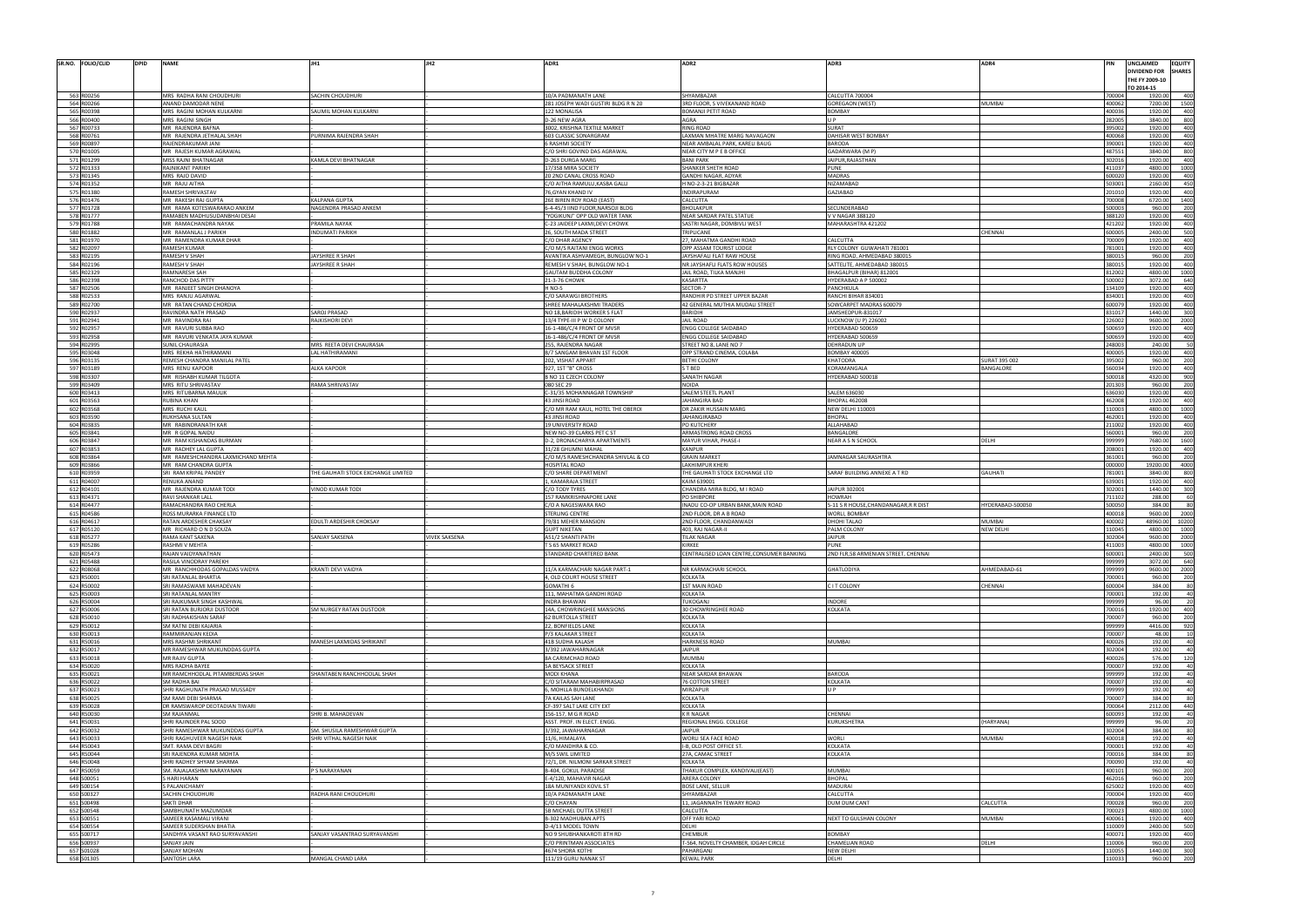| SR.NO. FOLIO/CLID<br><b>DPID</b>                                   | <b>NAME</b>                                              |                                    |                      | ADR1                                                | ADR2                                                       | ADR3                                                       | ADR4             |                       | UNCLAIMED<br><b>DIVIDEND FOR</b><br>THE FY 2009-10<br>TO 2014-15 |
|--------------------------------------------------------------------|----------------------------------------------------------|------------------------------------|----------------------|-----------------------------------------------------|------------------------------------------------------------|------------------------------------------------------------|------------------|-----------------------|------------------------------------------------------------------|
| 563 R00256                                                         | MRS RADHA RANI CHOUDHURI                                 | SACHIN CHOUDHURI                   |                      | 10/A PADMANATH LANE                                 | SHYAMBAZAR                                                 | CALCUTTA 700004                                            |                  | 700004                | 1920.00                                                          |
| 564 R00266<br>565 R00398                                           | ANAND DAMODAR NENE<br>MRS RAGINI MOHAN KULKARNI          | SAUMIL MOHAN KULKARNI              |                      | 281 JOSEPH WADI GUSTIRI BLDG R N 20<br>122 MONALISA | 3RD FLOOR, S VIVEKANAND ROAD<br>BOMANJI PETIT ROAD         | <b>GOREGAON (WEST)</b><br><b>BOMBAY</b>                    | <b>MUMBAI</b>    | 400062<br><b>LOOO</b> | 7200.00<br>1920.00                                               |
| 566 R00400                                                         | MRS RAGINI SINGH                                         |                                    |                      | D-26 NEW AGRA                                       | AGRA                                                       | U P                                                        |                  | 282005                | 3840.00                                                          |
| 567 R00733                                                         | MR RAJENDRA BAFNA                                        |                                    |                      | 3002, KRISHNA TEXTILE MARKET                        | RING ROAD                                                  | SURAT                                                      |                  | 395002                | 1920.00                                                          |
| 568 R00761                                                         | MR RAJENDRA JETHALAL SHAH                                | PURNIMA RAJENDRA SHAH              |                      | 603 CLASSIC SONARGRAM                               | LAXMAN MHATRE MARG NAVAGAON                                | DAHISAR WEST BOMBAY                                        |                  | 100068                | 1920.00                                                          |
| 569 R00897                                                         | RAJENDRAKUMAR JANI                                       |                                    |                      | <b>SRASHMI SOCIETY</b>                              | NEAR AMBALAL PARK, KARELI BAUG                             | <b>BARODA</b>                                              |                  | annr                  | 1920.00                                                          |
| 570 R01005                                                         | MR RAJESH KUMAR AGRAWAL                                  |                                    |                      | C/O SHRI GOVIND DAS AGRAWAL                         | NEAR CITY M P E B OFFICE                                   | GADARWARA (M P)                                            |                  | 187551                | 3840.00                                                          |
| 571 R01299                                                         | MISS RAJNI BHATNAGAR                                     | KAMLA DEVI BHATNAGAR               |                      | D-263 DURGA MARG                                    | <b>BANI PARK</b>                                           | JAIPUR, RAJASTHAN                                          |                  | 302016                | 1920.00                                                          |
| 572 R01333                                                         | RAJNIKANT PARIKH                                         |                                    |                      | 17/358 MIRA SOCIETY                                 | <b>SHANKER SHETH ROAD</b>                                  | <b>PUNE</b>                                                |                  | 411037                | 4800.00                                                          |
| 573 R01345                                                         | MRS RAJO DAVID                                           |                                    |                      | 20 2ND CANAL CROSS ROAD                             | GANDHI NAGAR, ADYAR                                        | <b>MADRAS</b>                                              |                  | 60002                 | 1920.00                                                          |
| 574 R01352                                                         | MR RAJU AITHA                                            |                                    |                      | C/O AITHA RAMULU, KASBA GALLI                       | H NO-2-3-21 BIGBAZAR                                       | NIZAMABAD                                                  |                  | 50300                 | 2160.00                                                          |
| 575 R01380                                                         | <b>RAMESH SHRIVASTAV</b>                                 |                                    |                      | 76.GYAN KHAND IV                                    | NDIRAPURAM                                                 | GAZIABAD                                                   |                  | 20101                 | 1920.00                                                          |
| 576 R01476                                                         | MR RAKESH RAJ GUPTA                                      | <b>KALPANA GUPTA</b>               |                      | 26E BIREN ROY ROAD (EAST)                           | CALCUTTA                                                   |                                                            |                  | 700008                | 6720.00                                                          |
| 577 R01728                                                         | MR RAMA KOTESWARARAO ANKEM                               | NAGENDRA PRASAD ANKEM              |                      | 6-4-45/3 IIND FLOOR, NARSOJI BLDG                   | <b>HOLAKPUR</b>                                            | SECUNDERABAD                                               |                  | 500003                | 960.00                                                           |
| 578 R01777                                                         | RAMABEN MADHUSUDANBHAI DESAI                             |                                    |                      | "YOGIKUNJ" OPP OLD WATER TANK                       | NEAR SARDAR PATEL STATUE                                   | V V NAGAR 388120                                           |                  | 38812                 | 1920.00                                                          |
| 579 R01788                                                         | MR RAMACHANDRA NAYAK                                     | PRAMILA NAYAK                      |                      | C-23 JAIDEEP LAXMI, DEVI CHOWK                      | SASTRI NAGAR, DOMBIVLI WEST                                | MAHARASHTRA 421202                                         |                  | 421202                | 1920.00                                                          |
| 580 R01882                                                         | MR RAMANLAL J PARIKH                                     | <b>INDUMATI PARIKH</b>             |                      | 26, SOUTH MADA STREET                               | <b>TRIPLICANE</b>                                          |                                                            | <b>CHENNAI</b>   | 600005                | 2400.00                                                          |
| 581 R01970<br>582 R02097                                           | MR RAMENDRA KUMAR DHAR                                   |                                    |                      | C/O DHAR AGENCY                                     | 27, MAHATMA GANDHI ROAD                                    | CALCUTTA                                                   |                  | 700009<br>78100       | 1920.00                                                          |
| 583 R02195                                                         | <b>RAMESH KUMAR</b>                                      |                                    |                      | C/O M/S RAITANI ENGG WORKS                          | OPP ASSAM TOURIST LODGE                                    | RLY COLONY GUWAHATI 781001                                 |                  | 38001                 | 1920.00<br>960.00                                                |
| 584 R02196                                                         | RAMESH V SHAH<br><b>RAMESH V SHAH</b>                    | JAYSHREE R SHAH<br>JAYSHREE R SHAH |                      | AVANTIKA ASHVAMEGH, BUNGLOW NO-1                    | JAYSHAFALI FLAT RAW HOUSE<br>NR JAYSHAFLI FLATS ROW HOUSES | RING ROAD, AHMEDABAD 380015<br>SATTELITE, AHMEDABAD 380015 |                  |                       | 1920.00                                                          |
| 585 R02329                                                         |                                                          |                                    |                      | REMESH V SHAH, BUNGLOW NO-1                         |                                                            |                                                            |                  | 38001                 | 4800.00                                                          |
| 586 R02398                                                         | <b>RAMNARESH SAH</b><br>RANCHOD DAS PITTY                |                                    |                      | <b>GAUTAM BUDDHA COLONY</b><br>21-3-76 CHOWK        | JAIL ROAD, TILKA MANJHI<br>KASARTTA                        | BHAGALPUR (BIHAR) 812001<br>HYDERABAD A P 500002           |                  | 812002<br>500002      | 3072.00                                                          |
| 587 R02506                                                         | MR RANJEET SINGH DHANOYA                                 |                                    |                      | <b>H NO-5</b>                                       | SECTOR-7                                                   | PANCHKULA                                                  |                  | 3410                  | 1920.00                                                          |
| 588 R02533                                                         | MRS RANJU AGARWAL                                        |                                    |                      | C/O SARAWGI BROTHERS                                | RANDHIR PD STREET UPPER BAZAR                              | RANCHI BIHAR 834001                                        |                  | 33400                 | 1920.00                                                          |
| 589 R02700                                                         | MR RATAN CHAND CHORDIA                                   |                                    |                      | SHREE MAHALAKSHMI TRADERS                           | 42 GENERAL MUTHIA MUDALI STREET                            | SOWCARPET MADRAS 600079                                    |                  | 600079                | 1920.00                                                          |
| 590 R02937                                                         | RAVINDRA NATH PRASAD                                     | SAROJ PRASAD                       |                      | NO 18, BARIDIH WORKER S FLAT                        | BARIDIH                                                    | JAMSHEDPUR-831017                                          |                  | 831017                | 1440.00                                                          |
| 591 R02941                                                         | MR RAVINDRA RAI                                          | RAJKISHORI DEVI                    |                      | 13/4 TYPE-III P W D COLONY                          | <b>AIL ROAD</b>                                            | LUCKNOW (U P) 226002                                       |                  | 22600                 | 9600.00                                                          |
| 592 R02957                                                         | MR RAVURI SUBBA RAO                                      |                                    |                      | 16-1-486/C/4 FRONT OF MVSF                          | ENGG COLLEGE SAIDABAD                                      | HYDERABAD 500659                                           |                  | 50065                 | 1920.00                                                          |
| 593 R02958                                                         | MR RAVURI VENKATA JAYA KUMAR                             |                                    |                      | 16-1-486/C/4 FRONT OF MVSR                          | ENGG COLLEGE SAIDABAD                                      | HYDERABAD 500659                                           |                  | 500659                | 1920.00                                                          |
| 594 R02995                                                         | <b>SUNIL CHAURASIA</b>                                   | MRS REETA DEVI CHAURASIA           |                      | 255, RAJENDRA NAGAF                                 | STREET NO 8, LANE NO 7                                     | <b>DEHRADUN UP</b>                                         |                  | 248003                | 240.00                                                           |
| 595 R03048                                                         | MRS REKHA HATHIRAMANI                                    | LAL HATHIRAMANI                    |                      | B/7 SANGAM BHAVAN 1ST FLOOR                         | OPP STRAND CINEMA, COLABA                                  | <b>BOMBAY 400005</b>                                       |                  | 100005                | 1920.00                                                          |
| 596 R03135                                                         | REMESH CHANDRA MANILAL PATEL                             |                                    |                      | 202, VISHAT APPART                                  | <b>BETHI COLONY</b>                                        | <b>KHATODRA</b>                                            | SURAT 395 002    | 39500                 | 960.00                                                           |
| 597 R03189                                                         | <b>MRS RENU KAPOOR</b>                                   | <b>ALKA KAPOOR</b>                 |                      | 927, 1ST "B" CROSS                                  | S T BED                                                    | KORAMANGALA                                                | <b>BANGALORE</b> | 560034                | 1920.00                                                          |
| 598 R03307                                                         | MR RISHABH KUMAR TILGOTA                                 |                                    |                      | B NO 11 CZECH COLONY                                | SANATH NAGAR                                               | HYDERABAD 500018                                           |                  | 500018                | 4320.00                                                          |
| 599 R03409                                                         | MRS RITU SHRIVASTAV                                      | RAMA SHRIVASTAV                    |                      | 080 SEC 29                                          | <b>ACIDA</b>                                               |                                                            |                  | 201303                | 960.00                                                           |
| 600 R03413                                                         | MRS RITUBARNA MAULIK                                     |                                    |                      | C-31/35 MOHANNAGAR TOWNSHIP                         | <b>SALEM STEETL PLANT</b>                                  | <b>SALEM 636030</b>                                        |                  | 536030                | 1920.00                                                          |
| 601 R03563                                                         | RUBINA KHAN                                              |                                    |                      | 43 JINSI ROAD                                       | JAHANGIRA BAD                                              | <b>BHOPAL 462008</b>                                       |                  | 162008                | 1920.00                                                          |
| 602 R03568                                                         | MRS RUCHI KAUL                                           |                                    |                      | C/O MR RAM KAUL, HOTEL THE OBEROI                   | DR ZAKIR HUSSAIN MARG                                      | <b>NEW DELHI 110003</b>                                    |                  | 10003                 | 4800.00                                                          |
| 603 R03590                                                         | RUKHSANA SULTAN                                          |                                    |                      | <b>43 JINSI ROAD</b>                                | <b>JAHANGIRABAD</b>                                        | <b>BHOPAL</b>                                              |                  | 162001                | 1920.00                                                          |
| 604 R03835                                                         | MR RABINDRANATH KAR                                      |                                    |                      | 19 UNIVERSITY ROAD                                  | PO KUTCHERY                                                | ALLAHABAD                                                  |                  | 211002                | 1920.00                                                          |
| 605 R03841                                                         | MR R GOPAL NAIDU                                         |                                    |                      | NEW NO-39 CLARKS PET C ST                           | ARMASTRONG ROAD CROSS                                      | <b>BANGALORE</b>                                           |                  | 560001                | 960.00                                                           |
| 606 R03847                                                         | MR RAM KISHANDAS BURMAN                                  |                                    |                      | D-2, DRONACHARYA APARTMENTS                         | MAYUR VIHAR, PHASE-I                                       | NEAR A S N SCHOOL                                          | DELHI            | 19999                 | 7680.00                                                          |
| 607 R03853                                                         | MR RADHEY LAL GUPTA                                      |                                    |                      | 31/28 GHUMNI MAHAI                                  | KANPUR                                                     |                                                            |                  | 20800                 | 1920.00                                                          |
| 608 R03864                                                         | MR RAMESHCHANDRA LAXMICHAND MEHTA                        |                                    |                      | C/O M/S RAMESHCHANDRA SHIVLAL & CO                  | <b>GRAIN MARKET</b>                                        | JAMNAGAR SAURASHTRA                                        |                  | 361001                | 960.00                                                           |
| 609 R03866                                                         | MR RAM CHANDRA GUPTA                                     |                                    |                      | <b>HOSPITAL ROAD</b>                                | LAKHIMPUR KHERI                                            |                                                            |                  | 000000                | 19200.00                                                         |
| 610 R03959                                                         | SRI RAM KRIPAL PANDEY                                    | THE GAUHATI STOCK EXCHANGE LIMITED |                      | /O SHARE DEPARTMENT                                 | THE GAUHATI STOCK EXCHANGE LTD                             | SARAF BUILDING ANNEXE A T RD                               | <b>GAUHATI</b>   | 78100                 | 3840.00                                                          |
| 611 R04007                                                         | RENUKA ANAND                                             |                                    |                      | , KAMARAJA STREET                                   | KAIM 639001                                                |                                                            |                  | 3900                  | 1920.00                                                          |
| 612 R04101                                                         | MR RAJENDRA KUMAR TODI                                   | <b>VINOD KUMAR TODI</b>            |                      | C/O TODY TYRES                                      | CHANDRA MIRA BLDG, M I ROAD                                | JAIPUR 302001                                              |                  | 302001                | 1440.00                                                          |
| 613 R04371                                                         | RAVI SHANKAR LALL                                        |                                    |                      | 157 RAMKRISHNAPORE LANE                             | PO SHIBPORE                                                | <b>HOWRAH</b>                                              |                  | 711102                | 288.00                                                           |
| 614 R04477                                                         | RAMACHANDRA RAO CHERLA                                   |                                    |                      | C/O A NAGESWARA RAO                                 | INADU CO-OP URBAN BANK, MAIN ROAD                          | 5-11 S R HOUSE.CHANDANAGAR.R R DIST                        | HYDERABAD-500050 | 500050                | 384.00                                                           |
| 615 R04586                                                         | ROSS MURARKA FINANCE LTD                                 |                                    |                      | STERLING CENTRE                                     | 2ND FLOOR, DR A B ROAD                                     | WORLI, BOMBAY                                              |                  | 10001                 | 9600.00                                                          |
| 616 R04617                                                         | RATAN ARDESHER CHAKSAY                                   | EDULTI ARDESHIR CHOKSAY            |                      | 79/81 MEHER MANSION                                 | 2ND FLOOR, CHANDANWADI                                     | DHOHI TALAO                                                | <b>MUMBAI</b>    | 10000                 | 48960.0                                                          |
| 617 R05120                                                         | MR RICHARD ON D SOUZA                                    |                                    |                      | <b>GUPT NIKETAN</b>                                 | 403, RAJ NAGAR-I                                           | PALM COLONY                                                | <b>NEW DELHI</b> | 10045                 | 4800.00                                                          |
| 618 R05277                                                         | RAMA KANT SAXENA                                         | SANJAY SAKSENA                     | <b>VIVEK SAKSENA</b> | A51/2 SHANTI PATH                                   | <b>TILAK NAGAR</b>                                         | <b>JAIPUR</b>                                              |                  | 102004                | 9600.00                                                          |
| 619 R05286                                                         | RASHMI V MEH                                             |                                    |                      | T S 65 MARKET ROA                                   |                                                            |                                                            |                  |                       | 4800.0                                                           |
| 620 R05473                                                         | RAJAN VAIDYANATHAN                                       |                                    |                      | STANDARD CHARTERED BANK                             | CENTRALISED LOAN CENTRE, CONSUMER BANKING                  | 2ND FLR,58 ARMENIAN STREET, CHENNAI                        |                  | 600001                | 2400.00                                                          |
| 621 R05488                                                         | RASILA VINODRAY PAREKH                                   |                                    |                      |                                                     |                                                            |                                                            |                  | 999999                | 3072.00                                                          |
| 622 R08068                                                         | MR RANCHHODAS GOPALDAS VAIDYA                            | <b>KRANTI DEVI VAIDYA</b>          |                      | 11/A KARMACHARI NAGAR PART-1                        | NR KARMACHARI SCHOOL                                       | <b>GHATLODIYA</b>                                          | AHMEDABAD-61     | 999999                | 9600.00                                                          |
| 623 R50001                                                         | SRI RATANLAL BHARTIA                                     |                                    |                      | 4, OLD COURT HOUSE STREET                           | <b>KOLKATA</b>                                             |                                                            |                  | 700001                | 960.00                                                           |
| 624 R50002                                                         | SRI RAMASWAMI MAHADEVAN                                  |                                    |                      | GOMATHI 6                                           | <b>1ST MAIN ROAD</b>                                       | C I T COLONY                                               | CHENNAI          | 600004                | 384.00                                                           |
| 625 R50003                                                         | SRI RATANLAL MANTRY                                      |                                    |                      | 111, MAHATMA GANDHI ROAD                            | <b>KOLKATA</b>                                             |                                                            |                  | 700001                | 192.00                                                           |
| 626 R50004                                                         | SRI RAJKUMAR SINGH KASHWAL<br>SRI RATAN BURJORJI DUSTOOR |                                    |                      | <b>INDRA BHAWAN</b>                                 | TUKOGANJ                                                   | <b>INDORE</b>                                              |                  | 999999                | 96.00                                                            |
| 627 R50006<br>628 R50010                                           | SRI RADHAKISHAN SARAF                                    | SM NURGEY RATAN DUSTOOR            |                      | 14A, CHOWRINGHEE MANSIONS<br>62 BURTOLLA STREET     | 30 CHOWRINGHEE ROAD<br><b>KOLKATA</b>                      | <b>KOLKATA</b>                                             |                  | 700016<br>700007      | 1920.00<br>960.00                                                |
| 629 R50012                                                         | <b>SM RATNI DEBI KAJARIA</b>                             |                                    |                      | 22, BONFIELDS LANE                                  | <b>KOLKATA</b>                                             |                                                            |                  |                       | 4416.00                                                          |
| 630 R50013                                                         | RAMMIRANJAN KEDIA                                        |                                    |                      | P/3 KALAKAR STREET                                  | <b>KOLKATA</b>                                             |                                                            |                  | 99999<br>700007       | 48.00                                                            |
| 631 R50016                                                         | MRS RASHMI SHRIKANT                                      | MANESH LAXMIDAS SHRIKANT           |                      | 41B SUDHA KALASH                                    | <b>HARKNESS ROAD</b>                                       | <b>MUMBAI</b>                                              |                  | 400026                | 192.00                                                           |
| 632 R50017                                                         | MR RAMESHWAR MUKUNDDAS GUPTA                             |                                    |                      | 3/392 JAWAHARNAGAR                                  | JAIPUR                                                     |                                                            |                  | 302004                | 192.00                                                           |
| 633 R50018                                                         | <b>MR RAJIV GUPTA</b>                                    |                                    |                      | <b>8A CARIMCHAD ROAD</b>                            | MUMBAI                                                     |                                                            |                  | 10002                 | 576.00                                                           |
| 634 R50020                                                         | <b>MRS RADHA BAYEE</b>                                   |                                    |                      | 5A BEYSACK STREET                                   | <b>KOLKATA</b>                                             |                                                            |                  | 700007                | 192.00                                                           |
| 635 R50021                                                         | MR RAMCHHODLAL PITAMBERDAS SHAH                          | SHANTABEN RANCHHODLAL SHAH         |                      | MODI KHANA                                          | NEAR SARDAR BHAWAN                                         | <b>BARODA</b>                                              |                  | 999999                | 192.00                                                           |
| 636 R50022                                                         | <b>SM RADHA BAI</b>                                      |                                    |                      | C/O SITARAM MAHABIRPRASAD                           | 76 COTTON STREET                                           | <b>KOLKATA</b>                                             |                  | 700007                | 192.00                                                           |
| 637 R50023                                                         | SHRI RAGHUNATH PRASAD MUSSADY                            |                                    |                      | 6, MOHLLA BUNDELKHANDI                              | <b>MIRZAPUR</b>                                            | U P                                                        |                  | 999999                | 192.00                                                           |
| 638 R50025                                                         | SM RAMI DEBI SHARMA                                      |                                    |                      | 7A KAILAS SAH LANE                                  | <b>KOLKATA</b>                                             |                                                            |                  |                       | 384.00                                                           |
| 639 R50028                                                         | DR RAMSWAROP DEOTADIAN TIWARI                            |                                    |                      | CF-397 SALT LAKE CITY EXT                           | <b>KOLKATA</b>                                             |                                                            |                  | 700007<br>700064      | 2112.00                                                          |
| 640 R50030                                                         | <b>SM RAJANMAL</b>                                       | SHRI B. MAHADEVAN                  |                      | 156-157. M G R ROAD                                 | <b>K R NAGAR</b>                                           | <b>CHENNAI</b>                                             |                  | 600093                | 192.00                                                           |
| 641 R50031                                                         | SHRI RAJINDER PAL SOOD                                   |                                    |                      | ASST. PROF. IN ELECT. ENGG.                         | REGIONAL ENGG. COLLEGE                                     | KURUKSHETRA                                                | (HARYANA)        | 999999                | 96.00                                                            |
| 642 R50032                                                         | SHRI RAMESHWAR MUKUNDDAS GUPTA                           | SM. SHUSILA RAMESHWAR GUPTA        |                      | 3/392, JAWAHARNAGAR                                 | <b>JAIPUR</b>                                              |                                                            |                  | 02004                 | 384.00                                                           |
| 643 R50033                                                         | SHRI RAGHUVEER NAGESH NAIK                               | SHRI VITHAL NAGESH NAIK            |                      | 11/6, HIMALAYA                                      | WORLI SEA FACE ROAD                                        | <b>WORLI</b>                                               | <b>MUMBAI</b>    | 400018                | 192.00                                                           |
| 644 R50043                                                         | SMT. RAMA DEVI BAGRI                                     |                                    |                      | C/O MANDHRA & CO.                                   | I-B, OLD POST OFFICE ST.                                   | <b>KOLKATA</b>                                             |                  | 700001                | 192.00                                                           |
| 645 R50044                                                         | SRI RAJENDRA KUMAR MOHTA                                 |                                    |                      | M/S SWIL LIMITED                                    | 27A, CAMAC STREET                                          | <b>KOLKATA</b>                                             |                  | 700016                | 384.00                                                           |
| 646 R50048                                                         | SHRI RADHEY SHYAM SHARMA                                 |                                    |                      | 72/1, DR. NILMONI SARKAR STREET                     | <b>KOLKATA</b>                                             |                                                            |                  | 700090                | 192.00                                                           |
| 647 R50059                                                         | SM. RAJALAKSHMI NARAYANAN                                | P S NARAYANAN                      |                      | <b>B-404, GOKUL PARADISE</b>                        | THAKUR COMPLEX, KANDIVALI(EAST)                            | <b>MUMBAI</b>                                              |                  | 10010                 | 960.00                                                           |
| 648 S00051                                                         | S HARI HARAN                                             |                                    |                      | E-4/120, MAHAVIR NAGAR                              | ARERA COLONY                                               | <b>BHOPAL</b>                                              |                  | 462016                | 960.00                                                           |
| 649 S00154                                                         | S PALANICHAMY                                            |                                    |                      | 18A MUNIYANDI KOVIL ST                              | <b>BOSE LANE, SELLUR</b>                                   | <b>MADURAI</b>                                             |                  | 625002                | 1920.00                                                          |
| 650 S00327                                                         | SACHIN CHOUDHURI                                         | RADHA RANI CHOUDHURI               |                      | 10/A PADMANATH LANE                                 | SHYAMBAZAR                                                 | CALCUTTA                                                   |                  | 700004                | 1920.00                                                          |
| 651 S00498                                                         | SAKTI DHAR                                               |                                    |                      | C/O CHAYAN                                          | 11, JAGANNATH TEWARY ROAD                                  | <b>DUM DUM CANT</b>                                        | CALCUTTA         | 70002                 | 960.00                                                           |
| 652 S00548                                                         | SAMBHUNATH MAZUMDAR                                      |                                    |                      | 5B MICHAEL DUTTA STREET                             | CALCUTTA                                                   |                                                            |                  | 700023                | 4800.00                                                          |
| 653 S00551                                                         | SAMEER KASAMALI VIRANI                                   |                                    |                      | <b>B-302 MADHUBAN APTS</b>                          | OFF YARI ROAD                                              | NEXT TO GULSHAN COLONY                                     | <b>MUMBAI</b>    | 400061                | 1920.00                                                          |
|                                                                    | SAMEER SUDERSHAN BHATIA                                  |                                    |                      | D-4/13 MODEL TOWN                                   | DELHI                                                      |                                                            |                  | 10009                 | 2400.00                                                          |
|                                                                    |                                                          |                                    |                      |                                                     |                                                            |                                                            |                  |                       | 1920.00                                                          |
|                                                                    |                                                          |                                    |                      |                                                     |                                                            |                                                            |                  |                       |                                                                  |
|                                                                    | SANDHYA VASANT RAO SURYAVANSHI                           | SANJAY VASANTRAO SURYAVANSHI       |                      | NO 9 SHUBHANKAROTI 8TH RD                           | CHEMBUR                                                    | <b>BOMBAY</b>                                              |                  | 400071                |                                                                  |
|                                                                    | <b>SANJAY JAIN</b>                                       |                                    |                      | C/O PRINTMAN ASSOCIATES                             | T-564, NOVELTY CHAMBER, IDGAH CIRCLE                       | <b>CHAMELIAN ROAD</b>                                      | DELHI            | 10006                 | 960.00                                                           |
| 654 S00554<br>655 S00717<br>656 S00937<br>657 S01028<br>658 S01305 | <b>SANJAY MOHAN</b><br>SANTOSH LARA                      | MANGAL CHAND LARA                  |                      | 4674 SHORA KOTHI<br>111/19 GURU NANAK ST            | PAHARGANJ<br><b>KEWAL PARK</b>                             | <b>NEW DELHI</b><br>DELHI                                  |                  | 110055<br>110033      | 1440.00<br>960.00                                                |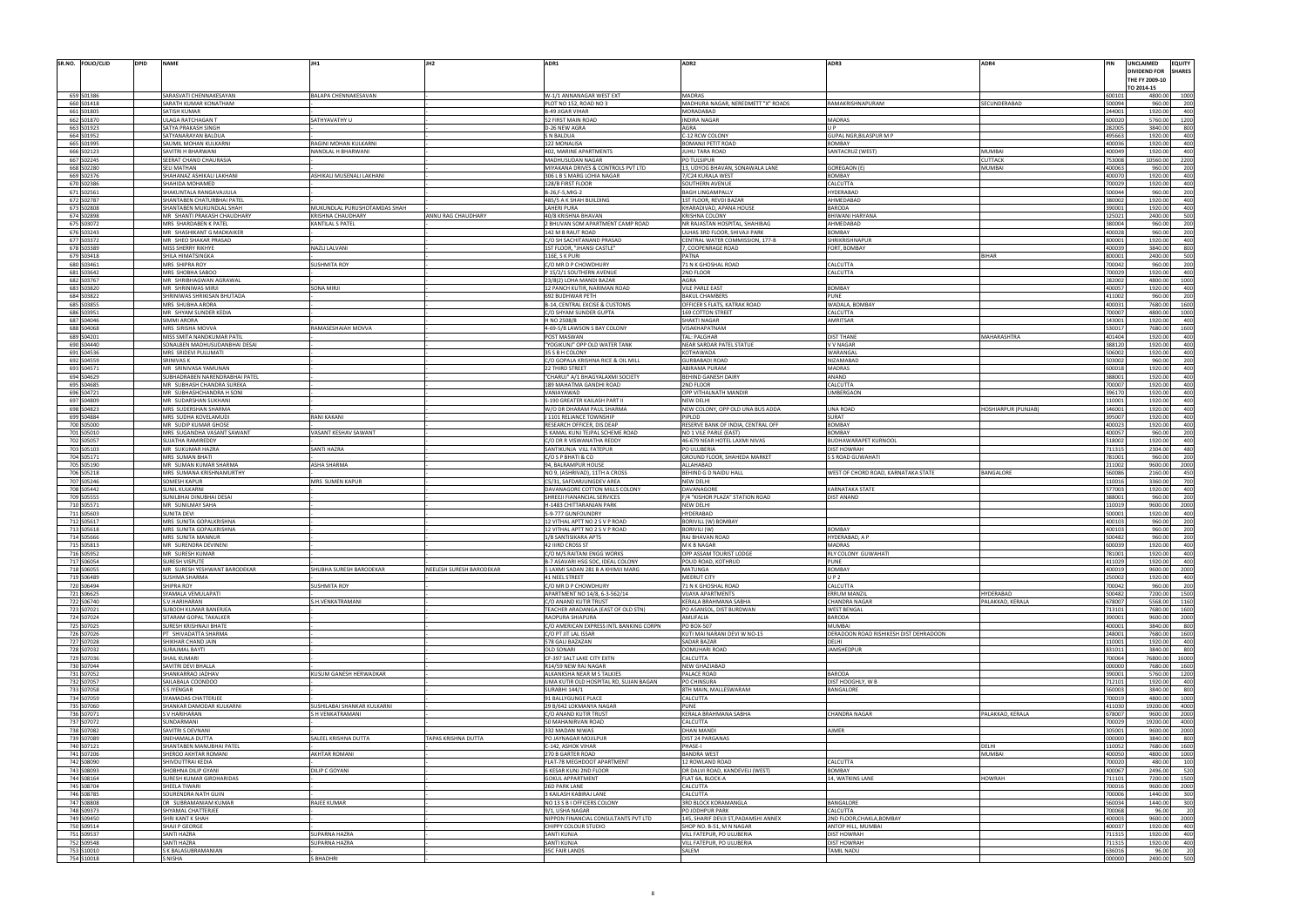| SR.NO. FOLIO/CLID<br><b>DPID</b> | <b>NAME</b>                                            | JH1                          | JH <sub>2</sub>          | ADR1                                                            | ADR <sub>2</sub>                                                 | ADR3                                             | ADR4                     | PIN              | UNCLAIMED                    | <b>EQUITY</b>            |
|----------------------------------|--------------------------------------------------------|------------------------------|--------------------------|-----------------------------------------------------------------|------------------------------------------------------------------|--------------------------------------------------|--------------------------|------------------|------------------------------|--------------------------|
|                                  |                                                        |                              |                          |                                                                 |                                                                  |                                                  |                          |                  | DIVIDEND FOR                 | <b>SHARES</b>            |
|                                  |                                                        |                              |                          |                                                                 |                                                                  |                                                  |                          |                  | THE FY 2009-10<br>TO 2014-15 |                          |
| 659 S01386                       | SARASVATI CHENNAKESAYAN                                | BALAPA CHENNAKESAVAN         |                          | W-1/1 ANNANAGAR WEST EXT                                        | <b>MADRAS</b>                                                    |                                                  |                          | 600101           | 4800.00                      | 100                      |
| 660 S01418                       | SARATH KUMAR KONATHAM                                  |                              |                          | PLOT NO 152, ROAD NO 3                                          | MADHURA NAGAR, NEREDMETT "X" ROADS                               | RAMAKRISHNAPURAM                                 | ECUNDERABAD              | 500094           | 960.00                       | - 201                    |
| 661 S01805                       | SATISH KUMAR                                           |                              |                          | <b>B-49 JIGAR VIHAR</b>                                         | MORADABAD                                                        |                                                  |                          | 244001           | 1920.00                      |                          |
| 662 S01870<br>663 S01923         | JLAGA RATCHAGAN T<br>SATYA PRAKASH SINGH               | SATHYAVATHY U                |                          | 52 FIRST MAIN ROAD<br>D-26 NEW AGRA                             | <b>NDIRA NAGAR</b><br><b>AGRA</b>                                | MADRAS                                           |                          | 600020<br>282005 | 5760.00<br>3840.00           | 1200<br>80               |
| 664 S01952                       | SATYANARAYAN BALDUA                                    |                              |                          | S N BALDUA                                                      | C-12 RCW COLONY                                                  | GUPAL NGR, BILASPUR M P                          |                          | 495663           | 1920.00                      | 400                      |
| 665 S01995                       | SAUMIL MOHAN KULKARNI                                  | RAGINI MOHAN KULKARNI        |                          | 122 MONALISA                                                    | BOMANJI PETIT ROAD                                               | BOMBAY                                           |                          | 400036           | 1920.00                      |                          |
| 666 S02123<br>667 S02245         | SAVITRI H BHARWANI<br>SEERAT CHAND CHAURASIA           | NANDLAL H BHARWANI           |                          | 402, MARINE APARTMENTS<br>MADHUSUDAN NAGAR                      | UHU TARA ROAD<br>PO TULSIPUR                                     | SANTACRUZ (WEST)                                 | <b>MUMBAI</b><br>CUTTACK | 100049<br>753008 | 1920.0<br>10560.00           | 2200                     |
| 668 S02280                       | SELI MATHAN                                            |                              |                          | MIYAKANA DRIVES & CONTROLS PVT LTD                              | 13, UDYOG BHAVAN, SONAWALA LANE                                  | <b>GOREGAON (E</b>                               | <b>MUMBAI</b>            | 400063           | 960.00                       |                          |
| 669 S02376                       | SHAHANAZ ASHIKALI LAKHANI                              | ASHIKALI MUSENALI LAKHANI    |                          | 306 L B S MARG LOHIA NAGAR                                      | '/C24 KURALA WEST                                                | <b>BOMBAY</b>                                    |                          | 400070           | 1920.0                       | 40                       |
| 670 S02386                       | SHAHIDA MOHAMED                                        |                              |                          | 128/B FIRST FLOOR                                               | SOUTHERN AVENUE                                                  | CALCUTTA                                         |                          | 700029<br>500044 | 1920.00<br>960.00            |                          |
| 671 S02561<br>672 S02787         | SHAKUNTALA RANGAVAJJULA<br>SHANTABEN CHATURBHAI PATEI  |                              |                          | B-26,F-5,MIG-2<br>485/5 A K SHAH BUILDING                       | <b>BAGH LINGAMPALLY</b><br><b>1ST FLOOR, REVDI BAZAR</b>         | <b>HYDERABAD</b><br>AHMEDABAD                    |                          | 380002           | 1920.00                      | - 20<br>400              |
| 673 S02808                       | SHANTABEN MUKUNDLAL SHAH                               | MUKUNDLAL PURUSHOTAMDAS SHAH |                          | <b>LAHERI PURA</b>                                              | KHARADIVAD, APANA HOUSE                                          | <b>BARODA</b>                                    |                          | 390001           | 1920.00                      |                          |
| 674 S02898                       | MR SHANTI PRAKASH CHAUDHARY                            | <b>KRISHNA CHAUDHARY</b>     | ANNU RAG CHAUDHARY       | 40/8 KRISHNA BHAVAN                                             | KRISHNA COLONY                                                   | <b>BHIWANI HARYANA</b>                           |                          | 125021           | 2400.00                      |                          |
| 675 S03072                       | MRS SHARDABEN K PATEI                                  | KANTILAL S PATEL             |                          | 2 BHUVAN SOM APARTMENT CAMP ROAD                                | NR RAJASTAN HOSPITAL, SHAHIBAG                                   | AHMEDABAD                                        |                          | 380004           | 960.0                        |                          |
| 676 S03243<br>677 S03372         | MR SHASHIKANT G MADKAIKER<br>MR SHEO SHAKAR PRASAD     |                              |                          | 142 M B RAUT ROAD<br>C/O SH SACHITANAND PRASAD                  | ULHAS 3RD FLOOR, SHIVAJI PARK<br>CENTRAL WATER COMMISSION, 177-B | BOMBAY<br>SHRIKRISHNAPUF                         |                          | 400028<br>800001 | 960.00<br>1920.00            | - 200<br>400             |
| 678 S03389                       | MISS SHERRY RIKHYE                                     | NAZLI LALVANI                |                          | 1ST FLOOR, "JHANSI CASTLE"                                      | 7, COOPENRAGE ROAD                                               | FORT, BOMBAY                                     |                          | 400039           | 3840.00                      |                          |
| 679 S03418                       | SHILA HIMATSINGKA                                      |                              |                          | 116E, S K PURI                                                  | PATNA                                                            |                                                  | <b>BIHAR</b>             | 800001           | 2400.00                      |                          |
| 680 S03461                       | MRS SHIPRA ROY                                         | <b>SUSHMITA ROY</b>          |                          | C/O MR D P CHOWDHURY                                            | 71 N K GHOSHAL ROAD                                              | CALCUTTA                                         |                          | 700042           | 960.00                       |                          |
| 681 S03642<br>682 S03767         | MRS SHOBHA SABOO                                       |                              |                          | P 15/2/1 SOUTHERN AVENUE                                        | 2ND FLOOR                                                        | <b>CALCUTTA</b>                                  |                          | 700029           | 1920.00                      | 400                      |
| 683 S03820                       | MR SHRIBHAGWAN AGRAWAL<br>MR SHRINIWAS MIRJI           | SONA MIRJI                   |                          | 23/8(2) LOHA MANDI BAZAR<br>12 PANCH KUTIR, NARIMAN ROAD        | <b>AGRA</b><br><b>VILE PARLE EAST</b>                            | BOMBAY                                           |                          | 282002<br>400057 | 4800.00<br>1920.00           | 100                      |
| 684 S03822                       | SHRINIWAS SHRIKISAN BHUTADA                            |                              |                          | 692 BUDHWAR PETH                                                | <b>BAKUL CHAMBERS</b>                                            | <b>PUNE</b>                                      |                          | 411002           | 960.0                        |                          |
| 685 S03855                       | MRS SHUBHA ARORA                                       |                              |                          | B-14, CENTRAL EXCISE & CUSTOMS                                  | OFFICER S FLATS, KATRAK ROAD                                     | WADALA, BOMBAY                                   |                          | 400031           | 7680.00                      | 1600                     |
| 686 S03951                       | MR SHYAM SUNDER KEDIA                                  |                              |                          | C/O SHYAM SUNDER GUPTA                                          | 169 COTTON STREET                                                | CALCUTTA                                         |                          | 700007           | 4800.00                      | 100                      |
| 687 S04046<br>688 S04068         | SIMMI ARORA<br>MRS SIRISHA MOVVA                       | RAMASESHAIAH MOVVA           |                          | H NO 2508/8<br>4-69-5/B LAWSON S BAY COLONY                     | SHAKTI NAGAR<br>VISAKHAPATNAM                                    | AMRITSAR                                         |                          | 143001<br>530017 | 1920.00<br>7680.00           | 400<br>1600              |
| 689 S04201                       | MISS SMITA NANDKUMAR PATIL                             |                              |                          | POST MASWAN                                                     | <b>TAL: PALGHAR</b>                                              | <b>DIST THANE</b>                                | MAHARASHTRA              | 101404           | 1920.00                      | 400                      |
| 690 S04440                       | SONALBEN MADHUSUDANBHAI DESAI                          |                              |                          | "YOGIKUNJ" OPP OLD WATER TANK                                   | NEAR SARDAR PATEL STATUE                                         | V V NAGAR                                        |                          | 388120           | 1920.00                      | 400                      |
| 691 S04536                       | MRS SRIDEVI PULUMATI                                   |                              |                          | 35 S B H COLONY                                                 | KOTHAWADA                                                        | WARANGAL                                         |                          | 506002           | 1920.00                      |                          |
| 692 S04559                       | <b>SRINIVAS K</b>                                      |                              |                          | C/O GOPALA KRISHNA RICE & OIL MILL                              | GURBABADI ROAD                                                   | NIZAMABAD                                        |                          | 503002           | 960.00                       | - 201<br>40 <sup>1</sup> |
| 693 S04571<br>694 S04629         | MR SRINIVASA YAMUNAN<br>SUBHADRABEN NARENDRABHAI PATEL |                              |                          | 22 THIRD STREET<br>"CHARUJ" A/1 BHAGYALAXMI SOCIETY             | ABIRAMA PURAM<br>BEHIND GANESH DAIRY                             | <b>MADRAS</b><br>ANAND                           |                          | 600018<br>388001 | 1920.00<br>1920.00           | 400                      |
| 695 S04685                       | MR SUBHASH CHANDRA SUREKA                              |                              |                          | 189 MAHATMA GANDHI ROAD                                         | 2ND FLOOR                                                        | CALCUTTA                                         |                          | 700007           | 1920.00                      | 40 <sup>1</sup>          |
| 696 S04721                       | MR SUBHASHCHANDRA H SONI                               |                              |                          | VANIAYAWAD                                                      | OPP VITHALNATH MANDIR                                            | <b>JMBERGAON</b>                                 |                          | 396170           | 1920.00                      | 400                      |
| 697 S04809                       | MR SUDARSHAN SUKHANI                                   |                              |                          | S-190 GREATER KAILASH PART II                                   | NEW DELHI                                                        |                                                  |                          | 110001           | 1920.00                      |                          |
| 698 S04823<br>699 S04884         | MRS SUDERSHAN SHARMA<br>MRS SUDHA KOVELAMUDI           | <b>RANI KAKANI</b>           |                          | W/O DR DHARAM PAUL SHARMA<br>J 1101 RELIANCE TOWNSHIP           | NEW COLONY, OPP OLD UNA BUS ADDA<br>PIPLOD                       | <b>UNA ROAD</b><br>SURAT                         | HOSHIARPUR (PUNJAB)      | 146001<br>395007 | 1920.00<br>1920.00           | 400<br>400               |
| 700 S05000                       | MR SUDIP KUMAR GHOSE                                   |                              |                          | RESEARCH OFFICER, DIS DEAP                                      | RESERVE BANK OF INDIA, CENTRAL OFF                               | <b>BOMBAY</b>                                    |                          | 400023           | 1920.00                      |                          |
| 701 S05010                       | MRS SUGANDHA VASANT SAWANT                             | VASANT KESHAV SAWANT         |                          | 5 KAMAL KUNJ TEJPAL SCHEME ROAD                                 | NO 1 VILE PARLE (EAST)                                           | <b>BOMBAY</b>                                    |                          | 400057           | 960.00                       | 201                      |
| 702 S05057                       | SUJATHA RAMIREDDY                                      |                              |                          | C/O DR R VISWANATHA REDDY                                       | 46-679 NEAR HOTEL LAXMI NIVAS                                    | BUDHAWARAPET KURNOOL                             |                          | 518002           | 1920.00                      |                          |
| 703 S05103<br>704 S05171         | MR SUKUMAR HAZRA                                       | SANTI HAZRA                  |                          | SANTIKUNJA VILL FATEPUR                                         | PO ULUBERIA                                                      | <b>JIST HOWRAH</b>                               |                          | 711315<br>781001 | 2304.00<br>960.00            | 480<br>200               |
|                                  |                                                        |                              |                          |                                                                 |                                                                  |                                                  |                          |                  |                              |                          |
|                                  | MRS SUMAN BHATI                                        |                              |                          | C/O S P BHATI & CO                                              | GROUND FLOOR, SHAHEDA MARKET                                     | S ROAD GUWAHATI                                  |                          |                  |                              |                          |
| 705 S05190<br>706 S05218         | MR SUMAN KUMAR SHARMA<br>MRS SUMANA KRISHNAMURTHY      | <b>ASHA SHARMA</b>           |                          | 94, BALRAMPUR HOUSE<br>NO 9, (ASHRIVAD), 11TH A CROSS           | ALLAHABAD<br>BEHIND G D NAIDU HALL                               | WEST OF CHORD ROAD, KARNATAKA STATE              | <b>BANGALORE</b>         | 211002<br>560086 | 9600.00<br>2160.00           | 2000                     |
| 707 S05246                       | SOMESH KAPUR                                           | MRS SUMEN KAPUR              |                          | C5/31, SAFDARJUNGDEV AREA                                       | NEW DELHI                                                        |                                                  |                          | 110016           | 3360.00                      |                          |
| 708 S05442                       | SUNIL KULKARNI                                         |                              |                          | DAVANAGORE COTTON MILLS COLONY                                  | DAVANAGORE                                                       | <b>KARNATAKA STATI</b>                           |                          | 577003           | 1920.00                      | 400                      |
| 709 S05555                       | SUNILBHAI DINUBHAI DESAI                               |                              |                          | SHREEJI FIANANCIAL SERVICES                                     | F/4 "KISHOR PLAZA" STATION ROAD                                  | <b>DIST ANAND</b>                                |                          | 388001           | 960.00                       | - 20                     |
| 710 S05571<br>711 S05603         | MR SUNILMAY SAHA<br><b>SUNITA DEVI</b>                 |                              |                          | H-1483 CHITTARANJAN PARK<br>5-9-777 GUNFOUNDRY                  | NEW DELHI<br>HYDERABAD                                           |                                                  |                          | 110019<br>500001 | 9600.00<br>1920.00           | 2000<br>400              |
| 712 S05617                       | VIRS SUNITA GOPALKRISHNA                               |                              |                          | 12 VITHAL APTT NO 2 S V P ROAD                                  | BORIVILL (W) BOMBAY                                              |                                                  |                          | 100103           | 960.0                        |                          |
| 713 S05618                       | MRS SUNITA GOPALKRISHNA                                |                              |                          | 12 VITHAL APTT NO 2 S V P ROAD                                  | BORIVILI (W)                                                     | <b>BOMBAY</b>                                    |                          | 400103           | 960.00                       | 200                      |
| 714 S05666                       | MRS SUNITA MANNUR                                      |                              |                          | 1/B SANTISIKARA APTS                                            | RAJ BHAVAN ROAD                                                  | IYDERABAD, A P                                   |                          | 500482           | 960.00                       | 200                      |
| 715 S05813<br>716 S05952         | MR SURENDRA DEVINENI<br>MR SURESH KUMAR                |                              |                          | <b>42 JURD CROSS ST</b><br>C/O M/S RAITANI ENGG WORKS           | M K R NAGAR<br>OPP ASSAM TOURIST LODGE                           | <b>IADRAS</b><br>RLY COLONY GUWAHATI             |                          | 781001           | 1920.00<br>1920.00           | 400<br>400               |
| 717 S06054                       | <b>SURESH VISPUTE</b>                                  |                              |                          | B-7 ASAVARI HSG SOC, IDEAL COLONY                               | POUD ROAD, KOTHRUD                                               | <b>PUNE</b>                                      |                          | 411029           | 1920.00                      | 400                      |
| 718 S06055                       | MR SURESH YESHWANT BARODEKAR                           | SHUBHA SURESH BARODEKAR      | NEELESH SURESH BARODEKAR | 5 LAXMI SADAN 281 B A KHIMJI MARG                               | <b>MATUNGA</b>                                                   | <b>BOMBAY</b>                                    |                          | 400019           | 9600.00                      | 2000                     |
| 719 S06489                       | <b>SUSHMA SHARMA</b>                                   |                              |                          | 41 NEEL STREET                                                  | MEERUT CITY                                                      | U P 2                                            |                          | 250002           | 1920.00                      | 400<br>200               |
| 720 S06494<br>721 S06625         | SHIPRA ROY<br>SYAMALA VEMULAPATI                       | <b>SUSHMITA ROY</b>          |                          | C/O MR D P CHOWDHURY<br>APARTMENT NO 14/8, 6-3-562/14           | 71 N K GHOSHAL ROAD<br><b>VIJAYA APARTMENTS</b>                  | CALCUTTA<br><b>ERRUM MANZIL</b>                  | HYDERABAD                | 700042<br>500482 | 960.00<br>7200.00            | 1500                     |
| 722 S06740                       | S.V.HARIHARAN                                          | S.H.VENKATRAMANI             |                          | C/O ANAND KUTIR TRUST                                           | KERALA BRAHMANA SABHA                                            | <b>CHANDRA NAGAR</b>                             | PALAKKAD, KERALA         | 678007           | 5568.00                      | 1160                     |
| 723 S07021                       | UBODH KUMAR BANERJEA                                   |                              |                          | TEACHER ARADANGA (EAST OF OLD STN)                              | PO ASANSOL, DIST BURDWAN                                         | <b>WEST BENGAL</b>                               |                          | 713101           | 7680.00                      | 1600                     |
| 724 S07024                       | SITARAM GOPAL TAKALKER                                 |                              |                          | RAOPURA SHIAPURA                                                | AMLIFALIA                                                        | BARODA                                           |                          | 390001           | 9600.00                      | 200                      |
| 725 S07025<br>726 S07026         | SURESH KRISHNAJI BHATE<br>PT SHIVADATTA SHARMA         |                              |                          | C/O AMERICAN EXPRESS INTL BANKING CORPN<br>C/O PT JIT LAL ISSAR | PO BOX-507<br>KUTI MAI NARANI DEVI W NO-15                       | MUMBAI<br>DERADOON ROAD RISHIKESH DIST DEHRADOON |                          | 400001<br>248001 | 3840.00<br>7680.00           | 800<br>1600              |
| 727 S07028                       | SHIKHAR CHAND JAIN                                     |                              |                          | 578 GALI BAZAZAN                                                | SADAR BAZAR                                                      | DFLHI                                            |                          | 110001           | 1920.00                      | 400                      |
| 728 S07032                       | URAJMAL BAYTI                                          |                              |                          | OLD SONARI                                                      | DOMUHARI ROAD                                                    | <b>JAMSHEDPUR</b>                                |                          | 831011           | 3840.00                      | 800                      |
| 729 S07036                       | SHAIL KUMARI                                           |                              |                          | CF-397 SALT LAKE CITY EXTN                                      | CALCUTTA                                                         |                                                  |                          | 700064           | 76800.0                      | 16000                    |
| 730 S07044                       | SAVITRI DEVI BHALLA<br>SHANKARRAO JADHAV               | KUSUM GANESH HERWADKAR       |                          | R14/59 NEW RAJ NAGAR<br>ALKANKSHA NEAR M S TALKIES              | NEW GHAZIABAD<br>PALACE ROAD                                     | <b>BARODA</b>                                    |                          | 000000<br>390001 | 7680.00<br>5760.00           | 1600<br>1200             |
| 731 S07052<br>732 S07057         | <b>SAILABALA COONDOO</b>                               |                              |                          | UMA KUTIR OLD HOSPITAL RD, SUJAN BAGAN                          | PO CHINSURA                                                      | DIST HOOGHLY, W B                                |                          | 712101           | 1920.00                      | 400                      |
| 733 S07058                       | S S IYENGAR                                            |                              |                          | <b>SURABHI 144/1</b>                                            | 8TH MAIN, MALLESWARAM                                            | <b>BANGALORE</b>                                 |                          | 560003           | 3840.00                      | -800                     |
| 734 S07059                       | SYAMADAS CHATTERJEE                                    |                              |                          | 91 BALLYGUNGE PLACE                                             | CALCUTTA                                                         |                                                  |                          | 700019           | 4800.00                      | 1000                     |
| 735 S07060                       | SHANKAR DAMODAR KULKARNI                               | SUSHILABAI SHANKAR KULKARNI  |                          | 29 B/642 LOKMANYA NAGAR                                         | PUNE                                                             |                                                  |                          | 411030           | 19200.00                     | 4000                     |
| 736 S07071<br>737 S07072         | <b>SV HARIHARAN</b><br><b>SUNDARMANI</b>               | S H VENKATRAMANI             |                          | C/O ANAND KUTIR TRUST<br>50 MAHANIRVAN ROAD                     | KERALA BRAHMANA SABHA<br>CALCUTTA                                | <b>CHANDRA NAGAR</b>                             | PALAKKAD, KERALA         | 678007<br>700029 | 9600.00<br>19200.00          | 2000<br>4000             |
| 738 S07082                       | SAVITRI S DEVNANI                                      |                              |                          | 332 MADAN NIWAS                                                 | DHAN MANDI                                                       | <b>AJMER</b>                                     |                          | 305001           | 9600.00                      | 2000                     |
| 739 S07089                       | SNEHAMALA DUTTA                                        | SALEEL KRISHNA DUTTA         | TAPAS KRISHNA DUTTA      | PO JAYNAGAR MOJILPUR                                            | DIST 24 PARGANAS                                                 |                                                  |                          | 000000           | 3840.00                      | 800                      |
| 740 S07121                       | SHANTABEN MANUBHAI PATE                                |                              |                          | C-142, ASHOK VIHAR                                              | PHASE-I                                                          |                                                  | DELHI                    | 110052           | 7680.00                      | 1600                     |
| 741 S07206<br>742 S08090         | SHEROO AKHTAR ROMANI<br>SHIVDUTTRAI KEDIA              | <b>AKHTAR ROMANI</b>         |                          | 270 B GARTER ROAD<br>FLAT-7B MEGHDOOT APARTMENT                 | <b>BANDRA WEST</b><br>12 ROWLAND ROAD                            | CALCUTTA                                         | <b>MUMBAI</b>            | 400050<br>700020 | 4800.00<br>480.00            | 1000<br>100              |
| 743 S08093                       | SHOBHNA DILIP GYANI                                    | DILIP C GOYANI               |                          | 6 KESAR KUNJ 2ND FLOOR                                          | DR DALVI ROAD, KANDEVELI (WEST)                                  | <b>BOMBAY</b>                                    |                          | 400067           | 2496.00                      | 520                      |
| 744 S08164                       | SURESH KUMAR GIRDHARIDAS                               |                              |                          | <b>GOKUL APPARTMENT</b>                                         | FLAT 6A, BLOCK-A                                                 | 14, WATKINS LANE                                 | <b>HOWRAH</b>            | 711101           | 7200.00                      | 1500                     |
| 745 S08704                       | SHEELA TIWARI                                          |                              |                          | 26D PARK LANE                                                   | CALCUTTA                                                         |                                                  |                          | 700016           | 9600.00                      | 2000                     |
| 746 S08785                       | SOURENDRA NATH GUIN<br>DR SUBRAMANIAM KUMAR            |                              |                          | 3 KAILASH KABIRAJ LANE                                          | CALCUTTA                                                         | <b>BANGALORE</b>                                 |                          | 700006           | 1440.00                      | 300<br>300               |
| 747 S08808<br>748 S09373         | SHYAMAL CHATTERJEE                                     | RAJEE KUMAR                  |                          | NO 13 S B I OFFICERS COLONY<br>9/1. USHA NAGAR                  | <b>BRD BLOCK KORAMANGLA</b><br>PO JODHPUR PARK                   | CALCUTTA                                         |                          | 560034<br>700068 | 1440.00<br>96.00             |                          |
| 749 S09450                       | SHRI KANT K SHAH                                       |                              |                          | NIPPON FINANCIAL CONSULTANTS PVT LTD                            | 145, SHARIF DEVJI ST, PADAMSHI ANNEX                             | 2ND FLOOR.CHAKLA.BOMBAY                          |                          | 400003           | 9600.00                      | 2000                     |
| 750 S09514                       | SHAJI P GEORGE                                         |                              |                          | CHIPPY COLOUR STUDIO                                            | SHOP NO. B-51, M N NAGAF                                         | ANTOP HILL, MUMBAI                               |                          | 400037           | 1920.00                      | 400                      |
| 751 S09537                       | SANTI HAZRA                                            | <b>SUPARNA HAZRA</b>         |                          | SANTI KUNJA                                                     | VILL FATEPUR, PO ULUBERIA                                        | <b>DIST HOWRAH</b>                               |                          | 711315           | 1920.00                      | 400<br>400               |
| 752 S09548<br>753 S10010         | SANTI HAZRA<br>K BALASUBRAMANIAN                       | <b>SUPARNA HAZRA</b>         |                          | SANTI KUNJA<br><b>35C FAIR LANDS</b>                            | VILL FATEPUR, PO ULUBERIA<br>SALEM                               | <b>DIST HOWRAH</b><br><b>TAMIL NADU</b>          |                          | 711315<br>636016 | 1920.00<br>96.00             |                          |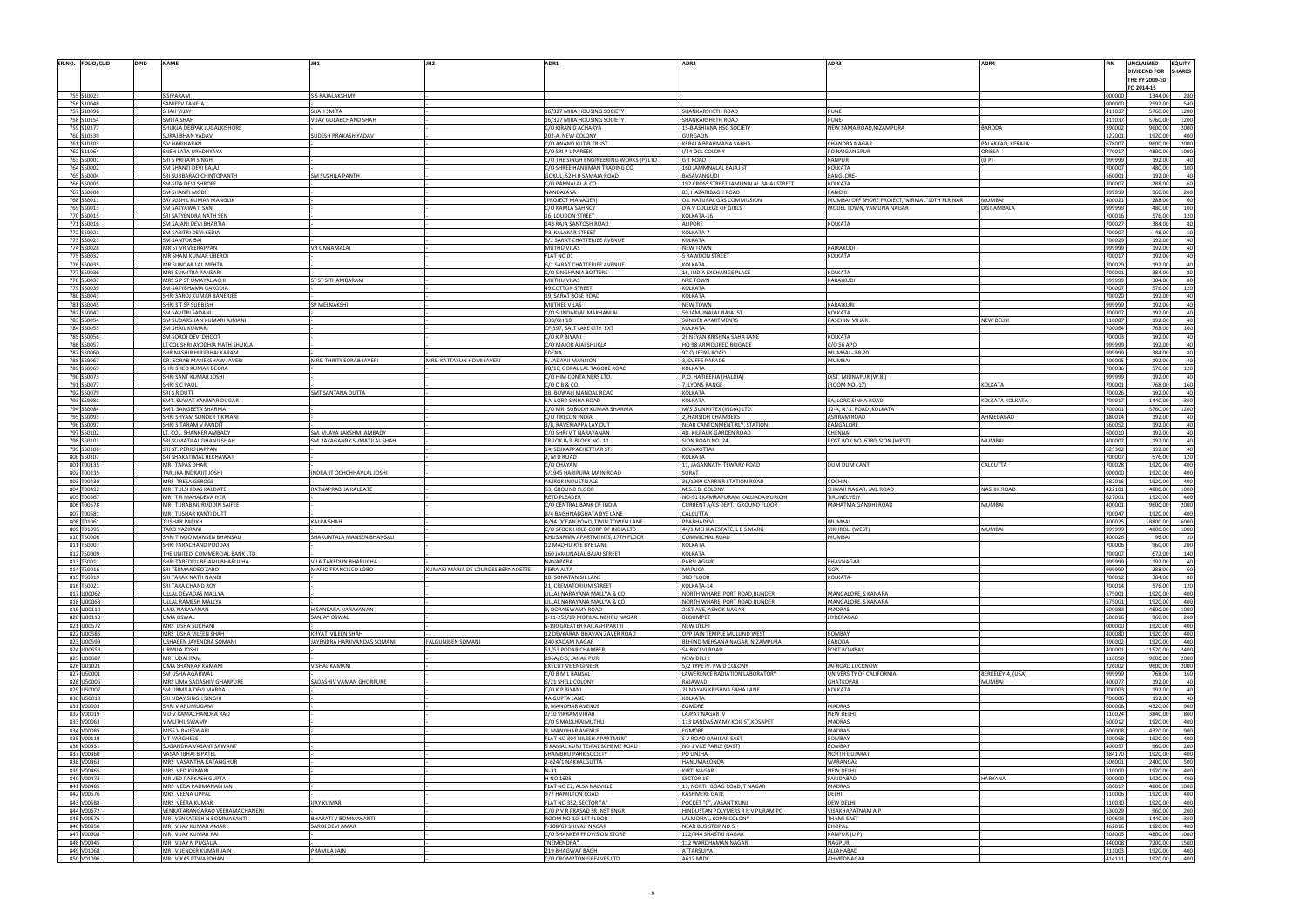| SR.NO. FOLIO/CLID<br><b>DPID</b> | <b>NAME</b>                                                    |                                                          | JH <sub>2</sub>                    | ADR1                                                                | ADR <sub>2</sub>                                                       | ADR3                                                                      | ADR4                         |                  | UNCLAIMED<br><b>EQUITY</b><br>)IVIDEND FOR<br><b>SHARES</b><br>THE FY 2009-10 |  |
|----------------------------------|----------------------------------------------------------------|----------------------------------------------------------|------------------------------------|---------------------------------------------------------------------|------------------------------------------------------------------------|---------------------------------------------------------------------------|------------------------------|------------------|-------------------------------------------------------------------------------|--|
|                                  |                                                                |                                                          |                                    |                                                                     |                                                                        |                                                                           |                              |                  | 0 2014-15                                                                     |  |
| 755 S10023<br>756 S10048         | SIVARAM<br><b>SANJEEV TANEJA</b>                               | S RAJALAKSHMY                                            |                                    |                                                                     |                                                                        |                                                                           |                              | 000000<br>000000 | 1344.00<br>2592.00<br>540                                                     |  |
| 757 S10096                       | <b>SHAH VIJAY</b>                                              | <b>SHAH SMITA</b>                                        |                                    | 16/327 MIRA HOUSING SOCIETY                                         | SHANKARSHETH ROAD                                                      | <b>PUNE</b>                                                               |                              | 411037           | 5760.00                                                                       |  |
| 758 S10154<br>759 S10277         | SMITA SHAH<br>SHUKLA DEEPAK JUGALKISHORE                       | <b>IJAY GULABCHAND SHAH</b>                              |                                    | 16/327 MIRA HOUSING SOCIETY                                         | SHANKARSHETH ROAD<br>15-B ASHIANA HSG SOCIETY                          | PUNE-                                                                     | <b>BARODA</b>                | 411037<br>390002 | 5760.00<br>9600.00<br>2000                                                    |  |
| 760 S10539                       | <b>SURAJ BHAN YADAV</b>                                        | SUDESH PRAKASH YADAV                                     |                                    | C/O KIRAN D ACHARYA<br>202-A, NEW COLONY                            | <b>GURGAON</b>                                                         | NEW SAMA ROAD, NIZAMPURA                                                  |                              | 122001           | 1920.00<br>40(                                                                |  |
| 761 S10703                       | V HARIHARAN                                                    |                                                          |                                    | C/O ANAND KUTIR TRUST                                               | KERALA BRAHMANA SABHA                                                  | CHANDRA NAGAR                                                             | PALAKKAD, KERALA             | 678007           | 9600.00<br>2000                                                               |  |
| 762 S11064<br>763 S50001         | SNEH LATA UPADHYAYA<br>SRI S PRITAM SINGH                      |                                                          |                                    | C/O SRI P L PAREEK<br>C/O THE SINGH ENGINEERING WORKS (P) LTD       | /44 OCL COLONY<br>G T ROAD                                             | PO RAJGANGPUF<br>KANPUR                                                   | ORISSA<br>(U P)              | 770017<br>999999 | 4800.00<br>100<br>192.00                                                      |  |
| 764 S50002                       | SM SHANTI DEVI BAJAJ                                           |                                                          |                                    | C/O SHREE HANUMAN TRADING CO                                        | 160 JAMMNALAL BAJAJ ST                                                 | KOLKATA                                                                   |                              | 700007           | 480.00<br>10(                                                                 |  |
| 765 S50004<br>766 S50005         | SRI SUBBARAO CHINTOPANTH<br>SM SITA DEVI SHROFF                | SM SUSHILA PANTH                                         |                                    | GOKUL, 52 H B SAMAJA ROAD<br>C/O PANNALAL & CO                      | BASAVANGUDI<br>192 CROSS STREET, JAMUNALAL BAJAJ STREET                | BANGLORI<br>KOLKATA                                                       |                              | 560001<br>700007 | 192.00<br>288.00                                                              |  |
| 767 S50006                       | SM SHANTI MODI                                                 |                                                          |                                    | NANDALAYA                                                           | 33, HAZARIBAGH ROAD                                                    | RANCHI                                                                    |                              | 999999           | 960.00                                                                        |  |
| 768 S50011<br>769 S50013         | SRI SUSHIL KUMAR MANGLIK<br>SM SATYAWATI SANI                  |                                                          |                                    | (PROJECT MANAGER)<br>C/O KAMLA SAHNCY                               | OIL NATURAL GAS COMMISSION<br>D A V COLLEGE OF GIRLS                   | MUMBAI OFF SHORE PROJECT,"NIRMAL"10TH FLR,NAR<br>MODEL TOWN, YAMUNA NAGAR | <b>MUMBAI</b><br>DIST AMBALA | 400021<br>999999 | 288.00<br>480.00                                                              |  |
| 770 S50015                       | SRI SATYENDRA NATH SEN                                         |                                                          |                                    | 16, LOUDON STREET                                                   | KOLKATA-16                                                             |                                                                           |                              | 700016           | 576.00<br>120                                                                 |  |
| 771 S50016<br>772 S50021         | SM SAJANI DEVI BHARTIA<br>SM SABITRI DEVI KEDIA                |                                                          |                                    | 14B RAJA SANTOSH ROAD<br>P3, KALAKAR STREET                         | <b>ALIPORE</b><br>KOLKATA-7                                            | KOLKATA                                                                   |                              | 700027<br>700007 | 384.00<br>48.00                                                               |  |
| 773 S50023                       | <b>SM SANTOK BAI</b>                                           |                                                          |                                    | 6/1 SARAT CHATTERJEE AVENUE                                         | KOLKATA                                                                |                                                                           |                              | 700029           | 192.00                                                                        |  |
| 774 S50028                       | MR ST VR VEERAPPAN                                             | VR UNNAMALAI                                             |                                    | <b>MUTHU VILAS</b>                                                  | <b>NEW TOWN</b>                                                        | KAIRAKUDI                                                                 |                              | 999999           | 192.00                                                                        |  |
| 775 S50032<br>776 S50035         | MR SHAM KUMAR UBEROI<br>MR SUNDAR LAL MEHTA                    |                                                          |                                    | FLAT NO 01<br>6/1 SARAT CHATTERJEE AVENUE                           | 5 RAWDON STREET<br>KOLKATA                                             | KOLKATA                                                                   |                              | 700017<br>700029 | 192.00<br>192.00                                                              |  |
| 777 S50036                       | MRS SUMITRA PANSARI                                            |                                                          |                                    | C/O SINGHANIA BOTTERS                                               | 16, INDIA EXCHANGE PLACE                                               | KOLKATA                                                                   |                              | 700001           | 384.00                                                                        |  |
| 778 S50037<br>779 S50039         | MRS S P ST UMAYAL ACH<br>SM SATYBHAMA GARODIA                  | ST ST SITHAMBARAM                                        |                                    | MUTHU VILAS<br>49 COTTON STREET                                     | <b>NRE TOWN</b><br>KOLKATA                                             | KARAIKUD                                                                  |                              | 999999<br>700007 | 384.00<br>576.00<br>120                                                       |  |
| 780 S50043                       | SHRI SAROJ KUMAR BANERJEE                                      |                                                          |                                    | 19, SARAT BOSE ROAD                                                 | KOLKATA                                                                |                                                                           |                              | 700020           | 192.00                                                                        |  |
| 781 S50045<br>782 S50047         | SHRIST SP SUBBIAH<br>SM SAVITRI SADANI                         | SP MEENAKSHI                                             |                                    | MUTHEE VILAS<br>C/O SUNDARLAL MAKHANLAL                             | <b>NEW TOWN</b><br>59 JAMUNALAL BAJAJ ST                               | KARAIKURI<br>KOLKATA                                                      |                              | 999999<br>700007 | 192.00<br>192.00                                                              |  |
| 783 S50054                       | SM SUDARSHAN KUMARI AJMANI                                     |                                                          |                                    | 63B/GH 10                                                           | UNDER APARTMENTS                                                       | PASCHIM VIHAR                                                             | NEW DELHI                    | 110087           | 192.00                                                                        |  |
| 784 S50055                       | <b>SM SHAIL KUMARI</b>                                         |                                                          |                                    | CF-397, SALT LAKE CITY EXT                                          | KOLKATA                                                                |                                                                           |                              | 700064           | 768.00                                                                        |  |
| 785 S50056<br>786 S50057         | SM SOROJ DEVI DHOOT<br>T COL SHRI AYODHIA NATH SHUKLA          |                                                          |                                    | C/O K P BIYANI<br>C/O MAJOR AJAI SHUKLA                             | F NEYAN KRISHNA SAHA LANE<br>HQ 98 ARMOURED BRIGADE                    | KOLKATA<br>C/O 56 APO                                                     |                              | 700003<br>999999 | 192.00<br>192.00                                                              |  |
| 787 S50060                       | SHR NASHIR HIRJIBHAI KARAM                                     |                                                          |                                    | EDENA                                                               | 97 QUEENS ROAD                                                         | MUMBAI - BR 20                                                            |                              | 999999           | 384.00                                                                        |  |
| 788 S50067<br>789 S50069         | R. SORAB MANEKSHAW JAVERI<br>SHRI SHEO KUMAR DEORA             | MRS. THRITY SORAB JAVERI                                 | MRS. KATTAYUN HOMI JAVERI          | 5, JADAVJI MANSION<br>98/16, GOPAL LAL TAGORE ROAD                  | 3, CUFFE PARADE<br>KOLKATA                                             | MUMBAI                                                                    |                              | 400005<br>700036 | 192.00<br>576.00                                                              |  |
| 790 S50073                       | SHRI SANT KUMAR JOSHI                                          |                                                          |                                    | C/O HIM CONTAINERS LTD.                                             | P.O. HATIBERIA (HALDIA)                                                | DIST. MIDNAPUR (W.B.)                                                     |                              | 999999           | 192.00                                                                        |  |
| 791 S50077                       | SHRISC PAUI                                                    |                                                          |                                    | C/ODB&CO.                                                           | 7, LYONS RANGE                                                         | (ROOM NO.-17)                                                             | KOLKATA                      | 700001           | 768.00                                                                        |  |
| 792 S50079<br>793 S50081         | <b>SRI S R DUTT</b><br>SMT. SUWAT KANWAR DUGAR                 | SMT SANTANA DUTTA                                        |                                    | 3B, BOWALI MANDAL ROAD<br>5A, LORD SINHA ROAD                       | KOLKATA<br>KOLKATA                                                     | 5A, LORD SINHA ROAD                                                       | KOLKATA KOLKATA              | 700026<br>700017 | 192.00<br>1440.00                                                             |  |
| 794 S50084                       | SMT. SANGEETA SHARMA                                           |                                                          |                                    | C/O MR. SUBODH KUMAR SHARMA                                         | M/S GUNNYTEX (INDIA) LTD.                                              | 12-A, N. S. ROAD , KOLKATA                                                |                              | 700001           | 5760.00                                                                       |  |
| 795 S50093<br>796 S50097         | SHRI SHYAM SUNDER TIKMANI<br>SHRI SITARAM V PANDIT             |                                                          |                                    | C/O TIKELON INDIA<br>3/8, RAVERIAPPA LAY OUT                        | 2, HARSIDH CHAMBERS<br>NEAR CANTONMENT RLY. STATION                    | ASHRAM ROAD<br>BANGALORE                                                  | AHMEDABAD                    | 380014<br>560052 | 192.00<br>192.00                                                              |  |
| 797 S50102                       | T. COL. SHANKER AMBADY                                         | SM. VIJAYA LAKSHMI AMBADY                                |                                    | C/O SHRIVT NARAYANAN                                                | 4D, KILPAUK GARDEN ROAD                                                | <b>HENNAI</b>                                                             |                              | 600010           | 192.00                                                                        |  |
| 798 S50103                       | SRI SUMATILAL DHANJI SHAH                                      | SM. JAYAGANRY SUMATILAL SHAH                             |                                    | TRILOK B-3, BLOCK NO. 11                                            | SION ROAD NO. 24                                                       | POST BOX NO. 6780, SION (WEST)                                            | <b>MUMBAI</b>                | 400002           | 192.00                                                                        |  |
| 799 S50106<br>800 S50107         | SRI ST. PERICHIAPPAN<br>SRI SHAKATIMAL REKHAWAT                |                                                          |                                    | 14, SEKKAPPACHETTIAR ST.<br>2, M D ROAD                             | DEVAKOTTAI<br>KOLKATA                                                  |                                                                           |                              | 623302<br>700007 | 192.00<br>576.00                                                              |  |
| 801 T00135                       | MR TAPAS DHAR                                                  |                                                          |                                    | C/O CHAYAN                                                          | 1, JAGANNATH TEWARY ROAD                                               | <b>DUM DUM CANT</b>                                                       | CALCUTTA                     | 700028           | 1920.00                                                                       |  |
| 802 T00235<br>803 T00430         | FARLIKA INDRAJIT JOSHI<br>MRS TRESA GEROGE                     | INDRAJIT OCHCHHAVLAL JOSHI                               |                                    | 5/1945 HARIPURA MAIN ROAD<br>AMROK INDUSTRIALS                      | SURAT<br><b>36/1999 CARRIER STATION ROAD</b>                           | COCHIN                                                                    |                              | 000000<br>682016 | 1920.00<br>1920.00                                                            |  |
| 804 T00492                       | MR TULSHIDAS KALDATE                                           | RATNAPRABHA KALDATE                                      |                                    | 53, GROUND FLOOR                                                    | M.S.E.B. COLONY                                                        | SHIVAJI NAGAR, JAIL ROAD                                                  | <b>NASHIK ROAD</b>           | 422101           | 4800.00<br>1000                                                               |  |
| 805 T00567<br>806 T00578         | MR TR MAHADEVA IYER<br>MR TURAB NURUDDIN SAIFEE                |                                                          |                                    | <b>RETD PLEADER</b><br>C/O CENTRAL BANK OF INDIA                    | NO-91 EKAMRAPURAM KALLIADAIKURICHI<br>CURRENT A/CS DEPT., GROUND FLOOR | TIRUNELVELY<br>MAHATMA GANDHI ROAD                                        | <b>MUMBAI</b>                | 627001<br>400001 | 1920.00<br>400<br>9600.00<br>2000                                             |  |
| 807 T00581                       | MR TUSHAR KANTI DUTT                                           |                                                          |                                    | 8/4 BAISHNABGHATA BYE LANE                                          | CALCUTTA                                                               |                                                                           |                              | 700047           | 1920.00                                                                       |  |
| 808 T01061                       | <b>TUSHAR PARIKH</b>                                           | KALPA SHAH                                               |                                    | A/94 OCEAN ROAD, TWIN TOWEN LANE                                    | <b>RABHADEVI</b>                                                       | MUMBAI                                                                    |                              | 40002            | 28800.00<br>6000                                                              |  |
| 809 T01095<br>810 T50006         | <b>FARO VAZIRANI</b><br>SHRI TINOO MANSEN BHANSAL              | SHAKUNTALA MANSEN BHANSALI                               |                                    | C/O STOCK HOLD CORP OF INDIA LTD<br>KHUSNNMA APARTMENTS, 17TH FLOOR | 44/1,MEHRA ESTATE, L B S MARG<br>COMMICHAL ROAD                        | <b>VIKHROLI (WEST</b><br>MUMBAI                                           | <b>MUMBAI</b>                | 999999<br>400026 | 4800.00<br>1000<br>96.00                                                      |  |
| 811 T50007                       | SHRI TARACHAND PODDAR                                          |                                                          |                                    | 12 MADHU RYE BYE LANE                                               | OLKATA)                                                                |                                                                           |                              | 700006           | 960.00                                                                        |  |
| 812 T50009<br>813 T50011         | THE UNITED COMMERCIAL BANK LTD<br>HRI TAREDEU BEJANJI BHARUCHA | <b>ILA TAREDUN BHARUCHA</b>                              |                                    | 160 JAMUNALAL BAJAJ STREET<br><b>NAVAPARA</b>                       | KOLKATA<br>PARSI AGIARI                                                | BHAVNAGAR                                                                 |                              | 700007<br>999999 | 672.00<br>140<br>192.00                                                       |  |
| 814 T50016                       | SRI TERMANDEO ZABO                                             | MARIO FRANCISCO LOBO                                     | KUMARI MARIA DE LOURDES BERNADETTE | <b>FEIRA ALTA</b>                                                   | MAPUCA                                                                 | GOA                                                                       |                              | 999999           | 288.00<br>60                                                                  |  |
| 815 T50019<br>816 T50021         | <b>SRI TARAK NATH NANDI</b><br>SRI TARA CHAND ROY              |                                                          |                                    | 1B, SONATAN SIL LANE<br>21. CREMATORIUM STREET                      | <b>BRD FLOOR</b><br>KOLKATA-14                                         | KOLKATA-                                                                  |                              | 700012<br>700014 | 384.00<br>576.00<br>120                                                       |  |
| 817 U00062                       | JLLAL DEVADAS MALLYA                                           |                                                          |                                    | ULLAL NARAYANA MALLYA & CO                                          | NORTH WHARF, PORT ROAD BUNDER                                          | MANGALORE, S KANARA                                                       |                              | 575001           | 1920.00<br>400                                                                |  |
| 818 U00063                       | <b>JLLAL RAMESH MALLYA</b>                                     |                                                          |                                    | ULLAL NARAYANA MALLYA & CO                                          | NORTH WHARE, PORT ROAD, BUNDER                                         | MANGALORE, S KANARA                                                       |                              | 575001           | 1920.00<br>400                                                                |  |
| 819 U00110<br>820 U00113         | <b>JMA NARAYANAN</b><br><b>JMA OSWAL</b>                       | H SANKARA NARAYANAN<br>SANJAY OSWAL                      |                                    | 9, DORAISWAMY ROAD<br>1-11-252/19 MOTILAL NEHRU NAGAR               | 21ST AVE, ASHOK NAGAR<br><b>BEGUMPET</b>                               | <b>MADRAS</b><br>HYDERABAD                                                |                              | 600083<br>500016 | 4800.00<br>1000<br>960.00<br>200                                              |  |
| 821 U00572                       | MRS USHA SUKHANI                                               |                                                          |                                    | S-190 GREATER KAILASH PART I                                        | NEW DELHI                                                              |                                                                           |                              | 000000           | 1920.00<br>400                                                                |  |
| 822 U00586<br>823 U00599         | <b>VIRS USHA VILEEN SHAH</b><br><b>JSHABEN JAYENDRA SOMANI</b> | KHYATI VILEEN SHAH<br><b>JAYENDRA HARJIVANDAS SOMANI</b> | <b>FALGUNIBEN SOMANI</b>           | 12 DEVKARAN BHAVAN ZAVER ROAD<br>240 KADAM NAGAR                    | OPP JAIN TEMPLE MULUND WEST<br>BEHIND MEHSANA NAGAR, NIZAMPURA         | <b>BOMBAY</b><br><b>BARODA</b>                                            |                              | 400080<br>390002 | 1920.00<br>400<br>1920.00<br>400                                              |  |
| 824 U00653                       | JRMILA JOSHI                                                   |                                                          |                                    | 51/53 PODAR CHAMBER                                                 | SA BRCLVI ROAD                                                         | FORT BOMBAY                                                               |                              | 400001           | 11520.00<br>2400                                                              |  |
| 825 U00687<br>826 U01021         | MR UDAI RAM<br>JMA SHANKAR KAMANI                              | <b>ISHAL KAMANI</b>                                      |                                    | 296A/C-3. JANAK PUR<br><b>EXECUTIVE ENGINEER</b>                    | NEW DELHI<br>5/2 TYPE IV. PW D COLONY                                  | AI ROAD LUCKNOW                                                           |                              | 110058<br>226002 | 9600.00<br>2000<br>9600.00<br>2000                                            |  |
| 827 U50001                       | SM USHA AGARWAL                                                |                                                          |                                    | C/O B M L BANSAL                                                    | LAWERENCE RADIATION LABORATORY                                         | UNIVERSITY OF CALIFORNIA                                                  | BERKELEY-4, (USA)            | 999999           | 768.00<br>160                                                                 |  |
| 828 U50005<br>829 U50007         | MRS UMA SADASHIV GHARPURE<br>SM URMILA DEVI MARDA              | SADASHIV VAMAN GHORPURE                                  |                                    | 6/21 SHELL COLONY<br>C/O K P BIYANI                                 | RAJAWADI<br>2F NAYAN KRISHNA SAHA LANE                                 | <b>GHATKOPAR</b><br>KOLKATA                                               | <b>MUMBAI</b>                | 400077<br>700003 | 192.00<br>$\overline{A}$<br>192.00<br>$\Delta$                                |  |
| 830 U50010                       | SRI UDAY SINGH SINGHI                                          |                                                          |                                    | <b>4A GUPTA LANE</b>                                                | KOLKATA                                                                |                                                                           |                              | 700006           | 192.00<br>$\Delta$                                                            |  |
| 831 V00003                       | SHRI V ARUMUGAM                                                |                                                          |                                    | 9. MANOHAR AVENUE                                                   | EGMORE                                                                 | <b>MADRAS</b>                                                             |                              | 600008           | 4320.00<br>900                                                                |  |
| 832 V00019<br>833 V00063         | / D V RAMACHANDRA RAO<br>/ MUTHUSWAMY                          |                                                          |                                    | 2/10 VIKRAM VIHAR<br>C/O S MADURAIMUTHU                             | LAJPAT NAGAR IV<br>113 KANDASWAMY KOIL ST, KOSAPET                     | <b>NEW DELH</b><br><b>MADRAS</b>                                          |                              | 110024<br>600012 | 3840.00<br>800<br>1920.00<br>400                                              |  |
| 834 V00085                       | MISS V RAJESWARI                                               |                                                          |                                    | 9. MANOHAR AVENUE                                                   | EGMORE                                                                 | <b>MADRAS</b>                                                             |                              | 600008           | 4320.00<br>900                                                                |  |
| 835 V00119<br>836 V00331         | V T VARGHESE<br><b>SUGANDHA VASANT SAWANT</b>                  |                                                          |                                    | FLAT NO 304 NILESH APARTMENT<br>5 KAMAL KUNJ TEJPAL SCHEME ROAD     | V ROAD DAHISAR EAST<br>NO 1 VILE PARLE (EAST)                          | BOMBAY<br><b>BOMBAY</b>                                                   |                              | 400068<br>400057 | 1920.00<br>400<br>960.00<br>200                                               |  |
| 837 V00360                       | <b><i>VASANTBHAI B PATEI</i></b>                               |                                                          |                                    | SHAMBHU PARK SOCIETY                                                | PO UNJHA                                                               | <b>NORTH GUJARA1</b>                                                      |                              | 384170           | 1920.00<br>400                                                                |  |
| 838 V00363                       | <b>MRS VASANTHA KATANGHUR</b>                                  |                                                          |                                    | 2-624/1 NAKKALGUTTA                                                 | <b>HANUMAKONDA</b>                                                     | WARANGAL                                                                  |                              | 506001           | 2400.00<br>500                                                                |  |
| 839 V00465                       | MRS VED KUMARI                                                 |                                                          |                                    | $N-31$                                                              | KIRTI NAGAR                                                            | NEW DELHI<br>FARIDABAD                                                    | <b>HARYANA</b>               | 110000<br>000000 | 1920.00<br>400<br>1920.00<br>400                                              |  |
|                                  |                                                                |                                                          |                                    |                                                                     |                                                                        |                                                                           |                              |                  |                                                                               |  |
| 840 V00473<br>841 V00485         | MR VED PARKASH GUPTA<br>MRS VEDA PADMANABHAN                   |                                                          |                                    | H NO 1605<br>FLAT NO E2, ALSA NALVILLE                              | <b>SECTOR 16</b><br>13, NORTH BOAG ROAD, T NAGAR                       | MADRAS                                                                    |                              | 600017           | 4800.00<br>1000                                                               |  |
| 842 V00576                       | <b>MRS VEENA UPPAL</b>                                         |                                                          |                                    | 977 HAMILTON ROAD                                                   | KASHMERE GATE                                                          | DELHI                                                                     |                              | 110006           | 1920.00<br>400                                                                |  |
| 843 V00588<br>844 V00672         | MRS VEERA KUMAR<br><b>/ENKATARANGARAO VEERAMACHANENI</b>       | <b>JAY KUMAR</b>                                         |                                    | FLAT NO 352, SECTOR "A"<br>C/O P V R PRASAD SR INST ENGR            | POCKET "C", VASANT KUNJ<br>HINDUSTAN POLYMERS R R V PURAM PO           | DEW DELHI<br>VISAKHAPATNAM A P                                            |                              | 110030<br>530029 | 1920.00<br>40(<br>960.00<br>200                                               |  |
| 845 V00676                       | MR VENKATESH N BOMMAKANTI                                      | BHARATI V BOMMAKANTI                                     |                                    | ROOM NO-10, 1ST FLOOR                                               | LALMOHAL, KOPRI COLONY                                                 | <b>THANE EAST</b>                                                         |                              | 400603           | 1440.00<br>30 <sup>c</sup>                                                    |  |
| 846 V00850<br>847 V00908         | MR VIJAY KUMAR AMAR<br>MR VIJAY KUMAR RAI                      | SAROJ DEVI AMAR                                          |                                    | F-108/63 SHIVAJI NAGAR<br>C/O SHANKER PROVISION STORE               | NEAR BUS STOP NO 5<br>122/444 SHASTRI NAGAR                            | BHOPAL<br>KANPUR (U P)                                                    |                              | 462016<br>208005 | 1920.00<br>400<br>4800.00<br>1000                                             |  |
| 848 V00945                       | MR VIJAY N PUGALIA                                             |                                                          |                                    | "NEMENDRA"                                                          | 112 WARDHAMAN NAGAR                                                    | <b>NAGPUR</b>                                                             |                              | 440008           | 7200.00<br>1500                                                               |  |
| 849 V01068<br>850 V01096         | MR VIJENDER KUMAR JAIN<br>MR VIKAS PTWARDHAN                   | PRAMILA JAIN                                             |                                    | 219 BHAGWAT BAGH<br>C/O CROMPTON GREAVES LTD                        | ATTARSUIYA<br>A612 MIDC                                                | ALLAHABAD<br>AHMEDNAGAR                                                   |                              | 211003<br>414111 | 1920.00<br>400<br>400<br>1920.00                                              |  |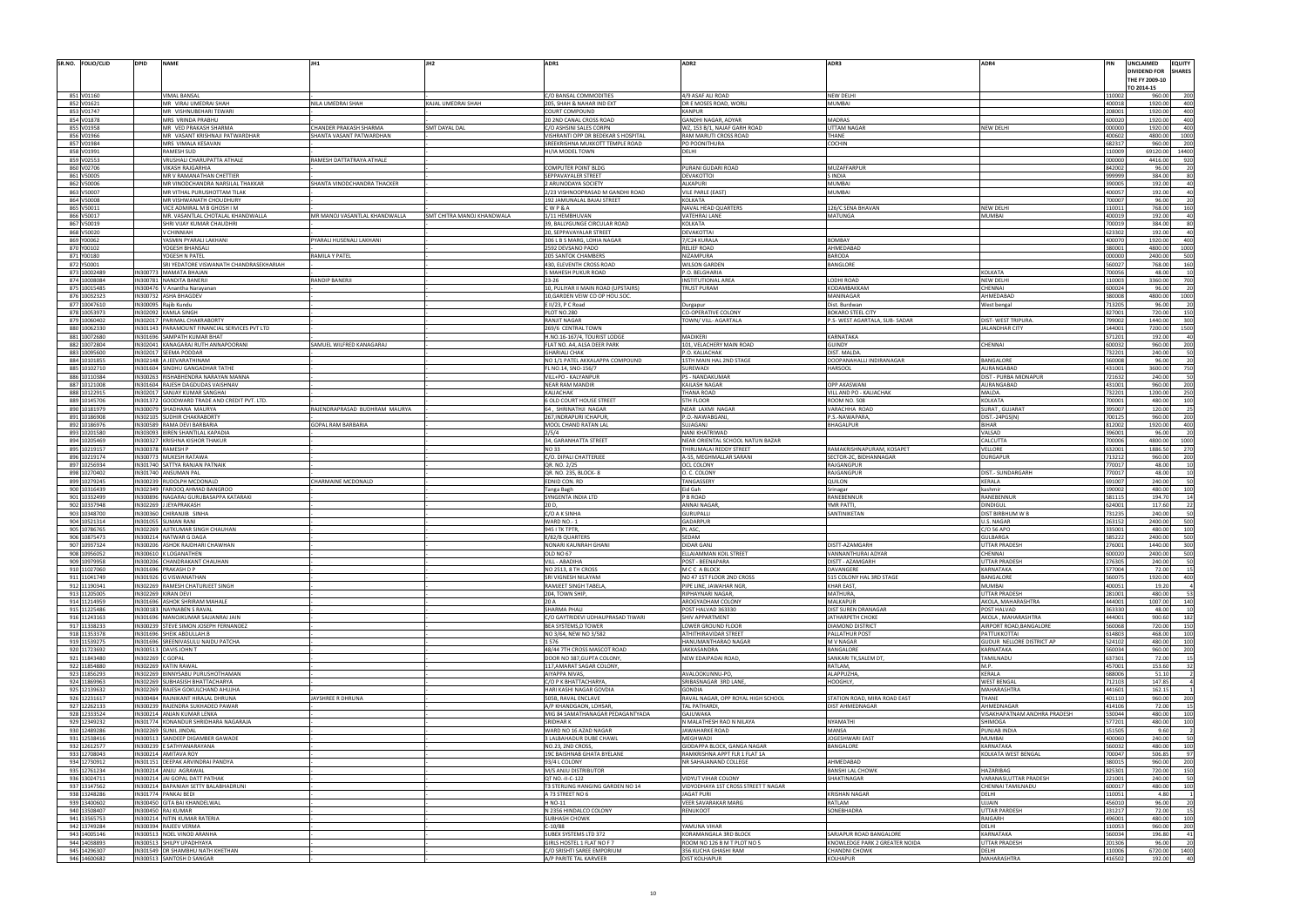| SR.NO. FOLIO/CLID            | <b>DPID</b>          | <b>NAME</b>                                                               | JH1                           | <b>IH<sub>2</sub></b>      | ADR1                                                                  | ADR2                                                | ADR3                                                   | ADR4                                          | UNCLAIMED        |                                | <b>EQUITY</b>     |
|------------------------------|----------------------|---------------------------------------------------------------------------|-------------------------------|----------------------------|-----------------------------------------------------------------------|-----------------------------------------------------|--------------------------------------------------------|-----------------------------------------------|------------------|--------------------------------|-------------------|
|                              |                      |                                                                           |                               |                            |                                                                       |                                                     |                                                        |                                               |                  | DIVIDEND FOR<br>THE FY 2009-10 | <b>SHARES</b>     |
|                              |                      |                                                                           |                               |                            |                                                                       |                                                     |                                                        |                                               | TO 2014-15       |                                |                   |
| 851 V01160                   |                      | VIMAL BANSAL                                                              |                               |                            | C/O BANSAL COMMODITIES                                                | 4/9 ASAF ALI ROAD                                   | <b>NEW DELHI</b>                                       |                                               | 110002           | 960.00                         | 200               |
| 852 V01621<br>853 V01747     |                      | MR VIRAJ UMEDRAI SHAH                                                     | NILA UMEDRAI SHAH             | KAJAL UMEDRAI SHAH         | 205, SHAH & NAHAR IND EXT                                             | DR E MOSES ROAD, WORLI<br><b>KANPUR</b>             | <b>MUMBAI</b>                                          |                                               | 400018<br>208001 | 1920.00<br>1920.00             | 400<br>400        |
| 854 V01878                   |                      | MR VISHNUBEHARI TEWARI<br>MRS VRINDA PRABHU                               |                               |                            | <b>COURT COMPOUND</b><br>20 2ND CANAL CROSS ROAD                      | GANDHI NAGAR, ADYAR                                 | <b>MADRAS</b>                                          |                                               | 600020           | 1920.00                        |                   |
| 855 V01958                   |                      | MR VED PRAKASH SHARMA                                                     | CHANDER PRAKASH SHARMA        | <b>SMT DAYAL DAI</b>       | C/O ASHSINI SALES CORPN                                               | WZ, 153 B/1, NAJAF GARH ROAD                        | <b>UTTAM NAGAR</b>                                     | <b>NEW DELHI</b>                              | 000000           | 1920.00                        | 400               |
| 856 V01966                   |                      | MR VASANT KRISHNAJI PATWARDHAR                                            | SHANTA VASANT PATWARDHAN      |                            | VISHRANTI OPP DR BEDEKAR S HOSPITAL                                   | RAM MARUTI CROSS ROAD                               | THANE                                                  |                                               | 400602           | 4800.00                        | 1000              |
| 857 V01984<br>858 V01991     |                      | MRS VIMALA KESAVAN<br>RAMESH SUD                                          |                               |                            | SREEKRISHNA MUKKOTT TEMPLE ROAD<br>HI/IA MODEL TOWN                   | PO POONITHURA<br>DELHI                              | COCHIN                                                 |                                               | 682317<br>110009 | 960.00<br>69120.00             | 200<br>14400      |
| 859 V02553                   |                      | VRUSHALI CHARUPATTA ATHALE                                                | RAMESH DATTATRAYA ATHALE      |                            |                                                                       |                                                     |                                                        |                                               | 000000           | 4416.00                        |                   |
| 860 V02706                   |                      | <b>VIKASH RAJGARHIA</b>                                                   |                               |                            | <b>COMPUTER POINT BLDG</b>                                            | PURANI GUDARI ROAD                                  | MUZAFFARPUR                                            |                                               | 842002           | 96.00                          |                   |
| 861 V50005                   |                      | MR V RAMANATHAN CHETTIER                                                  |                               |                            | SEPPAVAYALER STREET                                                   | DEVAKOTTOI                                          | S INDIA                                                |                                               | 999999           | 384.00                         |                   |
| 862 V50006<br>863 V50007     |                      | MR VINODCHANDRA NARSILAL THAKKAR<br>MR VITHAL PURUSHOTTAM TILAK           | SHANTA VINODCHANDRA THACKER   |                            | 2 ARUNODAYA SOCIETY<br>2/23 VISHNOOPRASAD M GANDHI ROAD               | <b>ALKAPURI</b><br><b>VILE PARLE (EAST)</b>         | <b>MUMBAI</b><br><b>MUMBAI</b>                         |                                               | 390005<br>400057 | 192.00<br>192.00               |                   |
| 864 V50008                   |                      | MR VISHWANATH CHOUDHURY                                                   |                               |                            | 192 JAMUNALAL BAJAJ STREET                                            | KOLKATA                                             |                                                        |                                               | 700007           | 96.00                          |                   |
| 865 V50011                   |                      | VICE ADMIRAL M B GHOSH I M                                                |                               |                            | CWP&A                                                                 | NAVAL HEAD QUARTERS                                 | 126/C SENA BHAVAN                                      | NEW DELH                                      | 110011           | 768.00                         |                   |
| 866 V50017<br>867 V50019     |                      | MR. VASANTLAL CHOTALAL KHANDWALLA<br>SHRI VIJAY KUMAR CHAUDHRI            | MR MANOJ VASANTLAL KHANDWALLA | SMT CHITRA MANOJ KHANDWALA | 1/11 HEMBHUVAN<br>39, BALLYGUNGE CIRCULAR ROAD                        | <b>VATEHRAJ LANE</b><br><b>KOLKATA</b>              | <b>MATUNGA</b>                                         | <b>MUMBAI</b>                                 | 400019<br>700019 | 192.00<br>384.00               |                   |
| 868 V50020                   |                      | / CHINNIAH                                                                |                               |                            | 20. SEPPAVAYALAR STREET                                               | <b>DEVAKOTTAI</b>                                   |                                                        |                                               | 623302           | 192.00                         |                   |
| 869 Y00062                   |                      | YASMIN PYARALI LAKHANI                                                    | PYARALI HUSENALI LAKHANI      |                            | 306 L B S MARG, LOHIA NAGAR                                           | 7/C24 KURALA                                        | <b>BOMBAY</b>                                          |                                               | 400070           | 1920.00                        | 400               |
| 870 Y00102<br>871 Y00180     |                      | YOGESH BHANSALI<br>YOGESH N PATEL                                         |                               |                            | 2592 DEVSANO PADO<br><b>205 SANTOK CHAMBERS</b>                       | <b>RELIEF ROAD</b><br>NIZAMPURA                     | AHMEDABAD<br>BARODA                                    |                                               | 380001<br>000000 | 4800.00<br>2400.00             | 1000<br>500       |
| 872 Y50001                   |                      | SRI YEDATORE VISWANATH CHANDRASEKHARIAH                                   | <b>RAMILA Y PATEI</b>         |                            | 430, ELEVENTH CROSS ROAD                                              | <b>WILSON GARDEN</b>                                | BANGLORE                                               |                                               | 560027           | 768.00                         |                   |
| 873 10002489                 |                      | N300773 MAMATA BHAJAN                                                     |                               |                            | <b>5 MAHESH PUKUR ROAD</b>                                            | P.O. BELGHARIA                                      |                                                        | <b>KOLKATA</b>                                | 700056           | 48.00                          |                   |
| 874 10008084                 |                      | N300781 NANDITA BANERJ                                                    | RANDIP BANERJI                |                            | $23 - 26$                                                             | <b>INSTITUTIONAL AREA</b>                           | LODHI ROAD                                             | <b>NEW DELHI</b>                              | 110003           | 3360.00                        | 700               |
| 875 10015485<br>876 10032323 |                      | N300476 V Anantha Narayanan<br>IN300732 ASHA BHAGDEV                      |                               |                            | 10, PULIYAR II MAIN ROAD (UPSTAIRS)<br>10, GARDEN VEIW CO OP HOU.SOC. | <b>TRUST PURAM</b>                                  | KODAMBAKKAM<br>MANINAGAR                               | CHENNAI<br>AHMEDABAD                          | 600024<br>380008 | 96.00<br>4800.00               | 1000              |
| 877 10047610                 | N300095              | lajib Kundu                                                               |                               |                            | E II/23, P C Road                                                     | Durgapur                                            | Dist. Burdwan                                          | West bengal                                   | 713205           | 96.00                          |                   |
| 878 10053973                 | N302092              | KAMLA SINGH                                                               |                               |                            | PLOT NO.280                                                           | <b>CO-OPERATIVE COLONY</b>                          | <b>BOKARO STEEL CIT</b>                                |                                               | 827001           | 720.00                         |                   |
| 879 10060402<br>880 10062330 | N302017              | <b>ARIMAL CHAKRABORTY</b>                                                 |                               |                            | <b>RANJIT NAGAR</b><br>269/6 CENTRAL TOWN                             | TOWN/ VILL- AGARTALA                                | P.S- WEST AGARTALA, SUB- SADAR                         | DIST- WEST TRIPURA<br><b>JALANDHAR CITY</b>   | 799002<br>144001 | 1440.00<br>7200.00             | 300<br>1500       |
| 881 10072680                 | IN301696             | IN301143 PARAMOUNT FINANCIAL SERVICES PVT LTD<br><b>AMPATH KUMAR BHAT</b> |                               |                            | H.NO.16-167/4, TOURIST LODGE                                          | <b>MADIKER</b>                                      | KARNATAKA                                              |                                               | 571201           | 192.00                         |                   |
| 882 10072804                 |                      | N302041 KANAGARAJ RUTH ANNAPOORANI                                        | SAMUEL WILFRED KANAGARAJ      |                            | FLAT NO. A4, ALSA DEER PARK                                           | 101, VELACHERY MAIN ROAD                            | <b>GUINDY</b>                                          | CHENNAI                                       | 600032           | 960.00                         | 200               |
| 883 10095600                 | IN302017             | EEMA PODDAR                                                               |                               |                            | <b>GHARIALI CHAK</b>                                                  | P.O. KALIACHAK                                      | DIST. MALDA                                            |                                               | 732201           | 240.00                         |                   |
| 884 10101855<br>885 10102710 |                      | N302148 A JEEVARATHINAM<br>N301604 SINDHU GANGADHAR TATHE                 |                               |                            | NO 1/1 PATEL AKKALAPPA COMPOUND<br>FL NO.14, SNO-156/7                | 15TH MAIN HAL 2ND STAGE<br>SUREWADI                 | DOOPANAHALLI INDIRANAGAR<br><b>HARSOOL</b>             | BANGALORE<br>AURANGABAD                       | 560008<br>431001 | 96.00<br>3600.00               |                   |
| 886 10110384                 |                      | N300263 RISHABHENDRA NARAYAN MANNA                                        |                               |                            | VILL+PO - KALYANPUF                                                   | PS - NANDAKUMAF                                     |                                                        | DIST - PURBA MIDNAPUR                         | 721632           | 240.00                         |                   |
| 887 10121008                 |                      | N301604 RAJESH DAGDUDAS VAISHNAV                                          |                               |                            | <b>NEAR RAM MANDIR</b>                                                | <b>KAILASH NAGAF</b>                                | <b>OPP AKASWANI</b>                                    | AURANGABAD                                    | 431001           | 960.00                         | 200               |
| 888 10122915<br>889 10145706 | N302017              | SANJAY KUMAR SANGHAI                                                      |                               |                            | KALIACHAK                                                             | <b>THANA ROAD</b>                                   | VILL AND PO - KALIACHAK                                | MALDA.                                        | 732201<br>700001 | 1200.00<br>480.00              | 250<br>100        |
| 890 10181979                 | IN300079             | IN301372 GOODWARD TRADE AND CREDIT PVT. LTD.<br>HADHANA MAURYA            | RAJENDRAPRASAD BUDHRAM MAURYA |                            | <b>6 OLD COURT HOUSE STREET</b><br>64, SHRINATHJI NAGAR               | <b>5TH FLOOR</b><br>NEAR LAXMI NAGAR                | <b>ROOM NO. 508</b><br>VARACHHA ROAD                   | KOLKATA<br>SURAT, GUJARAT                     | 395007           | 120.00                         |                   |
| 891 10186908                 | N302105              | <b>JUDHIR CHAKRABORTY</b>                                                 |                               |                            | 267, INDRAPURI ICHAPUF                                                | P.O.-NAWABGANJ                                      | P.S.-NAWAPARA                                          | DIST.-24PGS(N)                                | 700125           | 960.00                         |                   |
| 892 10186976                 |                      | N300589 RAMA DEVI BARBARIA                                                | <b>GOPAL RAM BARBARIA</b>     |                            | MOOL CHAND RATAN LAI                                                  | SUJAGANJ                                            | <b>BHAGALPUR</b>                                       | <b>BIHAR</b>                                  | 812002           | 1920.00                        | 400               |
| 893 10201580<br>894 10205469 |                      | N303093 BIREN SHANTILAL KAPADIA<br>N300327 KRISHNA KISHOR THAKUR          |                               |                            | 2/5/4<br>34, GARANHATTA STREET                                        | NANI KHATRIWAD<br>NEAR ORIENTAL SCHOOL NATUN BAZAR  |                                                        | VALSAD<br>CALCUTTA                            | 396001<br>700006 | 96.00<br>4800.00               | 1000              |
| 895 10219157                 | N300378 RAMESH P     |                                                                           |                               |                            | <b>NO33</b>                                                           | THIRUMALAI REDDY STREET                             | RAMAKRISHNAPURAM, KOSAPET                              | VELLORE                                       | 632001           | 1886.50                        | 270               |
| 896 10219174                 | IN300773             | <b>MUKESH RATAWA</b>                                                      |                               |                            | C/O. DIPALI CHATTERJEE                                                | A-55, MEGHMALLAR SARANI                             | SECTOR-2C, BIDHANNAGAR                                 | <b>DURGAPUR</b>                               | 713212           | 960.00                         | 200               |
| 897 10256934                 |                      | N301740 SATTYA RANJAN PATNAIK                                             |                               |                            | QR. NO. 2/25                                                          | <b>OCL COLONY</b>                                   | RAJGANGPUF                                             |                                               | 770017<br>770017 | 48.00                          |                   |
| 898 10270402<br>899 10279245 | IN300239             | N301740 ANSUMAN PAI<br>UDOLPH MCDONALD                                    | CHARMAINE MCDONALD            |                            | QR. NO. 235, BLOCK-8<br>EDNID CON. RD                                 | O. C. COLONY<br>TANGASSERY                          | RAJGANGPUR<br>QUILON                                   | DIST.- SUNDARGARH<br>KERALA                   | 691007           | 48.00<br>240.00                |                   |
| 900 10316439                 |                      | N302349 FAROOQ AHMAD BANGROO                                              |                               |                            | Tanga Bagh                                                            | Eid Gah                                             | Srinagar                                               | kashmir                                       | 190002           | 480.00                         | 100               |
| 901 10332499                 | N300896              | NAGARAJ GURUBASAPPA KATARAKI                                              |                               |                            | SYNGENTA INDIA LTD                                                    | P B ROAD                                            | RANEBENNUI                                             | RANEBENNUI                                    | 581115           | 194.70                         |                   |
| 902 10337948<br>903 10348700 | N302269<br>IN300360  | JEYAPRAKASH<br>HIRANJIB SINHA                                             |                               |                            | 20 D.<br>C/O A K SINHA                                                | <b>ANNAI NAGAE</b><br><b>GURUPALLI</b>              | YMR PATTI.<br>SANTINIKETAN                             | <b>DINDIGUL</b><br>DIST BIRBHUM W B           | 624001<br>731235 | 117.60<br>240.00               |                   |
| 904 10521314                 | N30105               | UMAN RANI                                                                 |                               |                            | WARD NO.-1                                                            | GADARPUR                                            |                                                        | U.S. NAGAF                                    | 263152           | 2400.00                        |                   |
| 905 10786765                 | N302269              | <b>NITKUMAR SINGH CHAUHAN</b>                                             |                               |                            | 945 I TK TPTR                                                         | PL ASC,                                             |                                                        | C/O 56 APC                                    | 335001           | 480.00                         | 100               |
| 906 10875473                 |                      | N300214 NATWAR G DAGA                                                     |                               |                            | E/82/B QUARTERS                                                       | SEDAM                                               |                                                        | <b>GULBARGA</b>                               | 585222           | 2400.00                        | 500               |
| 907 10937324<br>908 10956052 |                      | N300206 ASHOK RAJDHARI CHAWHAN<br>N300610 K LOGANATHEN                    |                               |                            | NONARI KAUNRAH GHANI<br>OLD NO 67                                     | DIDAR GAN.<br>ELLAIAMMAN KOIL STREET                | DISTT-AZAMGARH<br>VANNANTHURAI ADYAR                   | UTTAR PRADESH<br>CHENNAI                      | 276001<br>600020 | 1440.00<br>2400.00             | 50                |
| 909 10979958                 | N300206              | CHANDRAKANT CHAUHAN                                                       |                               |                            | <b>VILL - ABADIHA</b>                                                 | POST - BEENAPARA                                    | DISTT - AZAMGARH                                       | <b>UTTAR PRADESH</b>                          | 276305           | 240.00                         |                   |
| 910 11027060                 |                      | IN301696 PRAKASH D P                                                      |                               |                            | NO 2513, 8 TH CROSS                                                   | M C C A BLOCK                                       | <b>DAVANGERE</b>                                       | KARNATAKA                                     | 577004           | 72.00                          |                   |
| 911 11041749<br>912 11190341 | IN301926<br>IN302269 | VISWANATHAN<br>RAMESH CHATURJEET SINGH                                    |                               |                            | SRI VIGNESH NILAYAM<br>RAMJEET SINGH TABELA                           | NO 47 1ST FLOOR 2ND CROSS<br>PIPE LINE, JAWAHAR NGR | 515 COLONY HAL 3RD STAGE<br><b>KHAR EAST</b>           | BANGALORE<br><b>MUMBAI</b>                    | 560075<br>400051 | 1920.00<br>19.20               | 400               |
| 913 11205005                 | IN302269             | <b>IRAN DEVI</b>                                                          |                               |                            | 204, TOWN SHIP                                                        | <b>RIPHAYNARI NAGAR</b>                             | MATHURA,                                               | <b>UTTAR PRADESH</b>                          | 281001           | 480.00                         |                   |
| 914 11214959                 |                      | N301696 ASHOK SHRIRAM MAHALE                                              |                               |                            | 20 A                                                                  | AROGYADHAM COLONY                                   | <b>MALKAPUR</b>                                        | AKOLA, MAHARASHTRA                            | 444001           | 1007.00                        |                   |
| 915 11225486<br>916 11243163 |                      | N300183 NAYNABEN S RAVAL<br>N301696 MANOJKUMAR SAJJANRAJ JAIN             |                               |                            | SHARMA PHALI                                                          | POST HALVAD 363330                                  | DIST SUREN DRANAGAR                                    | POST HALVAD                                   | 363330<br>444001 | 48.00<br>900.60                |                   |
| 917 11338233                 | N300239              | TEVE SIMON JOSEPH FERNANDEZ                                               |                               |                            | C/O GAYTRIDEVI UDHAUPRASAD TIWARI<br>BEA SYSTEMS, D TOWER             | SHIV APPARTMENT<br>LOWER GROUND FLOOR               | JATHARPETH CHOKE<br><b>DIAMOND DISTRICT</b>            | AKOLA, MAHARASHTRA<br>AIRPORT ROAD, BANGALORE | 560068           | 720.00                         | 182               |
| 918 11353378                 | N301696              | SHEIK ABDULLAH.B                                                          |                               |                            | NO 3/64, NEW NO 3/582                                                 | ATHITHIRAVIDAR STREET                               | PALLATHUR POST                                         | PATTUKKOTTAI                                  | 614803           | 468.00                         | 100               |
| 919 11539275                 | N301696              | SREENIVASULU NAIDU PATCHA                                                 |                               |                            | 1576                                                                  | HANUMANTHARAO NAGAR                                 | M V NAGAR                                              | GUDUR NELLORE DISTRICT AP                     | 524102           | 480.00                         | 100               |
| 920 11723692<br>921 11843480 | N302269              | IN300513 DAVIS JOHN T<br>GOPAL                                            |                               |                            | 48/44 7TH CROSS MASCOT ROAD<br>DOOR NO 387, GUPTA COLONY              | JAKKASANDRA<br>NEW EDAIPADAI ROAD,                  | BANGALORE<br>SANKARI TK, SALEM DT,                     | KARNATAKA<br>TAMILNADU                        | 560034<br>637301 | 960.00<br>72.00                | 200               |
| 922 11854880                 | IN302269             | <b>ATIN RAWAL</b>                                                         |                               |                            | 117, AMARAT SAGAR COLONY                                              |                                                     | RATLAM.                                                | M.P.                                          | 457001           | 153.60                         |                   |
| 923 11856293                 |                      | N302269 BINNYSABU PURUSHOTHAMAN                                           |                               |                            | AIYAPPA NIVAS,                                                        | AVALOOKUNNU-PO,                                     | ALAPPUZHA                                              | KERALA                                        | 688006           | 51.10                          |                   |
| 924 11869963                 | IN302269             | UBHASISH BHATTACHARYA                                                     |                               |                            | С/О Р К ВНАТТАСНАВҮА                                                  | SRIBASNAGAR 3RD LANE                                | <b>HOOGHLY</b>                                         | <b>WEST BENGA</b>                             | 712103           | 147.85                         |                   |
| 925 12139632<br>926 12231617 |                      | N302269 RAJESH GOKULCHAND AHUJHA<br>N300484 RAJNIKANT HIRALAL DHRUNA      | JAYSHREE R DHRUNA             |                            | HARI KASHI NAGAR GOVDIA<br>505B, RAVAL ENCLAVE                        | <b>GONDIA</b><br>RAVAL NAGAR, OPP ROYAL HIGH SCHOOL | STATION ROAD, MIRA ROAD EAST                           | MAHARASHTRA<br>THANE                          | 441601<br>401110 | 162.15<br>960.00               |                   |
|                              |                      |                                                                           |                               |                            |                                                                       |                                                     |                                                        | AHMEDNAGAR                                    | 414106           | 72.00                          |                   |
| 927 12262133                 |                      | N300239 RAJENDRA SUKHADEO PAWAR                                           |                               |                            | A/P KHANDGAON, LOHSAR,                                                | TAL PATHARDI.                                       | DIST AHMEDNAGAR                                        |                                               |                  |                                |                   |
| 928 12333524                 |                      | N300214 ANJAN KUMAR LENKA                                                 |                               |                            | MIG 84 SAMATHANAGAR PEDAGANTYADA                                      | GAJUWAKA                                            |                                                        | VISAKHAPATNAM ANDHRA PRADESH                  | 530044           | 480.00                         | 100               |
| 929 12349232                 |                      | N301774 KONANDUR SHRIDHARA NAGARAJA                                       |                               |                            | <b>SRIDHARK</b>                                                       | N MALATHESH RAO N NILAYA                            | <b>NYAMATHI</b>                                        | SHIMOGA                                       | 577201           | 480.00                         | 100               |
| 930 12489286<br>931 12538416 |                      | N302269 SUNIL JINDAL<br>N300513 SANDEEP DIGAMBER GAWADE                   |                               |                            | WARD NO 16 AZAD NAGAR<br>3 LALBAHADUR DUBE CHAWL                      | JAWAHARKE ROAD<br>MEGHWADI                          | <b>MANSA</b><br>JOGESHWARI EAST                        | PUNJAB INDIA<br><b>MUMBAI</b>                 | 151505<br>400060 | 9.60<br>240.00                 |                   |
| 932 12612577                 |                      | N300239 E SATHYANARAYANA                                                  |                               |                            | NO.23, 2ND CROSS                                                      | GIDDAPPA BLOCK, GANGA NAGAR                         | BANGALORE                                              | KARNATAKA                                     | 560032           | 480.00                         |                   |
| 933 12708043                 |                      | N300214 AMITAVA ROY                                                       |                               |                            | 19C BAISHNAB GHATA BYELANE                                            | RAMKRISHNA APPT FLR 1 FLAT 1A                       |                                                        | KOLKATA WEST BENGAL                           | 700047           | 506.85                         |                   |
| 934 12730912                 |                      | N301151 DEEPAK ARVINDRAI PANDYA                                           |                               |                            | 93/4 L COLONY                                                         | NR SAHAJANAND COLLEGE                               | AHMEDABAD                                              |                                               | 380015           | 960.00                         | 200               |
| 935 12761234<br>936 13024711 |                      | N300214 ANJU AGRAWAL<br>N300214 JAI GOPAL DATT PATHAK                     |                               |                            | M/S ANJU DISTRIBUTOR<br>OT NO.-II-C-122                               | VIDYUT VIHAR COLONY                                 | <b>BANSHI LAL CHOWK</b><br>SHAKTINAGAR                 | HAZARIBAG<br>VARANASI, UTTAR PRADESH          | 825301<br>221001 | 720.00<br>240.00               |                   |
| 937 13147562                 |                      | N300214 BAPANIAH SETTY BALABHADRUNI                                       |                               |                            | T3 STERLING HANGING GARDEN NO 14                                      | VIDYODHAYA 1ST CROSS STREET T NAGAR                 |                                                        | CHENNAI TAMILNADU                             | 600017           | 480.00                         | 100               |
| 938 13248286                 |                      | N301774 PANKAJ BEDI                                                       |                               |                            | A 73 STREET NO 6                                                      | JAGAT PURI                                          | <b>KRISHAN NAGAR</b>                                   | DELHI                                         | 110051           | 4.80                           |                   |
| 939 13400602                 |                      | N300450 GITA BAI KHANDELWAL                                               |                               |                            | H NO-11                                                               | VEER SAVARAKAR MARG                                 | RATLAM                                                 | UJJAIN                                        | 456010           | 96.00                          |                   |
| 940 13508407<br>941 13565753 |                      | N300450 RAJ KUMAR<br>N300214 NITIN KUMAR RATERIA                          |                               |                            | N 2356 HINDALCO COLONY<br><b>SUBHASH CHOWK</b>                        | RENUKOOT                                            | SONEBHADRA                                             | <b>UTTAR PARDESH</b><br>RAIGARH               | 231217<br>496001 | 72.00<br>480.00                | 100               |
| 942 13749284                 |                      | N300394 RAJEEV VERMA                                                      |                               |                            | $C-10/88$                                                             | YAMUNA VIHAR                                        |                                                        | DELHI                                         | 110053           | 960.00                         |                   |
| 943 14005146                 |                      | N300513 NOEL VINOD ARANHA                                                 |                               |                            | SUBEX SYSTEMS LTD 372                                                 | KORAMANGALA 3RD BLOCK                               | SARJAPUR ROAD BANGALORE                                | KARNATAKA                                     | 560034           | 196.80                         |                   |
| 944 14038893<br>945 14296307 |                      | N300513 SHILPY UPADHYAYA<br>N301549 DR SHAMBHU NATH KHETHAN               |                               |                            | GIRLS HOSTEL 1 FLAT NO F 7<br>C/O SRISHTI SAREE EMPORIUM              | ROOM NO 126 B M T PLOT NO 5<br>356 KUCHA GHASHI RAM | KNOWLEDGE PARK 2 GREATER NOIDA<br><b>CHANDNI CHOWK</b> | <b>UTTAR PRADESH</b><br>DELHI                 | 201306<br>110006 | 96.00<br>6720.00               | 200<br>41<br>1400 |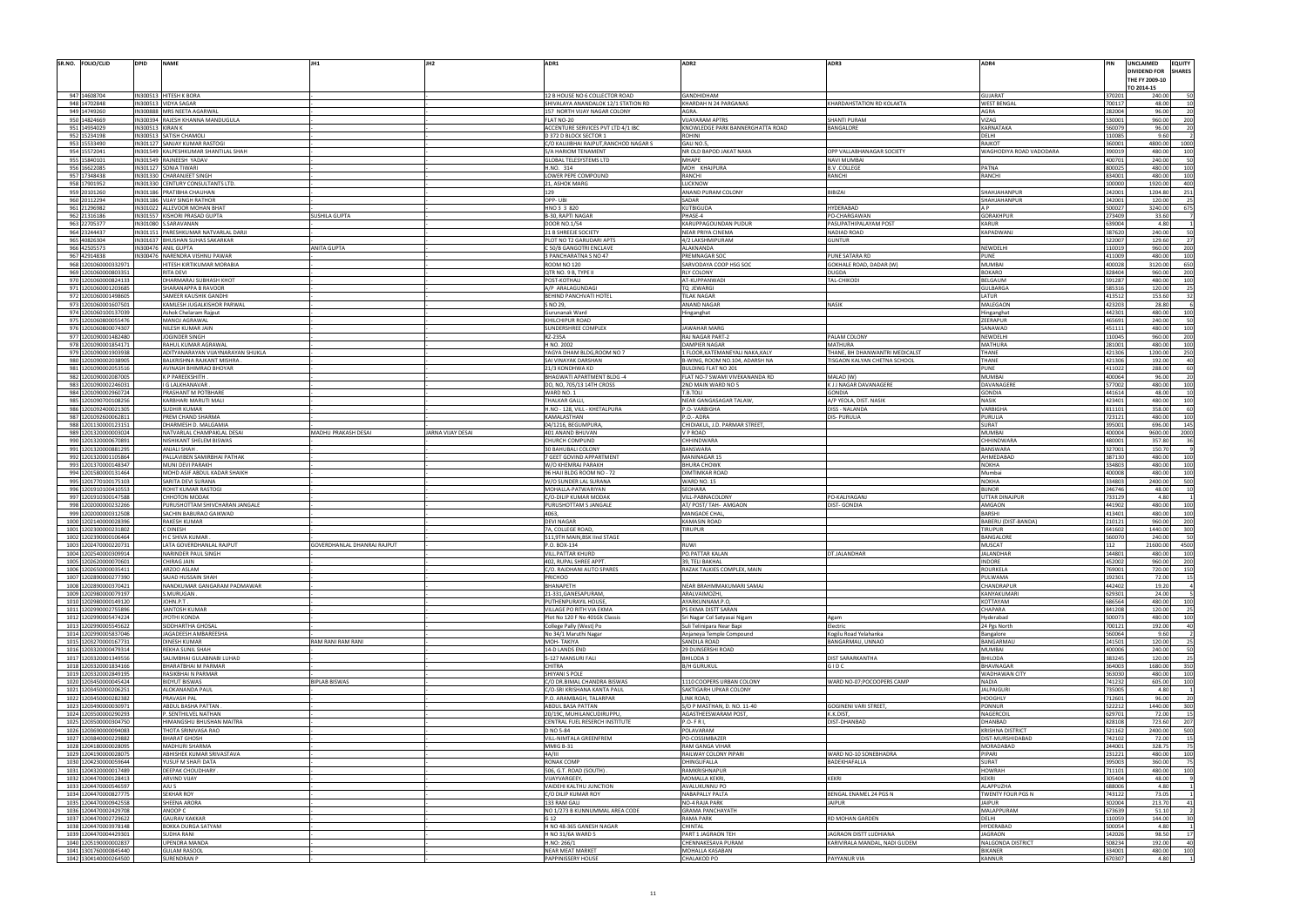| R4                                | PIN              | UNCLAIMED<br><b>DIVIDEND FOR</b><br>THE FY 2009-10 | <b>EQUITY</b><br><b>SHARES</b> |
|-----------------------------------|------------------|----------------------------------------------------|--------------------------------|
|                                   |                  | TO 2014-15                                         |                                |
| <b>JARAT</b><br><b>ST BENGAL</b>  | 370201<br>700117 | 240.00<br>48.00                                    | 50<br>10                       |
| RА                                | 282004           | 96.00                                              | 20                             |
| AG                                | 530001           | 960.00                                             | 200                            |
| <b>NATAKA</b>                     | 560079           | 96.00                                              | 20                             |
| HI.<br>KOT                        | 110085<br>360001 | 9.60<br>4800.00                                    | 2<br>1000                      |
| GHODIYA ROAD VADODARA             | 390019           | 480.00                                             | 100                            |
|                                   | 400701           | 240.00                                             | 50                             |
| <b>TNA</b><br>VCHI                | 800025<br>834001 | 480.00<br>480.00                                   | 100<br>100                     |
|                                   | 100000           | 1920.00                                            | 400                            |
| AHJAHANPUR                        | 242001           | 1204.80                                            | 251                            |
| AHJAHANPUR                        | 242001           | 120.00                                             | 25                             |
|                                   | 500027           | 3240.00                                            | 675                            |
| RAKHPUR<br><b>NUR</b>             | 273409<br>639004 | 33.60<br>4.80                                      | 7<br>1                         |
| <b>ADWANJ</b>                     | 387620           | 240.00                                             | 50                             |
|                                   | 522007           | 129.60                                             | 27                             |
| NDELHI                            | 110019           | 960.00                                             | 200                            |
| NE<br>IMBAI                       | 411009<br>400028 | 480.00<br>3120.00                                  | 100<br>650                     |
| KARO                              | 828404           | 960.00                                             | 200                            |
| .GAUM                             | 591287           | 480.00                                             | 100                            |
| LBARGA                            | 585316           | 120.00                                             | 25                             |
| UR.                               | 413512           | 153.60                                             | 32                             |
| LEGAON<br>ganghat                 | 423203<br>442301 | 28.80<br>480.00                                    | 6<br>100                       |
| RAPUR                             | 465691           | 240.00                                             | 50                             |
| <b>JAWAD</b>                      | 451111           | 480.00                                             | 100                            |
| NDELHI                            | 110045           | 960.00                                             | 200                            |
| <b>THURA</b>                      | 281001           | 480.00                                             | 100                            |
| ١NE<br>ANE                        | 421306<br>421306 | 1200.00<br>192.00                                  | 250<br>40                      |
| NE                                | 411022           | 288.00                                             | 60                             |
| IMBAI                             | 400064           | 96.00                                              | 20                             |
| VANAGERE                          | 577002           | 480.00                                             | 100                            |
| NDIA                              | 441614           | 48.00                                              | 10                             |
| SIK<br>RBIGHA                     | 423401<br>811101 | 480.00<br>358.00                                   | 100<br>60                      |
| ru <u>lia</u>                     | 723121           | 480.00                                             | 100                            |
| ₹AT                               | 395001           | 696.00                                             | 145                            |
| <b>IMBAI</b>                      | 400004           | 9600.00                                            | 2000                           |
| HINDWARA<br><b><i>NSWARA</i></b>  | 480001           | 357.80                                             | 36<br>9                        |
| MEDABAD                           | 327001<br>387130 | 150.70<br>480.00                                   | 100                            |
| KHA                               | 334803           | 480.00                                             | 100                            |
| mbai                              | 400008           | 480.00                                             | 100                            |
| KHA                               | 334803           | 2400.00                                            | 500                            |
| VOR<br><b><i>FAR DINAJPUR</i></b> | 246746<br>733129 | 48.00<br>4.80                                      | 10<br>1                        |
| GAON                              | 441902           | 480.00                                             | 100                            |
| RSHI                              | 413401           | 480.00                                             | 100                            |
| BERU (DIST-BANDA)                 | 210121           | 960.00                                             | 200                            |
| UPUR                              | 641602           | 1440.00                                            | 300                            |
| <b>NGALORE</b>                    | 560070           | 240.00<br>1600.00                                  | 50<br>4500                     |
| ANDHAR                            | 144801           | 480.00                                             | 100                            |
| <b>ORE</b>                        | 452002           | 960.00                                             | 200                            |
| URKELA                            | 769001           | 720.00                                             | 150                            |
| <b>WAMA</b><br>ANDRAPUR           | 192301<br>442402 | 72.00                                              | 15<br>4                        |
| VYAKUMARI                         | 629301           | 19.20<br>24.00                                     | 5                              |
| <b>TTAYAM</b>                     | 686564           | 480.00                                             | 100                            |
| APARA                             | 841208           | 120.00                                             | 25                             |
| derabad                           | 500073           | 480.00                                             | 100                            |
| Pgs North<br>ıgalore              | 700121<br>560064 | 192.00<br>9.60                                     | 40<br>$\overline{\mathbf{2}}$  |
| VGARMAU                           | 241501           | 120.00                                             | 25                             |
| <b>IMBAI</b>                      | 400006           | 240.00                                             | 50                             |
| LODA                              | 383245           | 120.00                                             | 25                             |
| AVNAGAR                           | 364003           | 1680.00                                            | 350                            |
| DHAWAN CITY                       | 363030<br>741232 | 480.00                                             | 100                            |
| DIA<br>PAIGURI                    | 735005           | 605.00<br>4.80                                     | 100<br>1                       |
| OGHLY                             | 712601           | 96.00                                              | 20                             |
| NNUR                              | 522212           | 1440.00                                            | 300                            |
| gercoil                           | 629701           | 72.00                                              | 15                             |
| ANBAD<br>SHNA DISTRICT            | 828108<br>521162 | 723.60<br>2400.00                                  | 207<br>500                     |
| T-MURSHIDABAD                     | 742102           | 72.00                                              | 15                             |
| <b>RADABAD</b>                    | 244001           | 328.75                                             | 75                             |
| ARI                               | 231221           | 480.00                                             | 100                            |
| <b>AT</b>                         | 395003           | 360.00                                             | 75                             |
| WRAH<br>(RI                       | 711101<br>305404 | 480.00<br>48.00                                    | 100<br>9                       |
| <b>\PPUZHA</b>                    | 688006           | 4.80                                               | 1                              |
| ENTY FOUR PGS N                   | 743122           | 73.05                                              | $\mathbf 1$                    |
| PUR                               | 302004           | 213.70                                             | 41                             |
| LAPPURAM                          | 673639           | 51.10                                              | 2                              |
| HI.                               | 110059           | 144.00                                             | 30                             |
| DERABAD<br>iRAON                  | 500054<br>142026 | 4.80<br>98.50                                      | 1<br>17                        |
| LGONDA DISTRICT                   | 508234           | 192.00                                             | 40                             |
| ANER                              | 334001           | 480.00                                             | 100                            |
| <b>NNUR</b>                       | 670307           | 4.80                                               | 1                              |

| SR.NO. FOLIO/CLID                              | <b>NAME</b><br><b>DPID</b>                                     |                             |                         | ADR1                                                       | ADR2                                                      | ADR3                           | ADR4                                        | PIN              | JNCLAIMED<br><b>EQUITY</b>                                                                                                                                                                                                                                                            |
|------------------------------------------------|----------------------------------------------------------------|-----------------------------|-------------------------|------------------------------------------------------------|-----------------------------------------------------------|--------------------------------|---------------------------------------------|------------------|---------------------------------------------------------------------------------------------------------------------------------------------------------------------------------------------------------------------------------------------------------------------------------------|
|                                                |                                                                |                             |                         |                                                            |                                                           |                                |                                             |                  | <b>DIVIDEND FOR</b><br><b>SHARES</b>                                                                                                                                                                                                                                                  |
|                                                |                                                                |                             |                         |                                                            |                                                           |                                |                                             |                  | THE FY 2009-10                                                                                                                                                                                                                                                                        |
|                                                |                                                                |                             |                         |                                                            |                                                           |                                |                                             |                  | TO 2014-15                                                                                                                                                                                                                                                                            |
| 947 14608704                                   | <b>HITESH K BORA</b><br>IN300513                               |                             |                         | 12 B HOUSE NO 6 COLLECTOR ROAD                             | GANDHIDHAM                                                |                                | GUJARAT                                     | 17020            | 240.00                                                                                                                                                                                                                                                                                |
| 948 14702848                                   | <b>VIDYA SAGAR</b><br>IN300513                                 |                             |                         | SHIVALAYA ANANDALOK 12/1 STATION RD                        | KHARDAH N 24 PARGANAS                                     | KHARDAHSTATION RD KOLAKTA      | <b>WEST BENGAL</b>                          | 700117           | 10<br>48.00                                                                                                                                                                                                                                                                           |
| 949 14749260                                   | IN300888 MRS NEETA AGARWAL                                     |                             |                         | 157 NORTH VIJAY NAGAR COLONY                               | AGRA.                                                     |                                | AGRA                                        | 82004            | 96.00<br>20                                                                                                                                                                                                                                                                           |
| 950 14824669                                   | IN300394 RAJESH KHANNA MANDUGULA                               |                             |                         | <b>FLAT NO-20</b>                                          | <b>VIJAYARAM APTRS</b>                                    | <b>SHANTI PURAM</b>            | <b>VIZAG</b>                                | 530001           | 200<br>960.00                                                                                                                                                                                                                                                                         |
| 951 14934029                                   | IN300513<br><b>KIRAN K</b>                                     |                             |                         | ACCENTURE SERVICES PVT LTD 4/1 IBC                         | KNOWLEDGE PARK BANNERGHATTA ROAD                          | BANGALORE                      | <b>KARNATAKA</b>                            | 560079           | 96.00<br>20                                                                                                                                                                                                                                                                           |
| 952 15234198                                   | IN300513<br>SATISH CHAMOLI                                     |                             |                         | D 372 D BLOCK SECTOR 1                                     | ROHINI                                                    |                                | DELHI                                       | 10085            | 9.60                                                                                                                                                                                                                                                                                  |
| 953 15533490                                   | IN301127<br>SANJAY KUMAR RASTOGI                               |                             |                         | /O KAUJIBHAI RAJPUT, RANCHOD NAGAR S                       | GALI NO.5,                                                |                                | RAJKOT                                      | 360001           | 4800.00<br>1000                                                                                                                                                                                                                                                                       |
| 954 15572041                                   | IN301549<br>KALPESHKUMAR SHANTILAL SHAH                        |                             |                         | 5/A HARIOM TENAMENT                                        | NR OLD BAPOD JAKAT NAKA                                   | OPP VALLABHANAGAR SOCIETY      | WAGHODIYA ROAD VADODARA                     | 390019           | 480.00<br>100                                                                                                                                                                                                                                                                         |
| 955 15840101                                   | IN301549 RAJNEESH YADAV                                        |                             |                         | GLOBAL TELESYSTEMS LTD                                     | <b>MHAPE</b>                                              | <b>NAVI MUMBAI</b>             |                                             | 400701           | 50<br>240.00                                                                                                                                                                                                                                                                          |
| 956 16622085                                   | IN301127 SONIA TIWARI                                          |                             |                         | H.NO. 314                                                  | MOH KHAJPURA                                              | <b>B.V.COLLEGE</b>             | PATNA                                       | 800025           | 480.00<br>100                                                                                                                                                                                                                                                                         |
| 957 17348438<br>958 17901952                   | IN301330 CHARANJEET SINGH                                      |                             |                         | LOWER PEPE COMPOUND                                        | RANCHI                                                    | RANCHI                         | <b>RANCHI</b>                               | 834001<br>100000 | 480.00<br>100<br>400                                                                                                                                                                                                                                                                  |
| 959 20101260                                   | IN301330 CENTURY CONSULTANTS LTD.<br>IN301186 PRATIBHA CHAUHAN |                             |                         | 1, ASHOK MARG<br>129                                       | LUCKNOW<br>ANAND PURAM COLONY                             | BIBIZAI                        | SHAHJAHANPUR                                | 242001           | 1920.00<br>1204.80<br>251                                                                                                                                                                                                                                                             |
| 960 20112294                                   | <b>IJAY SINGH RATHOR</b><br>IN301186                           |                             |                         | OPP-UBI                                                    | SADAR                                                     |                                | SHAHJAHANPUR                                | 242001           | 120.00                                                                                                                                                                                                                                                                                |
| 961 21296982                                   | IN301022<br>ALLEVOOR MOHAN BHAT                                |                             |                         | HNO 3 3 820                                                | KUTBIGUDA                                                 | HYDERABAD                      | A <sub>P</sub>                              | 500027           | 3240.00<br>675                                                                                                                                                                                                                                                                        |
| 962 21316186                                   | IN301557<br>KISHORI PRASAD GUPTA                               | SUSHILA GUPTA               |                         | <b>3-30, RAPTI NAGAR</b>                                   | PHASE-4                                                   | PO-CHARGAWAN                   | <b>GORAKHPUR</b>                            | 273409           | 33.60                                                                                                                                                                                                                                                                                 |
| 963 22705377                                   | IN301080<br>.SARAVANAN                                         |                             |                         | DOOR NO.1/54                                               | KARUPPAGOUNDAN PUDUR                                      | PASUPATHIPALAYAM POST          | <b>KARUR</b>                                | 539004           | 4.80                                                                                                                                                                                                                                                                                  |
| 964 23244437                                   | IN301151<br>PARESHKUMAR NATVARLAL DARJI                        |                             |                         | 21 B SHREEJE SOCIETY                                       | <b>NEAR PRIYA CINEMA</b>                                  | <b>NADIAD ROAD</b>             | KAPADWANJ                                   | 387620           | 240.00<br>50                                                                                                                                                                                                                                                                          |
| 965 40826304                                   | IN301637<br>BHUSHAN SUHAS SAKARKAR                             |                             |                         | PLOT NO T2 GARUDARI APTS                                   | 4/2 LAKSHMIPURAM                                          | <b>GUNTUR</b>                  |                                             | 522007           | 129.60<br>$^{27}$                                                                                                                                                                                                                                                                     |
| 966 42505573                                   | IN300476<br>NIL GUPTA                                          | ANITA GUPTA                 |                         | C 50/B GANGOTRI ENCLAVE                                    | ALAKNANDA                                                 |                                | <b>NEWDELH</b>                              | 110019           | 960.00<br>200                                                                                                                                                                                                                                                                         |
| 967 42914838                                   | IN300476 NARENDRA VISHNU PAWAR                                 |                             |                         | 3 PANCHARATNA S NO 47                                      | PREMNAGAR SOC                                             | PUNE SATARA RD                 | PUNE                                        | 111009           | 100<br>480.00                                                                                                                                                                                                                                                                         |
| 968 1201060000332971                           | HITESH KIRTIKUMAR MORABIA                                      |                             |                         | ROOM NO 120                                                | SARVODAYA COOP HSG SOC                                    | GOKHALE ROAD, DADAR (W)        | <b>MUMBAI</b>                               | 400028           | 3120.00<br>650                                                                                                                                                                                                                                                                        |
| 969 1201060000803351                           | <b>RITA DEVI</b>                                               |                             |                         | QTR NO. 9 B, TYPE I                                        | RLY COLONY                                                | <b>DUGDA</b>                   | <b>BOKARO</b>                               | 328404           | 960.00<br>200                                                                                                                                                                                                                                                                         |
| 970 1201060000824133                           | DHARMARAJ SUBHASH KHOT                                         |                             |                         | POST-KOTHALI                                               | AT-KUPPANWADI                                             | TAL-CHIKODI                    | BELGAUM                                     | 591287           | 480.00<br>100                                                                                                                                                                                                                                                                         |
| 971 1201060001203685                           | <b>HARANAPPA B RAVOOR</b>                                      |                             |                         | <b>A/P ARALAGUNDAGI</b>                                    | TQ JEWARGI                                                |                                | <b>GULBARGA</b>                             | 585316           | 2 <sup>5</sup><br>120.00                                                                                                                                                                                                                                                              |
| 972 1201060001498605                           | <b>AMEER KAUSHIK GANDHI</b>                                    |                             |                         | BEHIND PANCHVATI HOTEL                                     | <b>TILAK NAGAR</b>                                        |                                | LATUR                                       | 413512           | 153.60<br>-32                                                                                                                                                                                                                                                                         |
| 973 1201060001607501                           | KAMLESH JUGALKISHOR PARWAL                                     |                             |                         | NO 29,                                                     | ANAND NAGAR                                               | <b>NASIK</b>                   | MALEGAON                                    | 423203           | 28.80                                                                                                                                                                                                                                                                                 |
| 974 1201060100137039                           | Ashok Chelaram Rajput                                          |                             |                         | Gurunanak Ward                                             | Hinganghat                                                |                                | Hinganghat                                  | 442301           | 480.00<br>100<br>50                                                                                                                                                                                                                                                                   |
| 975 1201060800055476<br>976 1201060800074307   | MANOJ AGRAWAI<br>NILESH KUMAR JAIN                             |                             |                         | KHILCHIPUR ROAD<br><b>SUNDERSHREE COMPLEX</b>              | JAWAHAR MARG                                              |                                | ZEERAPUR<br>SANAWAD                         | 465691<br>451111 | 240.00<br>480.00<br>100                                                                                                                                                                                                                                                               |
| 977 1201090001482480                           | <b>JOGINDER SINGH</b>                                          |                             |                         | RZ-235A                                                    | RAJ NAGAR PART-2                                          | PALAM COLONY                   | <b>NEWDELHI</b>                             | 110045           | 960.00<br>200                                                                                                                                                                                                                                                                         |
| 978 1201090001854171                           | RAHUL KUMAR AGRAWAL                                            |                             |                         | H NO. 2002                                                 | <b>DAMPIER NAGAR</b>                                      | <b>MATHURA</b>                 | <b>MATHURA</b>                              | 281001           | 480.00<br>100                                                                                                                                                                                                                                                                         |
| 979 1201090001903938                           | ADITYANARAYAN VIJAYNARAYAN SHUKLA                              |                             |                         | YAGYA DHAM BLDG, ROOM NO 7                                 | 1 FLOOR, KATEMANEYALI NAKA, KALY                          | THANE, BH DHANWANTRI MEDICALST | <b>THANE</b>                                | 421306           | 1200.00<br>250                                                                                                                                                                                                                                                                        |
| 980 1201090002038905                           | BALKRISHNA RAJKANT MISHRA                                      |                             |                         | SAI VINAYAK DARSHAN                                        | B-WING, ROOM NO.104, ADARSH NA                            | TISGAON KALYAN CHETNA SCHOOL   | <b>THANE</b>                                | 121306           | 40<br>192.00                                                                                                                                                                                                                                                                          |
| 981 1201090002053516                           | AVINASH BHIMRAO BHOYAR                                         |                             |                         | 21/3 KONDHWA KD                                            | <b>BULDING FLAT NO 201</b>                                |                                | <b>PUNE</b>                                 | 111022           | 288.00<br>60                                                                                                                                                                                                                                                                          |
| 982 1201090002087005                           | K P PAREEKSHITH                                                |                             |                         | BHAGWATI APARTMENT BLDG -4                                 | FLAT NO-7 SWAMI VIVEKANANDA RD                            | MALAD (W)                      | <b>MUMBAI</b>                               | 400064           | 2 <sup>0</sup><br>96.00                                                                                                                                                                                                                                                               |
| 983 1201090002246031                           | G LALKHANAVAR                                                  |                             |                         | DO, NO, 705/13 14TH CROSS                                  | 2ND MAIN WARD NO 5                                        | K J J NAGAR DAVANAGERE         | <b>DAVANAGER</b>                            | 77002            | 480.00<br>100                                                                                                                                                                                                                                                                         |
| 984 1201090002960724                           | PRASHANT M POTBHARE                                            |                             |                         | WARD NO. 1                                                 | T.B.TOLI                                                  | <b>GONDIA</b>                  | <b>GONDIA</b>                               | 441614           | 48.00<br>10                                                                                                                                                                                                                                                                           |
| 985 1201090700108256                           | KARBHARI MARUTI MALI                                           |                             |                         | THALKAR GALLI,                                             | NEAR GANGASAGAR TALAW,                                    | A/P YEOLA, DIST. NASIK         | <b>NASIK</b>                                | 423401           | 480.00<br>100                                                                                                                                                                                                                                                                         |
| 986 1201092400021305                           | SUDHIR KUMAR                                                   |                             |                         | H.NO - 128, VILL - KHETALPURA                              | P.O- VARBIGHA                                             | DISS - NALANDA                 | VARBIGHA                                    | 811101           | 358.00<br>60                                                                                                                                                                                                                                                                          |
| 987 1201092600062811                           | REM CHAND SHARMA                                               |                             |                         | KAMALASTHAN                                                | P.O.- ADRA                                                | DIS- PURULIA                   | PURULIA                                     | 723121           | 480.00<br>100                                                                                                                                                                                                                                                                         |
| 988 1201130000123151                           | DHARMESH D. MALGAMIA                                           |                             |                         | 04/1216, BEGUMPURA,                                        | CHIDIAKUL, J.D. PARMAR STREET,                            |                                | <b>SURAT</b>                                | 395001           | 696.00<br>14                                                                                                                                                                                                                                                                          |
| 989 1201320000003024                           | NATVARLAL CHAMPAKLAL DESAI                                     | MADHU PRAKASH DESAI         | <b>ARNA VIJAY DESAI</b> | 401 ANAND BHUVAN                                           | V P ROAD                                                  |                                | <b>MUMBAI</b>                               | 400004           | 9600.00<br>2000                                                                                                                                                                                                                                                                       |
| 990 1201320000670891                           | NISHIKANT SHELEM BISWAS                                        |                             |                         | CHURCH COMPUND                                             | CHHINDWARA                                                |                                | CHHINDWARA                                  | 180001           | 357.80                                                                                                                                                                                                                                                                                |
| 991 1201320000881295                           | ANJALI SHAH                                                    |                             |                         | <b>30 BAHUBALI COLONY</b>                                  | BANSWARA                                                  |                                | <b>BANSWARA</b>                             | 327001           | 150.70                                                                                                                                                                                                                                                                                |
| 992 1201320001105864                           | PALLAVIBEN SAMIRBHAI PATHAK                                    |                             |                         | 7 GEET GOVIND APPARTMENT                                   | MANINAGAR 15                                              |                                | AHMEDABAD                                   | 387130           | 480.00<br>100                                                                                                                                                                                                                                                                         |
|                                                |                                                                |                             |                         |                                                            |                                                           |                                |                                             |                  |                                                                                                                                                                                                                                                                                       |
| 993 1201370000148347                           | MUNI DEVI PARAKH                                               |                             |                         | W/O KHEMRAJ PARAKH                                         | <b>BHURA CHOWK</b>                                        |                                | <b>NOKHA</b>                                | 334803           | 480.00                                                                                                                                                                                                                                                                                |
| 994 1201580000131464                           | MOHD ASIF ABDUL KADAR SHAIKH                                   |                             |                         | 96 HAJI BLDG ROOM NO - 72                                  | <b>DIMTIMKAR ROAD</b>                                     |                                | Mumbai                                      | 100008           | 480.00                                                                                                                                                                                                                                                                                |
| 995 1201770100175103                           | SARITA DEVI SURANA                                             |                             |                         | W/O SUNDER LAL SURANA                                      | <b>WARD NO. 15</b>                                        |                                | <b>NOKHA</b>                                | 334803           | 2400.00                                                                                                                                                                                                                                                                               |
| 996 1201910100410553                           | <b>ROHIT KUMAR RASTOG</b>                                      |                             |                         | MOHALLA-PATWARIYAN                                         | SEOHARA                                                   |                                | <b>BIJNOR</b>                               | 246746           | 48.00                                                                                                                                                                                                                                                                                 |
| 997 1201910300147588                           | СННОТОЛ МОDAК                                                  |                             |                         | C/O-DILIP KUMAR MODAK                                      | VILL-PABNACOLONY                                          | PO-KALIYAGAN.                  | <b>UTTAR DINAJPUR</b>                       | 733129           | 4.80                                                                                                                                                                                                                                                                                  |
| 998 1202000000232266                           | PURUSHOTTAM SHIVCHARAN JANGALE                                 |                             |                         | PURUSHOTTAM S JANGALE<br>4063.                             | AT/ POST/ TAH- AMGAON                                     | DIST- GONDIA                   | AMGAON                                      | 441902           | 480.00                                                                                                                                                                                                                                                                                |
| 999 1202000000312508                           | SACHIN BABURAO GAIKWAD                                         |                             |                         |                                                            | MANGADE CHAL                                              |                                | <b>BARSHI</b>                               | 113401           | 480.00                                                                                                                                                                                                                                                                                |
| 1000 1202140000028396                          | RAKESH KUMAR<br>DINESH                                         |                             |                         | <b>DEVI NAGAR</b>                                          | <b>KAMASIN ROAD</b><br>TIRUPUR                            |                                | <b>BABERU (DIST-BANDA)</b>                  | 210121<br>641602 | 960.00<br>1440.00                                                                                                                                                                                                                                                                     |
| 1001 1202300000231802<br>1002 1202390000106464 | <b>H C SHIVA KUMAR</b>                                         |                             |                         | 7A, COLLEGE ROAD<br>511,9TH MAIN, BSK IInd STAGE           |                                                           |                                | TIRUPUR<br><b>BANGALORE</b>                 | 560070           | 240.00                                                                                                                                                                                                                                                                                |
| 1003 1202470000220731                          | LATA GOVERDHANLAL RAJPUT                                       | GOVERDHANLAL DHANRAJ RAJPUT |                         | P.O. BOX-134                                               | RUWI                                                      |                                | <b>MUSCAT</b>                               |                  | 21600.00                                                                                                                                                                                                                                                                              |
| 1004 1202540000309914                          | <b>NARINDER PAUL SINGE</b>                                     |                             |                         | <b>VILL.PATTAR KHURD</b>                                   | PO.PATTAR KALAN                                           | DT.JALANDHAR                   | <b>JALANDHAR</b>                            | 144801           | 480.00                                                                                                                                                                                                                                                                                |
| 1005 1202620000070601                          | CHIRAG JAIN                                                    |                             |                         | 402, RUPAL SHREE APPT                                      | 39, TELI BAKHAL                                           |                                | INDORE                                      | 152002           | 960.00                                                                                                                                                                                                                                                                                |
| 1006 1202650000035411                          | ARZOO ASLAM                                                    |                             |                         | C/O. RAJDHANI AUTO SPARES                                  | RAZAK TALKIES COMPLEX, MAIN                               |                                | <b>ROURKELA</b>                             | 769001           | 720.00                                                                                                                                                                                                                                                                                |
| 1007 1202890000277390                          | SAJAD HUSSAIN SHAH                                             |                             |                         | PRICHOO                                                    |                                                           |                                | PULWAMA                                     | 92301            | 72.00                                                                                                                                                                                                                                                                                 |
| 1008 1202890000370421                          | NANDKUMAR GANGARAM PADMAWAR                                    |                             |                         | BHANAPETH                                                  | NEAR BRAHMMAKUMARI SAMAJ                                  |                                | CHANDRAPUR                                  | 142402           | 19.20                                                                                                                                                                                                                                                                                 |
| 1009 1202980000079197                          | S.MURUGAN.                                                     |                             |                         | 21-331, GANESAPURAM,                                       | ARALVAIMOZHI,                                             |                                | KANYAKUMARI                                 | 629301           | 24.00                                                                                                                                                                                                                                                                                 |
| 1010 1202980000149120                          | OHN.P.T.                                                       |                             |                         | PUTHENPURAYIL HOUSE,                                       | AYARKUNNAM.P.O,                                           |                                | KOTTAYAM                                    | 686564           | 480.00                                                                                                                                                                                                                                                                                |
| 1011 1202990002755896<br>1012 1202990005474224 | SANTOSH KUMAR<br>YOTHI KONDA                                   |                             |                         | VILLAGE PO RITH VIA EKMA<br>Plot No 120 F No 401Gk Classis | PS EKMA DISTT SARAN                                       |                                | <b>CHAPARA</b><br>Hyderabad                 | 841208<br>500073 | 120.00<br>480.00                                                                                                                                                                                                                                                                      |
| 1013 1202990005545622                          | <b>IDDHARTHA GHOSAL</b>                                        |                             |                         | College Pally (West) Po                                    | Sri Nagar Col Satyasai Nigam<br>Suli Telinipara Near Bapi | Agam<br>Electric               |                                             | 700121           | 192.00                                                                                                                                                                                                                                                                                |
| 1014 1202990005837046                          | <b>AGADEESH AMBAREESHA</b>                                     |                             |                         | No 34/1 Maruthi Nagar                                      | Anjaneya Temple Compound                                  | Kogilu Road Yelahanka          | 24 Pgs North<br>Bangalore                   | 560064           | 9.60                                                                                                                                                                                                                                                                                  |
| 1015 1203270000167731                          | <b>DINESH KUMAR</b>                                            | <b>RAM RANI RAM RANI</b>    |                         | MOH-TAKIYA                                                 | SANDILA ROAD                                              | BANGARMAU, UNNAO               | BANGARMAL                                   | 241501           | 120.00                                                                                                                                                                                                                                                                                |
| 1016 1203320000479314                          | REKHA SUNIL SHAH                                               |                             |                         | 14-D LANDS END                                             | 29 DUNSERSHI ROAD                                         |                                | <b>MUMBAI</b>                               | 400006           | 240.00                                                                                                                                                                                                                                                                                |
| 1017 1203320001349556                          | ALIMBHAI GULABNABI LUHAD                                       |                             |                         | 5-127 MANSURI FALI                                         | BHILODA 3                                                 | <b>DIST SARARKANTHA</b>        | <b>BHILODA</b>                              | 383245           | 120.00                                                                                                                                                                                                                                                                                |
| 1018 1203320001834166                          | BHARATBHAI M PARMAR                                            |                             |                         | CHITRA                                                     | <b>B/H GURUKUL</b>                                        | GIDC                           | <b>BHAVNAGAR</b>                            | 364003           | 1680.00                                                                                                                                                                                                                                                                               |
| 1019 1203320002849195                          | RASIKBHAI N PARMAR                                             |                             |                         | SHIYANI S POLE                                             |                                                           |                                | <b>WADHAWAN CITY</b>                        | 63030            | 480.00                                                                                                                                                                                                                                                                                |
| 1020 1203450000045424                          | <b>BIDYUT BISWAS</b>                                           | <b>BIPLAB BISWAS</b>        |                         | C/O DR.BIMAL CHANDRA BISWAS                                | 1110 COOPERS URBAN COLONY                                 | WARD NO-07:POCOOPERS CAMP      | <b>NADIA</b>                                | 741232           | 605.00                                                                                                                                                                                                                                                                                |
| 1021 1203450000206251                          | LOKANANDA PAUL                                                 |                             |                         | C/O-SRI KRISHANA KANTA PAUL                                | SAKTIGARH UPKAR COLONY                                    |                                | <b>JALPAIGURI</b>                           | '35005           | 4.80                                                                                                                                                                                                                                                                                  |
| 1022 1203450000282382                          | PRAVASH PAL                                                    |                             |                         | P.O. ARAMBAGH, TALARPAR                                    | LINK ROAD.                                                |                                | <b>HOOGHLY</b>                              | 712601           | 96.00                                                                                                                                                                                                                                                                                 |
| 1023 1203490000030971                          | <b>ABDUL BASHA PATTAN</b>                                      |                             |                         | ABDUL BASA PATTAN                                          | S/O P MASTHAN, D. NO. 11-40                               | <b>GOGINENI VARI STREET,</b>   | <b>PONNUR</b>                               | 522212           | 1440.00                                                                                                                                                                                                                                                                               |
| 1024 1203500000290293                          | . SENTHILVEL NATHAN                                            |                             |                         | 20/19C, MUHILANCUDIRUPPU,                                  | AGASTHEESWARAM POST,                                      | K.K.DIST,                      | NAGERCOIL                                   | 629701           | 72.00                                                                                                                                                                                                                                                                                 |
| 1025 1203500000304750                          | HIMANGSHU BHUSHAN MAITRA                                       |                             |                         | CENTRAL FUEL RESERCH INSTITUTE                             | P.O-FRI,                                                  | DIST-DHANBAD                   | <b>DHANBAD</b>                              | 828108           | 723.60                                                                                                                                                                                                                                                                                |
| 1026 1203690000094083<br>1027 1203840000229882 | <b>HOTA SRINIVASA RAO</b><br><b>BHARAT GHOSH</b>               |                             |                         | D NO 5-84<br>VILL-NIMTALA GREENFREM                        | POLAVARAM<br>PO-COSSIMBAZER                               |                                | <b>KRISHNA DISTRICT</b><br>DIST-MURSHIDABAD | 521162<br>742102 | 2400.00<br>72.00                                                                                                                                                                                                                                                                      |
| 1028 1204180000028095                          | MADHURI SHARMA                                                 |                             |                         | MMIG B-31                                                  | RAM GANGA VIHAR                                           |                                | MORADABAD                                   | 244001           | 328.75                                                                                                                                                                                                                                                                                |
| 1029 1204190000028075                          | ABHISHEK KUMAR SRIVASTAVA                                      |                             |                         | 4A/III                                                     | RAILWAY COLONY PIPARI                                     | WARD NO-10 SONEBHADRA          | PIPARI                                      | 231221           | 480.00                                                                                                                                                                                                                                                                                |
| 1030 1204230000059644                          | <b>USUF M SHAFI DATA</b>                                       |                             |                         | RONAK COMP                                                 | DHINGLIFALLA                                              | BADEKHAFALLA                   | SURAT                                       | 195003           | 360.00                                                                                                                                                                                                                                                                                |
| 1031 1204320000017489                          | DEEPAK CHOUDHARY                                               |                             |                         | 506, G.T. ROAD (SOUTH).                                    | RAMKRISHNAPUF                                             |                                | <b>HOWRAH</b>                               | 711101           | 480.00                                                                                                                                                                                                                                                                                |
| 1032 1204470000128413                          | ARVIND VIJAY                                                   |                             |                         | VIJAYVARGEEY                                               | MOMALLA KEKRI                                             | <b>KEKRI</b>                   | <b>KEKRI</b>                                | 305404           | 48.00                                                                                                                                                                                                                                                                                 |
| 1033 1204470000546597                          | AJU S                                                          |                             |                         | VAIDEHI KALTHU JUNCTION                                    | AVALUKUNNU PO                                             |                                | ALAPPUZHA                                   | 588006           | 4.80                                                                                                                                                                                                                                                                                  |
| 1034 1204470000827775                          | SEKHAR ROY                                                     |                             |                         | C/O DILIP KUMAR ROY                                        | NABAPALLY PALTA                                           | BENGAL ENAMEL 24 PGS N         | TWENTY FOUR PGS N                           | 743122           | 73.05                                                                                                                                                                                                                                                                                 |
| 1035 1204470000942558                          | SHEENA ARORA                                                   |                             |                         | 133 RAM GALI                                               | NO-4 RAJA PARK                                            | <b>JAIPUR</b>                  | <b>JAIPUR</b>                               | 302004           | 213.70                                                                                                                                                                                                                                                                                |
| 1036 1204470002429708                          | ANOOP C                                                        |                             |                         | NO 1/273 B KUNNUMMAL AREA CODE                             | <b>GRAMA PANCHAYATH</b>                                   |                                | MALAPPURAM                                  | 673639           | 51.10                                                                                                                                                                                                                                                                                 |
| 1037 1204470002729622                          | <b>GAURAV KAKKAR</b>                                           |                             |                         | G 12                                                       | RAMA PARK                                                 | RD MOHAN GARDEN                | DELHI                                       | 110059           | 144.00                                                                                                                                                                                                                                                                                |
| 1038 1204470003978148                          | BOKKA DURGA SATYAM                                             |                             |                         | H NO 48-365 GANESH NAGAR                                   | CHINTAL                                                   |                                | <b>HYDERABAD</b>                            | 500054           | 4.80                                                                                                                                                                                                                                                                                  |
| 1039 1204470004429301                          | <b>JUDHA RANI</b>                                              |                             |                         | H NO 31/6A WARD 5                                          | PART 1 JAGRAON TEH                                        | <b>JAGRAON DISTT LUDHIANA</b>  | <b>JAGRAON</b>                              | 42026            | 98.50                                                                                                                                                                                                                                                                                 |
| 1040 1205190000002837                          | UPENDRA MANDA                                                  |                             |                         | H.NO: 266/1                                                | CHENNAKESAVA PURAM                                        | KARIVIRALA MANDAL, NADI GUDEM  | NALGONDA DISTRICT                           | 508234           | 100<br>100<br>500<br>100<br>100<br>200<br>300<br>50<br>4500<br>100<br>200<br>150<br>100<br>2 <sup>5</sup><br>100<br>40<br>50<br>25<br>350<br>100<br>100<br>$\overline{2}$<br>300<br>15<br>207<br>500<br>15<br>7 <sup>5</sup><br>100<br>7 <sup>5</sup><br>100<br>$-41$<br>192.00<br>40 |
| 1041 1301760000845440<br>1042 1304140000264500 | <b>GULAM RASOOL</b><br><b>SURENDRAN P</b>                      |                             |                         | <b>NEAR MEAT MARKET</b><br>PAPPINISSERY HOUSE              | MOHALLA KASABAN<br>CHALAKOD PO                            | PAYYANUR VIA                   | <b>BIKANER</b><br><b>KANNUR</b>             | 334001<br>670307 | 100<br>480.00<br>4.80                                                                                                                                                                                                                                                                 |